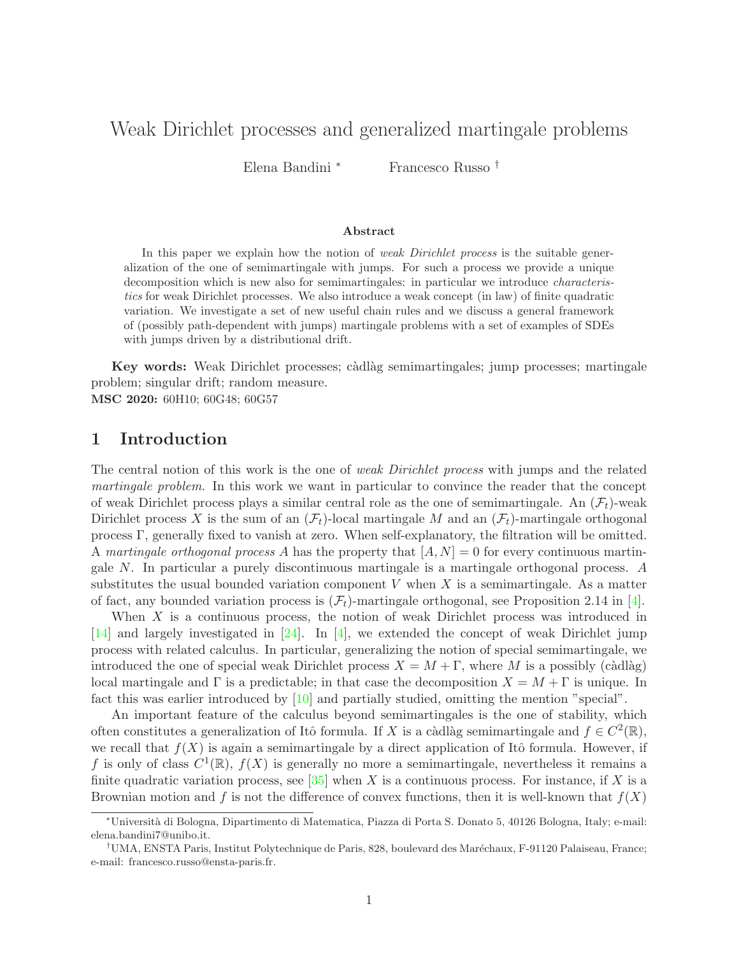# Weak Dirichlet processes and generalized martingale problems

Elena Bandini <sup>∗</sup> Francesco Russo †

#### Abstract

In this paper we explain how the notion of *weak Dirichlet process* is the suitable generalization of the one of semimartingale with jumps. For such a process we provide a unique decomposition which is new also for semimartingales: in particular we introduce characteristics for weak Dirichlet processes. We also introduce a weak concept (in law) of finite quadratic variation. We investigate a set of new useful chain rules and we discuss a general framework of (possibly path-dependent with jumps) martingale problems with a set of examples of SDEs with jumps driven by a distributional drift.

Key words: Weak Dirichlet processes; càdlàg semimartingales; jump processes; martingale problem; singular drift; random measure. MSC 2020: 60H10; 60G48; 60G57

### 1 Introduction

The central notion of this work is the one of *weak Dirichlet process* with jumps and the related martingale problem. In this work we want in particular to convince the reader that the concept of weak Dirichlet process plays a similar central role as the one of semimartingale. An  $(\mathcal{F}_t)$ -weak Dirichlet process X is the sum of an  $(\mathcal{F}_t)$ -local martingale M and an  $(\mathcal{F}_t)$ -martingale orthogonal process Γ, generally fixed to vanish at zero. When self-explanatory, the filtration will be omitted. A martingale orthogonal process A has the property that  $[A, N] = 0$  for every continuous martingale N. In particular a purely discontinuous martingale is a martingale orthogonal process. A substitutes the usual bounded variation component  $V$  when  $X$  is a semimartingale. As a matter of fact, any bounded variation process is  $(\mathcal{F}_t)$ -martingale orthogonal, see Proposition 2.14 in [\[4\]](#page-49-0).

When X is a continuous process, the notion of weak Dirichlet process was introduced in [\[14\]](#page-49-1) and largely investigated in [\[24\]](#page-50-0). In [\[4\]](#page-49-0), we extended the concept of weak Dirichlet jump process with related calculus. In particular, generalizing the notion of special semimartingale, we introduced the one of special weak Dirichlet process  $X = M + \Gamma$ , where M is a possibly (càdlàg) local martingale and  $\Gamma$  is a predictable; in that case the decomposition  $X = M + \Gamma$  is unique. In fact this was earlier introduced by [\[10\]](#page-49-2) and partially studied, omitting the mention "special".

An important feature of the calculus beyond semimartingales is the one of stability, which often constitutes a generalization of Itô formula. If X is a càdlàg semimartingale and  $f \in C^2(\mathbb{R})$ , we recall that  $f(X)$  is again a semimartingale by a direct application of Itô formula. However, if f is only of class  $C^1(\mathbb{R})$ ,  $f(X)$  is generally no more a semimartingale, nevertheless it remains a finite quadratic variation process, see [\[35\]](#page-50-1) when X is a continuous process. For instance, if X is a Brownian motion and f is not the difference of convex functions, then it is well-known that  $f(X)$ 

<sup>∗</sup>Universit`a di Bologna, Dipartimento di Matematica, Piazza di Porta S. Donato 5, 40126 Bologna, Italy; e-mail: elena.bandini7@unibo.it.

<sup>&</sup>lt;sup>†</sup>UMA, ENSTA Paris, Institut Polytechnique de Paris, 828, boulevard des Maréchaux, F-91120 Palaiseau, France; e-mail: francesco.russo@ensta-paris.fr.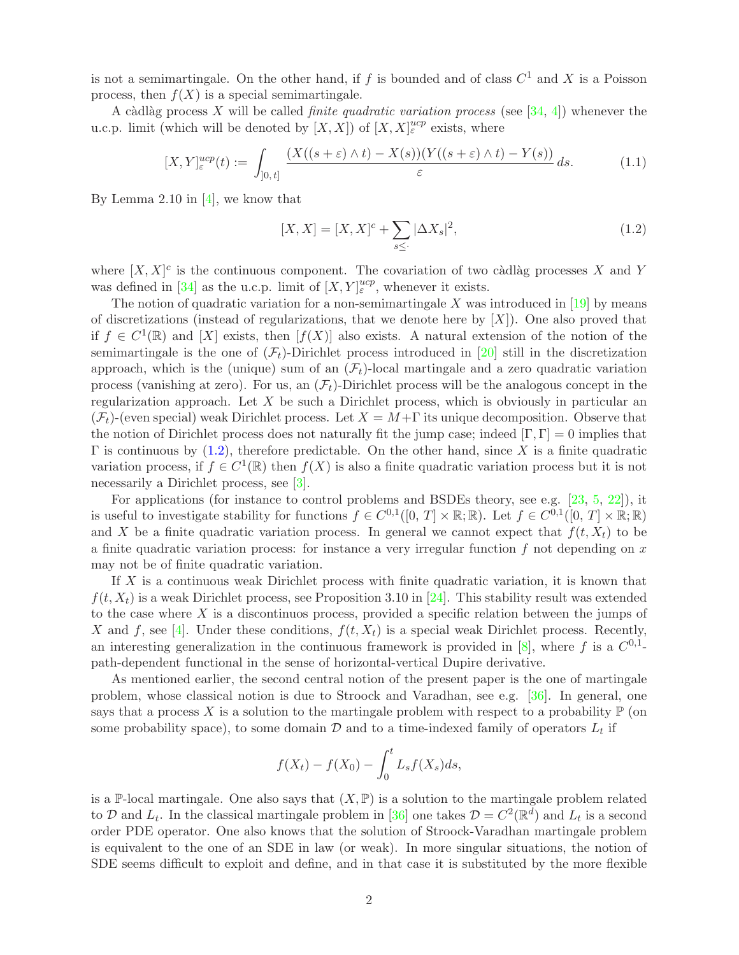is not a semimartingale. On the other hand, if f is bounded and of class  $C^1$  and X is a Poisson process, then  $f(X)$  is a special semimartingale.

A càdlàg process X will be called *finite quadratic variation process* (see  $[34, 4]$  $[34, 4]$ ) whenever the u.c.p. limit (which will be denoted by  $[X, X]$ ) of  $[X, X]_{\varepsilon}^{ucp}$  exists, where

$$
[X,Y]_{\varepsilon}^{ucp}(t) := \int_{]0,t]} \frac{(X((s+\varepsilon)\wedge t) - X(s))(Y((s+\varepsilon)\wedge t) - Y(s))}{\varepsilon} ds.
$$
 (1.1)

By Lemma 2.10 in  $[4]$ , we know that

<span id="page-1-1"></span><span id="page-1-0"></span>
$$
[X, X] = [X, X]^{c} + \sum_{s \leq \cdot} |\Delta X_s|^{2}, \qquad (1.2)
$$

where  $[X, X]^c$  is the continuous component. The covariation of two càdlàg processes X and Y was defined in [\[34\]](#page-50-2) as the u.c.p. limit of  $[X, Y]_{\varepsilon}^{ucp}$ , whenever it exists.

The notion of quadratic variation for a non-semimartingale  $X$  was introduced in [\[19\]](#page-49-3) by means of discretizations (instead of regularizations, that we denote here by  $[X]$ ). One also proved that if  $f \in C^1(\mathbb{R})$  and  $[X]$  exists, then  $[f(X)]$  also exists. A natural extension of the notion of the semimartingale is the one of  $(\mathcal{F}_t)$ -Dirichlet process introduced in [\[20\]](#page-49-4) still in the discretization approach, which is the (unique) sum of an  $(\mathcal{F}_t)$ -local martingale and a zero quadratic variation process (vanishing at zero). For us, an  $(\mathcal{F}_t)$ -Dirichlet process will be the analogous concept in the regularization approach. Let  $X$  be such a Dirichlet process, which is obviously in particular an  $(\mathcal{F}_t)$ -(even special) weak Dirichlet process. Let  $X = M + \Gamma$  its unique decomposition. Observe that the notion of Dirichlet process does not naturally fit the jump case; indeed  $[\Gamma, \Gamma] = 0$  implies that  $\Gamma$  is continuous by [\(1.2\)](#page-1-0), therefore predictable. On the other hand, since X is a finite quadratic variation process, if  $f \in C^1(\mathbb{R})$  then  $f(X)$  is also a finite quadratic variation process but it is not necessarily a Dirichlet process, see [\[3\]](#page-48-0).

For applications (for instance to control problems and BSDEs theory, see e.g. [\[23,](#page-49-5) [5,](#page-49-6) [22\]](#page-49-7)), it is useful to investigate stability for functions  $f \in C^{0,1}([0, T] \times \mathbb{R}; \mathbb{R})$ . Let  $f \in C^{0,1}([0, T] \times \mathbb{R}; \mathbb{R})$ and X be a finite quadratic variation process. In general we cannot expect that  $f(t, X_t)$  to be a finite quadratic variation process: for instance a very irregular function  $f$  not depending on  $x$ may not be of finite quadratic variation.

If X is a continuous weak Dirichlet process with finite quadratic variation, it is known that  $f(t, X_t)$  is a weak Dirichlet process, see Proposition 3.10 in [\[24\]](#page-50-0). This stability result was extended to the case where  $X$  is a discontinuos process, provided a specific relation between the jumps of X and f, see [\[4\]](#page-49-0). Under these conditions,  $f(t, X_t)$  is a special weak Dirichlet process. Recently, an interesting generalization in the continuous framework is provided in [\[8\]](#page-49-8), where f is a  $C^{0,1}$ path-dependent functional in the sense of horizontal-vertical Dupire derivative.

As mentioned earlier, the second central notion of the present paper is the one of martingale problem, whose classical notion is due to Stroock and Varadhan, see e.g. [\[36\]](#page-50-3). In general, one says that a process X is a solution to the martingale problem with respect to a probability  $\mathbb P$  (on some probability space), to some domain  $D$  and to a time-indexed family of operators  $L_t$  if

$$
f(X_t) - f(X_0) - \int_0^t L_s f(X_s) ds,
$$

is a P-local martingale. One also says that  $(X, P)$  is a solution to the martingale problem related to D and  $L_t$ . In the classical martingale problem in [\[36\]](#page-50-3) one takes  $\mathcal{D} = C^2(\mathbb{R}^d)$  and  $L_t$  is a second order PDE operator. One also knows that the solution of Stroock-Varadhan martingale problem is equivalent to the one of an SDE in law (or weak). In more singular situations, the notion of SDE seems difficult to exploit and define, and in that case it is substituted by the more flexible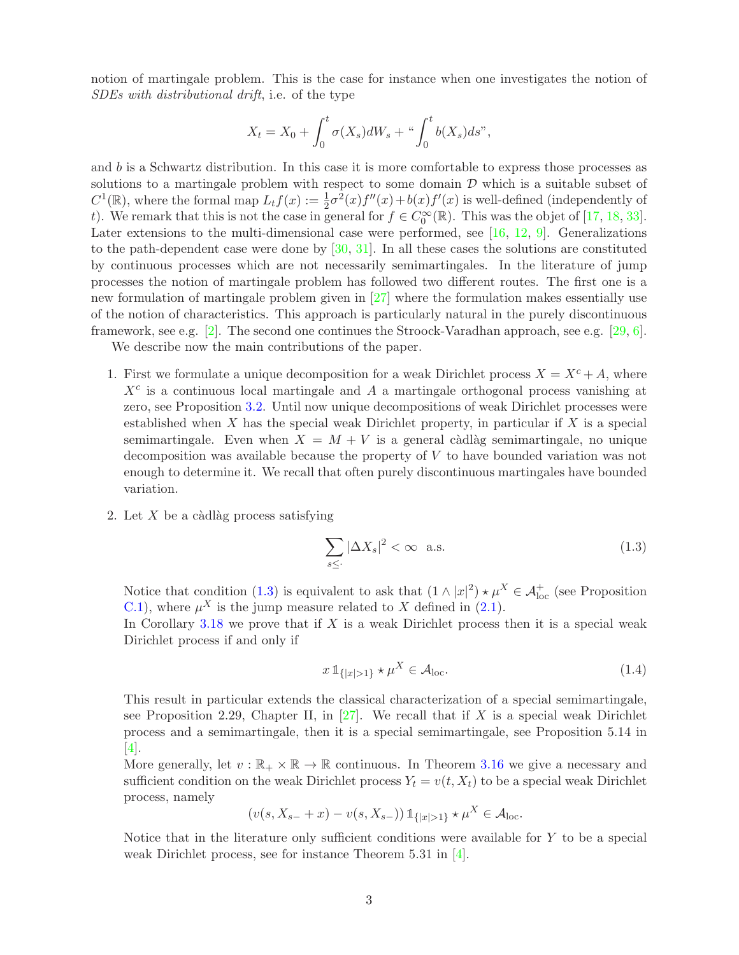notion of martingale problem. This is the case for instance when one investigates the notion of SDEs with distributional drift, i.e. of the type

$$
X_t = X_0 + \int_0^t \sigma(X_s) dW_s + \sqrt{\int_0^t b(X_s) ds},
$$

and b is a Schwartz distribution. In this case it is more comfortable to express those processes as solutions to a martingale problem with respect to some domain  $\mathcal D$  which is a suitable subset of  $C^1(\mathbb{R})$ , where the formal map  $L_t f(x) := \frac{1}{2}\sigma^2(x)f''(x) + b(x)f'(x)$  is well-defined (independently of t). We remark that this is not the case in general for  $f \in C_0^{\infty}(\mathbb{R})$ . This was the objet of [\[17,](#page-49-9) [18,](#page-49-10) [33\]](#page-50-4). Later extensions to the multi-dimensional case were performed, see [\[16,](#page-49-11) [12,](#page-49-12) [9\]](#page-49-13). Generalizations to the path-dependent case were done by [\[30,](#page-50-5) [31\]](#page-50-6). In all these cases the solutions are constituted by continuous processes which are not necessarily semimartingales. In the literature of jump processes the notion of martingale problem has followed two different routes. The first one is a new formulation of martingale problem given in [\[27\]](#page-50-7) where the formulation makes essentially use of the notion of characteristics. This approach is particularly natural in the purely discontinuous framework, see e.g. [\[2\]](#page-48-1). The second one continues the Stroock-Varadhan approach, see e.g. [\[29,](#page-50-8) [6\]](#page-49-14).

We describe now the main contributions of the paper.

- 1. First we formulate a unique decomposition for a weak Dirichlet process  $X = X^c + A$ , where  $X<sup>c</sup>$  is a continuous local martingale and A a martingale orthogonal process vanishing at zero, see Proposition [3.2.](#page-6-0) Until now unique decompositions of weak Dirichlet processes were established when  $X$  has the special weak Dirichlet property, in particular if  $X$  is a special semimartingale. Even when  $X = M + V$  is a general càdlàg semimartingale, no unique decomposition was available because the property of V to have bounded variation was not enough to determine it. We recall that often purely discontinuous martingales have bounded variation.
- 2. Let  $X$  be a càdlàg process satisfying

<span id="page-2-0"></span>
$$
\sum_{s \leq \cdot} |\Delta X_s|^2 < \infty \quad \text{a.s.} \tag{1.3}
$$

Notice that condition [\(1.3\)](#page-2-0) is equivalent to ask that  $(1 \wedge |x|^2) \star \mu^X \in \mathcal{A}_{\text{loc}}^+$  (see Proposition [C.1\)](#page-48-2), where  $\mu^X$  is the jump measure related to X defined in [\(2.1\)](#page-5-0).

In Corollary  $3.18$  we prove that if X is a weak Dirichlet process then it is a special weak Dirichlet process if and only if

$$
x \mathbb{1}_{\{|x|>1\}} \star \mu^X \in \mathcal{A}_{\text{loc}}.\tag{1.4}
$$

This result in particular extends the classical characterization of a special semimartingale, see Proposition 2.29, Chapter II, in  $[27]$ . We recall that if X is a special weak Dirichlet process and a semimartingale, then it is a special semimartingale, see Proposition 5.14 in [\[4\]](#page-49-0).

More generally, let  $v : \mathbb{R}_+ \times \mathbb{R} \to \mathbb{R}$  continuous. In Theorem [3.16](#page-10-1) we give a necessary and sufficient condition on the weak Dirichlet process  $Y_t = v(t, X_t)$  to be a special weak Dirichlet process, namely

$$
(v(s, X_{s-} + x) - v(s, X_{s-})) 1_{\{|x| > 1\}} \star \mu^X \in \mathcal{A}_{loc}.
$$

Notice that in the literature only sufficient conditions were available for Y to be a special weak Dirichlet process, see for instance Theorem 5.31 in [\[4\]](#page-49-0).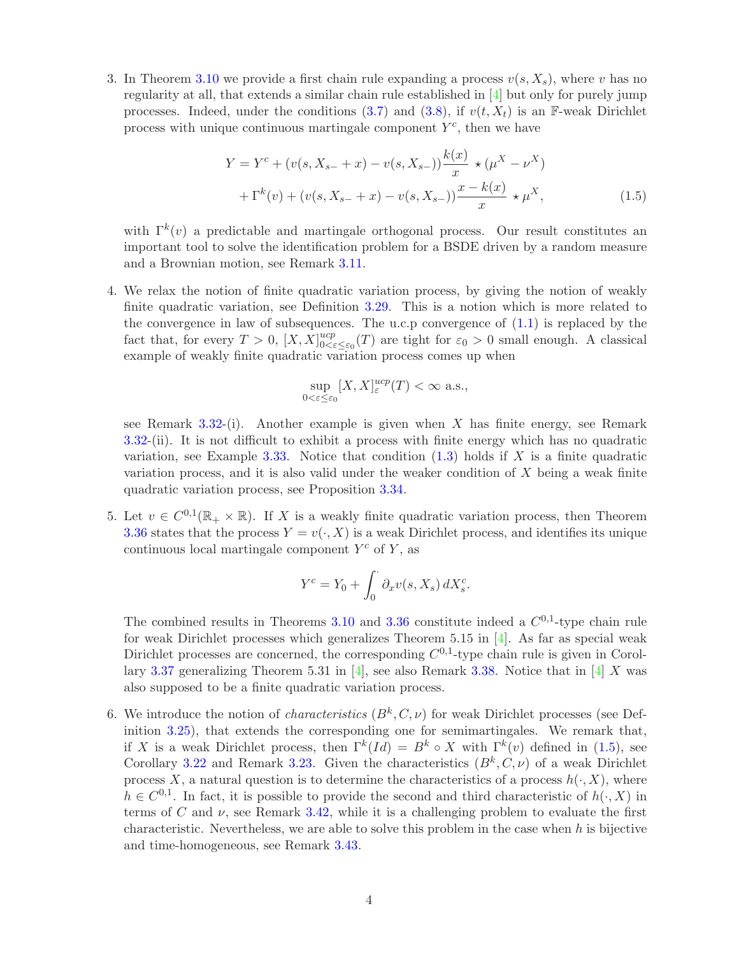3. In Theorem [3.10](#page-8-0) we provide a first chain rule expanding a process  $v(s, X_s)$ , where v has no regularity at all, that extends a similar chain rule established in [\[4\]](#page-49-0) but only for purely jump processes. Indeed, under the conditions [\(3.7\)](#page-8-1) and [\(3.8\)](#page-8-2), if  $v(t, X_t)$  is an F-weak Dirichlet process with unique continuous martingale component  $Y<sup>c</sup>$ , then we have

$$
Y = Y^{c} + (v(s, X_{s-} + x) - v(s, X_{s-})) \frac{k(x)}{x} \star (\mu^{X} - \nu^{X})
$$
  
+  $\Gamma^{k}(v) + (v(s, X_{s-} + x) - v(s, X_{s-})) \frac{x - k(x)}{x} \star \mu^{X},$  (1.5)

with  $\Gamma^k(v)$  a predictable and martingale orthogonal process. Our result constitutes an important tool to solve the identification problem for a BSDE driven by a random measure and a Brownian motion, see Remark 3.11.

4. We relax the notion of finite quadratic variation process, by giving the notion of weakly finite quadratic variation, see Definition [3.29.](#page-13-0) This is a notion which is more related to the convergence in law of subsequences. The u.c.p convergence of  $(1.1)$  is replaced by the fact that, for every  $T > 0$ ,  $[X, X]_{0 \leq \epsilon}^{ucp}$  $\int_{0<\epsilon\leq\varepsilon_0}^{ucp}(T)$  are tight for  $\varepsilon_0>0$  small enough. A classical example of weakly finite quadratic variation process comes up when

<span id="page-3-0"></span>
$$
\sup_{0<\varepsilon\leq \varepsilon_0}[X,X]^{ucp}_\varepsilon(T)<\infty \text{ a.s.},
$$

see Remark  $3.32$ -(i). Another example is given when X has finite energy, see Remark [3.32-](#page-14-0)(ii). It is not difficult to exhibit a process with finite energy which has no quadratic variation, see Example [3.33.](#page-14-1) Notice that condition  $(1.3)$  holds if X is a finite quadratic variation process, and it is also valid under the weaker condition of  $X$  being a weak finite quadratic variation process, see Proposition [3.34.](#page-14-2)

5. Let  $v \in C^{0,1}(\mathbb{R}_+ \times \mathbb{R})$ . If X is a weakly finite quadratic variation process, then Theorem [3.36](#page-16-0) states that the process  $Y = v(\cdot, X)$  is a weak Dirichlet process, and identifies its unique continuous local martingale component  $Y^c$  of Y, as

$$
Y^{c} = Y_0 + \int_0^{\cdot} \partial_x v(s, X_s) dX_s^{c}.
$$

The combined results in Theorems [3.10](#page-8-0) and [3.36](#page-16-0) constitute indeed a  $C^{0,1}$ -type chain rule for weak Dirichlet processes which generalizes Theorem 5.15 in [\[4\]](#page-49-0). As far as special weak Dirichlet processes are concerned, the corresponding  $C^{0,1}$ -type chain rule is given in Corol-lary [3.37](#page-16-1) generalizing Theorem 5.31 in [\[4\]](#page-49-0), see also Remark [3.38.](#page-16-2) Notice that in [4] X was also supposed to be a finite quadratic variation process.

6. We introduce the notion of *characteristics*  $(B^k, C, \nu)$  for weak Dirichlet processes (see Definition [3.25\)](#page-12-0), that extends the corresponding one for semimartingales. We remark that, if X is a weak Dirichlet process, then  $\Gamma^k(Id) = B^k \circ X$  with  $\Gamma^k(v)$  defined in [\(1.5\)](#page-3-0), see Corollary [3.22](#page-12-1) and Remark [3.23.](#page-12-2) Given the characteristics  $(B^k, C, \nu)$  of a weak Dirichlet process X, a natural question is to determine the characteristics of a process  $h(\cdot, X)$ , where  $h \in C^{0,1}$ . In fact, it is possible to provide the second and third characteristic of  $h(\cdot, X)$  in terms of C and  $\nu$ , see Remark [3.42,](#page-20-0) while it is a challenging problem to evaluate the first characteristic. Nevertheless, we are able to solve this problem in the case when  $h$  is bijective and time-homogeneous, see Remark [3.43.](#page-20-1)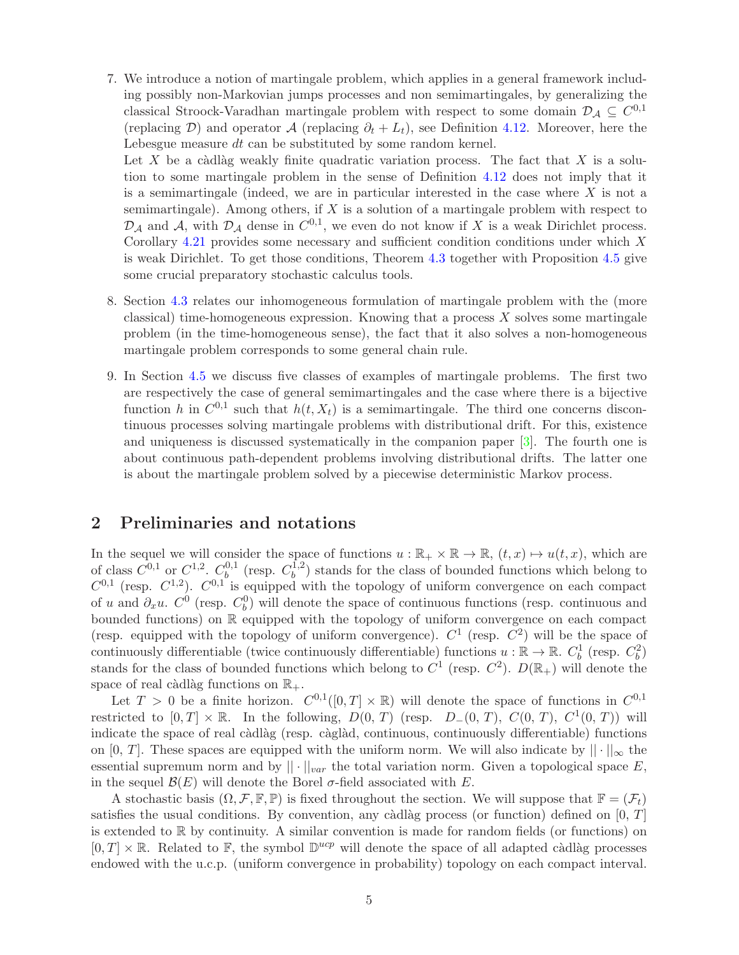7. We introduce a notion of martingale problem, which applies in a general framework including possibly non-Markovian jumps processes and non semimartingales, by generalizing the classical Stroock-Varadhan martingale problem with respect to some domain  $\mathcal{D}_\mathcal{A} \subseteq C^{0,1}$ (replacing D) and operator A (replacing  $\partial_t + L_t$ ), see Definition [4.12.](#page-27-0) Moreover, here the Lebesgue measure dt can be substituted by some random kernel.

Let X be a càdlàg weakly finite quadratic variation process. The fact that X is a solution to some martingale problem in the sense of Definition [4.12](#page-27-0) does not imply that it is a semimartingale (indeed, we are in particular interested in the case where  $X$  is not a semimartingale). Among others, if  $X$  is a solution of a martingale problem with respect to  $\mathcal{D}_{\mathcal{A}}$  and  $\mathcal{A}$ , with  $\mathcal{D}_{\mathcal{A}}$  dense in  $C^{0,1}$ , we even do not know if X is a weak Dirichlet process. Corollary  $4.21$  provides some necessary and sufficient condition conditions under which  $X$ is weak Dirichlet. To get those conditions, Theorem [4.3](#page-22-0) together with Proposition [4.5](#page-25-0) give some crucial preparatory stochastic calculus tools.

- 8. Section [4.3](#page-28-0) relates our inhomogeneous formulation of martingale problem with the (more classical) time-homogeneous expression. Knowing that a process  $X$  solves some martingale problem (in the time-homogeneous sense), the fact that it also solves a non-homogeneous martingale problem corresponds to some general chain rule.
- 9. In Section [4.5](#page-31-0) we discuss five classes of examples of martingale problems. The first two are respectively the case of general semimartingales and the case where there is a bijective function h in  $C^{0,1}$  such that  $h(t, X_t)$  is a semimartingale. The third one concerns discontinuous processes solving martingale problems with distributional drift. For this, existence and uniqueness is discussed systematically in the companion paper [\[3\]](#page-48-0). The fourth one is about continuous path-dependent problems involving distributional drifts. The latter one is about the martingale problem solved by a piecewise deterministic Markov process.

## <span id="page-4-0"></span>2 Preliminaries and notations

In the sequel we will consider the space of functions  $u : \mathbb{R}_+ \times \mathbb{R} \to \mathbb{R}$ ,  $(t, x) \mapsto u(t, x)$ , which are of class  $C^{0,1}$  or  $C^{1,2}$ .  $C_b^{0,1}$  $b^{0,1}$  (resp.  $C_b^{1,2}$  $b<sub>b</sub>$  stands for the class of bounded functions which belong to  $C^{0,1}$  (resp.  $C^{1,2}$ ).  $C^{0,1}$  is equipped with the topology of uniform convergence on each compact of u and  $\partial_x u$ .  $C^0$  (resp.  $C_b^0$ ) will denote the space of continuous functions (resp. continuous and bounded functions) on R equipped with the topology of uniform convergence on each compact (resp. equipped with the topology of uniform convergence).  $C^1$  (resp.  $C^2$ ) will be the space of continuously differentiable (twice continuously differentiable) functions  $u : \mathbb{R} \to \mathbb{R}$ .  $C_b^1$  (resp.  $C_b^2$ ) stands for the class of bounded functions which belong to  $C^1$  (resp.  $C^2$ ).  $D(\mathbb{R}_+)$  will denote the space of real càdlàg functions on  $\mathbb{R}_+$ .

Let  $T > 0$  be a finite horizon.  $C^{0,1}([0,T] \times \mathbb{R})$  will denote the space of functions in  $C^{0,1}$ restricted to  $[0, T] \times \mathbb{R}$ . In the following,  $D(0, T)$  (resp.  $D_-(0, T)$ ,  $C(0, T)$ ,  $C^1(0, T)$ ) will indicate the space of real càdlàg (resp. càglàd, continuous, continuously differentiable) functions on [0, T]. These spaces are equipped with the uniform norm. We will also indicate by  $|| \cdot ||_{\infty}$  the essential supremum norm and by  $||\cdot||_{var}$  the total variation norm. Given a topological space E, in the sequel  $\mathcal{B}(E)$  will denote the Borel  $\sigma$ -field associated with E.

A stochastic basis  $(\Omega, \mathcal{F}, \mathbb{F}, \mathbb{P})$  is fixed throughout the section. We will suppose that  $\mathbb{F} = (\mathcal{F}_t)$ satisfies the usual conditions. By convention, any càdlàg process (or function) defined on  $[0, T]$ is extended to  $\mathbb R$  by continuity. A similar convention is made for random fields (or functions) on  $[0, T] \times \mathbb{R}$ . Related to  $\mathbb{F}$ , the symbol  $\mathbb{D}^{ucp}$  will denote the space of all adapted càdlàg processes endowed with the u.c.p. (uniform convergence in probability) topology on each compact interval.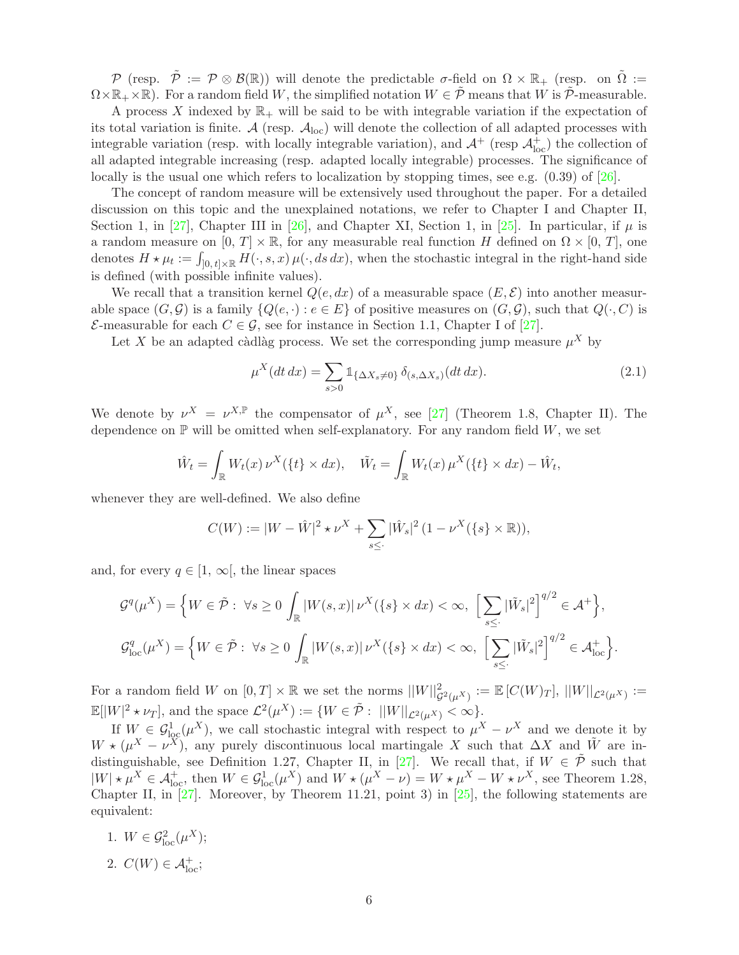P (resp.  $\tilde{\mathcal{P}} := \mathcal{P} \otimes \mathcal{B}(\mathbb{R})$ ) will denote the predictable  $\sigma$ -field on  $\Omega \times \mathbb{R}_+$  (resp. on  $\tilde{\Omega} :=$  $\Omega \times \mathbb{R}_+ \times \mathbb{R}$ . For a random field W, the simplified notation  $W \in \tilde{\mathcal{P}}$  means that W is  $\tilde{\mathcal{P}}$ -measurable.

A process X indexed by  $\mathbb{R}_+$  will be said to be with integrable variation if the expectation of its total variation is finite. A (resp.  $A_{\text{loc}}$ ) will denote the collection of all adapted processes with integrable variation (resp. with locally integrable variation), and  $\mathcal{A}^+$  (resp  $\mathcal{A}^+_{\text{loc}}$ ) the collection of all adapted integrable increasing (resp. adapted locally integrable) processes. The significance of locally is the usual one which refers to localization by stopping times, see e.g.  $(0.39)$  of  $[26]$ .

The concept of random measure will be extensively used throughout the paper. For a detailed discussion on this topic and the unexplained notations, we refer to Chapter I and Chapter II, Section 1, in [\[27\]](#page-50-7), Chapter III in [\[26\]](#page-50-9), and Chapter XI, Section 1, in [\[25\]](#page-50-10). In particular, if  $\mu$  is a random measure on  $[0, T] \times \mathbb{R}$ , for any measurable real function H defined on  $\Omega \times [0, T]$ , one denotes  $H \star \mu_t := \int_{[0, t] \times \mathbb{R}} H(\cdot, s, x) \mu(\cdot, ds \, dx)$ , when the stochastic integral in the right-hand side is defined (with possible infinite values).

We recall that a transition kernel  $Q(e, dx)$  of a measurable space  $(E, \mathcal{E})$  into another measurable space  $(G, \mathcal{G})$  is a family  $\{Q(e, \cdot): e \in E\}$  of positive measures on  $(G, \mathcal{G})$ , such that  $Q(\cdot, C)$  is  $\mathcal{E}$ -measurable for each  $C \in \mathcal{G}$ , see for instance in Section 1.1, Chapter I of [\[27\]](#page-50-7).

Let X be an adapted càdlàg process. We set the corresponding jump measure  $\mu^X$  by

<span id="page-5-0"></span>
$$
\mu^X(dt\,dx) = \sum_{s>0} \mathbb{1}_{\{\Delta X_s \neq 0\}} \delta_{(s,\Delta X_s)}(dt\,dx). \tag{2.1}
$$

We denote by  $\nu^X = \nu^{X,\mathbb{P}}$  the compensator of  $\mu^X$ , see [\[27\]](#page-50-7) (Theorem 1.8, Chapter II). The dependence on  $\mathbb P$  will be omitted when self-explanatory. For any random field  $W$ , we set

$$
\hat{W}_t = \int_{\mathbb{R}} W_t(x) \, \nu^X(\{t\} \times dx), \quad \tilde{W}_t = \int_{\mathbb{R}} W_t(x) \, \mu^X(\{t\} \times dx) - \hat{W}_t,
$$

whenever they are well-defined. We also define

$$
C(W) := |W - \hat{W}|^2 \star \nu^X + \sum_{s \leq \cdot} |\hat{W}_s|^2 (1 - \nu^X(\{s\} \times \mathbb{R})),
$$

and, for every  $q \in [1, \infty]$ , the linear spaces

$$
\mathcal{G}^q(\mu^X) = \left\{ W \in \tilde{\mathcal{P}} : \ \forall s \ge 0 \int_{\mathbb{R}} |W(s,x)| \, \nu^X(\{s\} \times dx) < \infty, \ \left[ \sum_{s \le \cdot} |\tilde{W}_s|^2 \right]^{q/2} \in \mathcal{A}^+ \right\},
$$
\n
$$
\mathcal{G}_{\text{loc}}^q(\mu^X) = \left\{ W \in \tilde{\mathcal{P}} : \ \forall s \ge 0 \int_{\mathbb{R}} |W(s,x)| \, \nu^X(\{s\} \times dx) < \infty, \ \left[ \sum_{s \le \cdot} |\tilde{W}_s|^2 \right]^{q/2} \in \mathcal{A}_{\text{loc}}^+ \right\}.
$$

For a random field W on  $[0,T] \times \mathbb{R}$  we set the norms  $||W||^2_{\mathcal{G}^2(\mu^X)} := \mathbb{E}[C(W)_T]$ ,  $||W||_{\mathcal{L}^2(\mu^X)} :=$  $\mathbb{E}[|W|^2 \star \nu_T],$  and the space  $\mathcal{L}^2(\mu^X) := \{ W \in \tilde{\mathcal{P}} : ||W||_{\mathcal{L}^2(\mu^X)} < \infty \}.$ 

If  $W \in \mathcal{G}^1_{loc}(\mu^X)$ , we call stochastic integral with respect to  $\mu^X - \nu^X$  and we denote it by  $W \star (\mu^X - \nu^X)$ , any purely discontinuous local martingale X such that  $\Delta X$  and  $\tilde{W}$  are in-distinguishable, see Definition 1.27, Chapter II, in [\[27\]](#page-50-7). We recall that, if  $W \in \tilde{\mathcal{P}}$  such that  $|W| \star \mu^X \in \mathcal{A}^+_{\text{loc}}$ , then  $W \in \mathcal{G}^1_{\text{loc}}(\mu^X)$  and  $W \star (\mu^X - \nu) = W \star \mu^X - W \star \nu^X$ , see Theorem 1.28, Chapter II, in  $[27]$ . Moreover, by Theorem 11.21, point 3) in  $[25]$ , the following statements are equivalent:

- 1.  $W \in \mathcal{G}_{\text{loc}}^2(\mu^X);$
- 2.  $C(W) \in \mathcal{A}_{\text{loc}}^+$ ;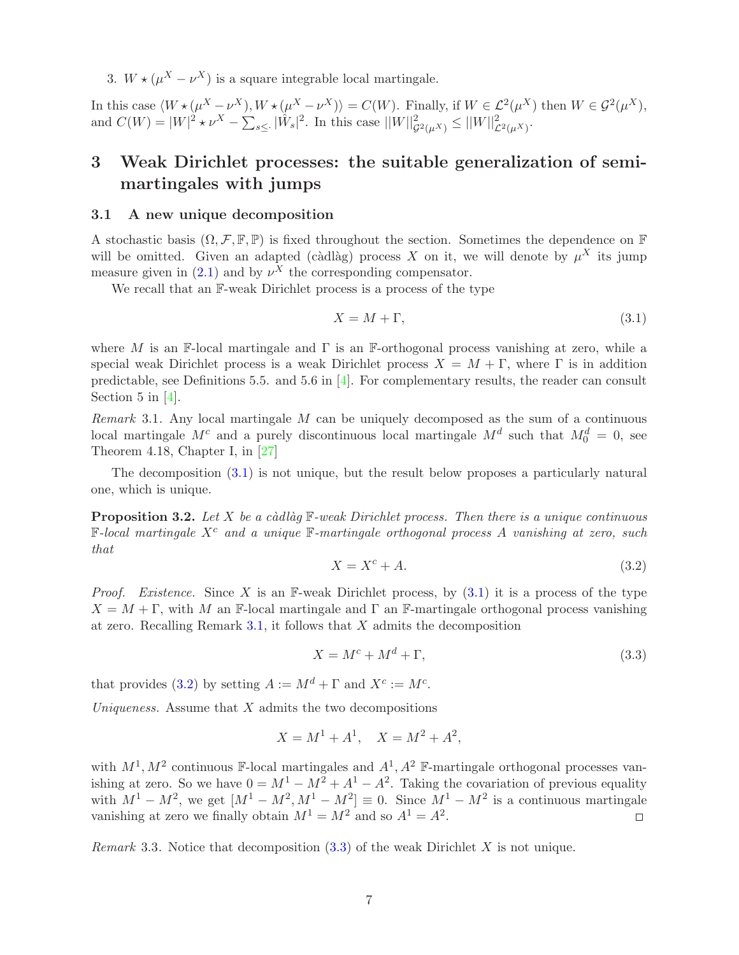3.  $W \star (\mu^X - \nu^X)$  is a square integrable local martingale.

In this case  $\langle W \star (\mu^X - \nu^X), W \star (\mu^X - \nu^X) \rangle = C(W)$ . Finally, if  $W \in \mathcal{L}^2(\mu^X)$  then  $W \in \mathcal{G}^2(\mu^X)$ , and  $C(W) = |W|^2 * \nu^X - \sum_{s \leq 1} |\hat{W}_s|^2$ . In this case  $||W||^2_{\mathcal{G}^2(\mu^X)} \leq ||W||^2_{\mathcal{L}^2(\mu^X)}$ .

# 3 Weak Dirichlet processes: the suitable generalization of semimartingales with jumps

#### 3.1 A new unique decomposition

A stochastic basis  $(\Omega, \mathcal{F}, \mathbb{F}, \mathbb{P})$  is fixed throughout the section. Sometimes the dependence on  $\mathbb{F}$ will be omitted. Given an adapted (càdlàg) process X on it, we will denote by  $\mu^X$  its jump measure given in  $(2.1)$  and by  $\nu^X$  the corresponding compensator.

We recall that an  $\mathbb{F}\text{-weak Dirichlet process}$  is a process of the type

<span id="page-6-1"></span>
$$
X = M + \Gamma,\tag{3.1}
$$

where M is an F-local martingale and  $\Gamma$  is an F-orthogonal process vanishing at zero, while a special weak Dirichlet process is a weak Dirichlet process  $X = M + \Gamma$ , where  $\Gamma$  is in addition predictable, see Definitions 5.5. and 5.6 in  $[4]$ . For complementary results, the reader can consult Section 5 in [\[4\]](#page-49-0).

<span id="page-6-2"></span>Remark 3.1. Any local martingale M can be uniquely decomposed as the sum of a continuous local martingale  $M^c$  and a purely discontinuous local martingale  $M^d$  such that  $M_0^d = 0$ , see Theorem 4.18, Chapter I, in [\[27\]](#page-50-7)

The decomposition [\(3.1\)](#page-6-1) is not unique, but the result below proposes a particularly natural one, which is unique.

<span id="page-6-3"></span><span id="page-6-0"></span>**Proposition 3.2.** Let X be a càdlàg  $\mathbb{F}-weak$  Dirichlet process. Then there is a unique continuous  $F-local$  martingale  $X<sup>c</sup>$  and a unique  $F-martale$  orthogonal process A vanishing at zero, such that

<span id="page-6-4"></span>
$$
X = X^c + A.\tag{3.2}
$$

*Proof.* Existence. Since X is an F-weak Dirichlet process, by  $(3.1)$  it is a process of the type  $X = M + \Gamma$ , with M an F-local martingale and  $\Gamma$  an F-martingale orthogonal process vanishing at zero. Recalling Remark [3.1,](#page-6-2) it follows that  $X$  admits the decomposition

$$
X = M^c + M^d + \Gamma,\tag{3.3}
$$

that provides [\(3.2\)](#page-6-3) by setting  $A := M^d + \Gamma$  and  $X^c := M^c$ .

Uniqueness. Assume that  $X$  admits the two decompositions

$$
X = M^1 + A^1, \quad X = M^2 + A^2,
$$

with  $M^1, M^2$  continuous F-local martingales and  $A^1, A^2$  F-martingale orthogonal processes vanishing at zero. So we have  $0 = M^1 - M^2 + A^1 - A^2$ . Taking the covariation of previous equality with  $M^1 - M^2$ , we get  $[M^1 - M^2, M^1 - M^2] \equiv 0$ . Since  $M^1 - M^2$  is a continuous martingale vanishing at zero we finally obtain  $M^1 = M^2$  and so  $A^1 = A^2$ .  $\Box$ 

*Remark* 3.3. Notice that decomposition  $(3.3)$  of the weak Dirichlet X is not unique.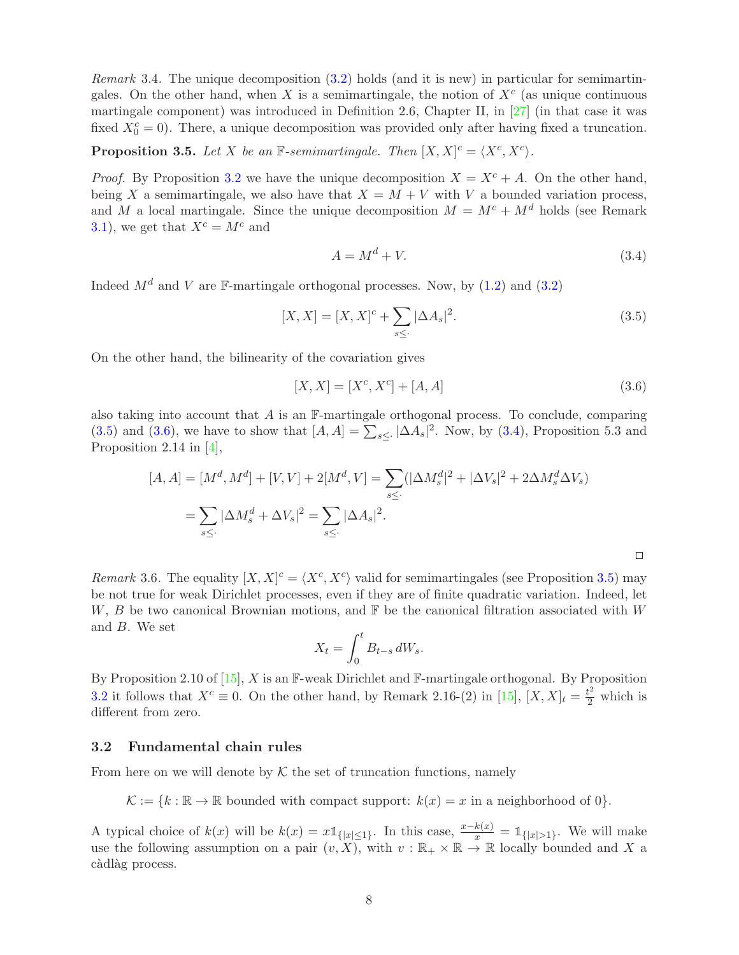Remark 3.4. The unique decomposition [\(3.2\)](#page-6-3) holds (and it is new) in particular for semimartingales. On the other hand, when X is a semimartingale, the notion of  $X^c$  (as unique continuous martingale component) was introduced in Definition 2.6, Chapter II, in [\[27\]](#page-50-7) (in that case it was fixed  $X_0^c = 0$ ). There, a unique decomposition was provided only after having fixed a truncation.

<span id="page-7-3"></span>**Proposition 3.5.** Let X be an  $\mathbb{F}$ -semimartingale. Then  $[X, X]^c = \langle X^c, X^c \rangle$ .

*Proof.* By Proposition [3.2](#page-6-0) we have the unique decomposition  $X = X^c + A$ . On the other hand, being X a semimartingale, we also have that  $X = M + V$  with V a bounded variation process, and M a local martingale. Since the unique decomposition  $M = M^c + M^d$  holds (see Remark [3.1\)](#page-6-2), we get that  $X^c = M^c$  and

<span id="page-7-2"></span>
$$
A = M^d + V.\t\t(3.4)
$$

Indeed  $M^d$  and V are  $\mathbb{F}-$ martingale orthogonal processes. Now, by [\(1.2\)](#page-1-0) and [\(3.2\)](#page-6-3)

$$
[X, X] = [X, X]^{c} + \sum_{s \leq \cdot} |\Delta A_s|^{2}.
$$
\n(3.5)

On the other hand, the bilinearity of the covariation gives

$$
[X, X] = [X^c, X^c] + [A, A]
$$
\n(3.6)

<span id="page-7-1"></span><span id="page-7-0"></span> $\Box$ 

also taking into account that  $A$  is an  $\mathbb{F}\text{-martingale orthogonal process}$ . To conclude, comparing [\(3.5\)](#page-7-0) and [\(3.6\)](#page-7-1), we have to show that  $[A, A] = \sum_{s \leq 1} |\Delta A_s|^2$ . Now, by [\(3.4\)](#page-7-2), Proposition 5.3 and Proposition 2.14 in [\[4\]](#page-49-0),

$$
[A, A] = [M^d, M^d] + [V, V] + 2[M^d, V] = \sum_{s \le \cdot} (|\Delta M_s^d|^2 + |\Delta V_s|^2 + 2\Delta M_s^d \Delta V_s)
$$
  
= 
$$
\sum_{s \le \cdot} |\Delta M_s^d + \Delta V_s|^2 = \sum_{s \le \cdot} |\Delta A_s|^2.
$$

Remark 3.6. The equality  $[X, X]^c = \langle X^c, X^c \rangle$  valid for semimartingales (see Proposition [3.5\)](#page-7-3) may be not true for weak Dirichlet processes, even if they are of finite quadratic variation. Indeed, let W, B be two canonical Brownian motions, and  $\mathbb F$  be the canonical filtration associated with W and B. We set

$$
X_t = \int_0^t B_{t-s} dW_s.
$$

By Proposition 2.10 of  $[15]$ , X is an F-weak Dirichlet and F-martingale orthogonal. By Proposition [3.2](#page-6-0) it follows that  $X^c \equiv 0$ . On the other hand, by Remark 2.16-(2) in [\[15\]](#page-49-15),  $[X, X]_t = \frac{t^2}{2}$  which is different from zero.

#### 3.2 Fundamental chain rules

From here on we will denote by  $K$  the set of truncation functions, namely

 $\mathcal{K} := \{k : \mathbb{R} \to \mathbb{R} \text{ bounded with compact support: } k(x) = x \text{ in a neighborhood of } 0\}.$ 

A typical choice of  $k(x)$  will be  $k(x) = x \mathbb{1}_{\{|x| \leq 1\}}$ . In this case,  $\frac{x-k(x)}{x} = \mathbb{1}_{\{|x| > 1\}}$ . We will make use the following assumption on a pair  $(v, X)$ , with  $v : \mathbb{R}_+ \times \mathbb{R} \to \mathbb{R}$  locally bounded and X a càdlàg process.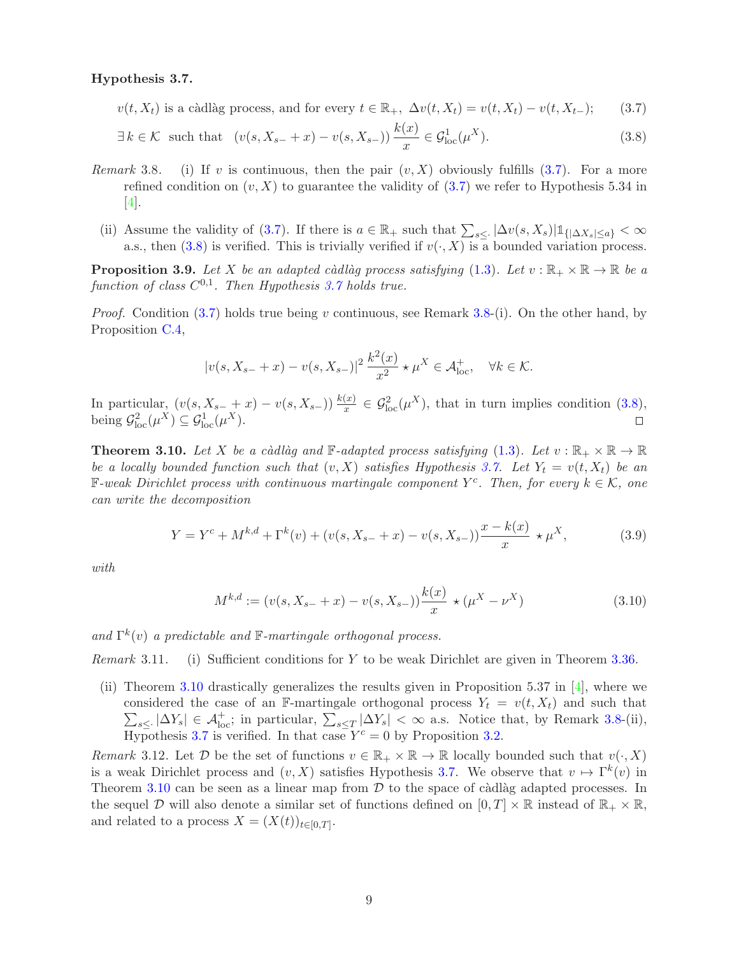#### <span id="page-8-3"></span>Hypothesis 3.7.

 $v(t, X_t)$  is a càdlàg process, and for every  $t \in \mathbb{R}_+$ ,  $\Delta v(t, X_t) = v(t, X_t) - v(t, X_{t-})$ ; (3.7)

$$
\exists k \in \mathcal{K} \text{ such that } (v(s, X_{s-} + x) - v(s, X_{s-})) \frac{k(x)}{x} \in \mathcal{G}_{\text{loc}}^1(\mu^X). \tag{3.8}
$$

- *Remark* 3.8. (i) If v is continuous, then the pair  $(v, X)$  obviously fulfills [\(3.7\)](#page-8-1). For a more refined condition on  $(v, X)$  to guarantee the validity of [\(3.7\)](#page-8-1) we refer to Hypothesis 5.34 in  $|4|$ .
	- (ii) Assume the validity of [\(3.7\)](#page-8-1). If there is  $a \in \mathbb{R}_+$  such that  $\sum_{s \leq \cdot} |\Delta v(s, X_s)| \mathbb{1}_{\{|\Delta X_s| \leq a\}} < \infty$ a.s., then [\(3.8\)](#page-8-2) is verified. This is trivially verified if  $v(\cdot, X)$  is a bounded variation process.

<span id="page-8-6"></span>**Proposition 3.9.** Let X be an adapted càdlàg process satisfying [\(1.3\)](#page-2-0). Let  $v : \mathbb{R}_+ \times \mathbb{R} \to \mathbb{R}$  be a function of class  $C^{0,1}$ . Then Hypothesis [3.7](#page-8-3) holds true.

*Proof.* Condition [\(3.7\)](#page-8-1) holds true being v continuous, see Remark 3.8-(i). On the other hand, by Proposition [C.4,](#page-45-0)

<span id="page-8-2"></span><span id="page-8-1"></span>
$$
|v(s, X_{s-} + x) - v(s, X_{s-})|^2 \frac{k^2(x)}{x^2} \star \mu^X \in \mathcal{A}_{\text{loc}}^+, \quad \forall k \in \mathcal{K}.
$$

In particular,  $(v(s, X_{s-} + x) - v(s, X_{s-})) \frac{k(x)}{x} \in \mathcal{G}_{loc}^2(\mu^X)$ , that in turn implies condition  $(3.8)$ , being  $\mathcal{G}_{\text{loc}}^2(\mu^X) \subseteq \mathcal{G}_{\text{loc}}^1(\mu^X)$ .  $\Box$ 

<span id="page-8-0"></span>**Theorem 3.10.** Let X be a càdlàg and  $\mathbb{F}\text{-}adapted process satisfying (1.3)$  $\mathbb{F}\text{-}adapted process satisfying (1.3)$ . Let  $v : \mathbb{R}_+ \times \mathbb{R} \to \mathbb{R}$ be a locally bounded function such that  $(v, X)$  satisfies Hypothesis [3.7.](#page-8-1) Let  $Y_t = v(t, X_t)$  be an  $\mathbb{F}\text{-weak Dirichlet process with continuous martingale component } Y^c$ . Then, for every  $k \in \mathcal{K}$ , one can write the decomposition

<span id="page-8-5"></span>
$$
Y = Y^{c} + M^{k,d} + \Gamma^{k}(v) + (v(s, X_{s-} + x) - v(s, X_{s-})) \frac{x - k(x)}{x} \star \mu^{X},
$$
\n(3.9)

with

<span id="page-8-4"></span>
$$
M^{k,d} := (v(s, X_{s-} + x) - v(s, X_{s-})) \frac{k(x)}{x} \star (\mu^X - \nu^X)
$$
\n(3.10)

and  $\Gamma^k(v)$  a predictable and  $\mathbb{F}\text{-}martingale$  orthogonal process.

*Remark* 3.11. (i) Sufficient conditions for Y to be weak Dirichlet are given in Theorem [3.36.](#page-16-0)

(ii) Theorem [3.10](#page-8-0) drastically generalizes the results given in Proposition 5.37 in [\[4\]](#page-49-0), where we  $\sum_{s\leq 1} |\Delta Y_s| \in \mathcal{A}_{\text{loc}}^+$ ; in particular,  $\sum_{s\leq T} |\Delta Y_s| < \infty$  a.s. Notice that, by Remark 3.8-(ii), considered the case of an F-martingale orthogonal process  $Y_t = v(t, X_t)$  and such that Hypothesis [3.7](#page-8-3) is verified. In that case  $Y^c = 0$  by Proposition [3.2.](#page-6-0)

<span id="page-8-7"></span>Remark 3.12. Let D be the set of functions  $v \in \mathbb{R}_+ \times \mathbb{R} \to \mathbb{R}$  locally bounded such that  $v(\cdot, X)$ is a weak Dirichlet process and  $(v, X)$  satisfies Hypothesis [3.7.](#page-8-3) We observe that  $v \mapsto \Gamma^k(v)$  in Theorem [3.10](#page-8-0) can be seen as a linear map from  $D$  to the space of càdlàg adapted processes. In the sequel D will also denote a similar set of functions defined on  $[0, T] \times \mathbb{R}$  instead of  $\mathbb{R}_+ \times \mathbb{R}$ , and related to a process  $X = (X(t))_{t \in [0,T]}$ .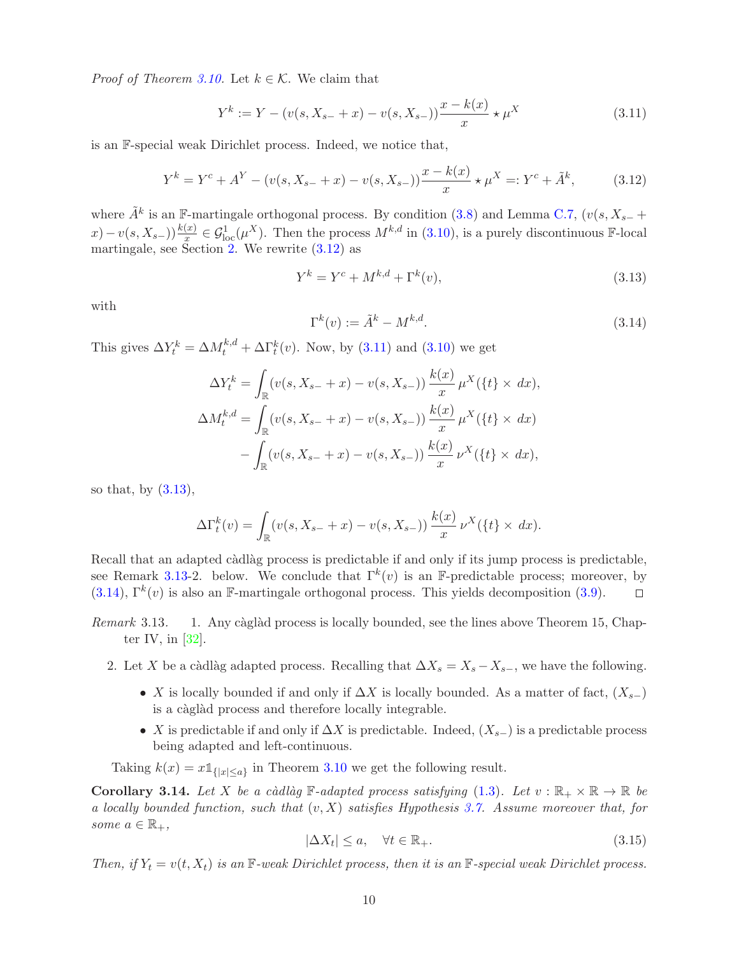*Proof of Theorem [3.10.](#page-8-0)* Let  $k \in \mathcal{K}$ . We claim that

<span id="page-9-1"></span>
$$
Y^{k} := Y - (v(s, X_{s-} + x) - v(s, X_{s-})) \frac{x - k(x)}{x} \star \mu^{X}
$$
\n(3.11)

is an F-special weak Dirichlet process. Indeed, we notice that,

$$
Y^{k} = Y^{c} + A^{Y} - (v(s, X_{s-} + x) - v(s, X_{s-})) \frac{x - k(x)}{x} \star \mu^{X} =: Y^{c} + \tilde{A}^{k},
$$
 (3.12)

where  $\tilde{A}^k$  is an F-martingale orthogonal process. By condition [\(3.8\)](#page-8-2) and Lemma [C.7,](#page-47-0)  $(v(s, X_{s-} +$  $(x) - v(s, X_{s-})) \frac{k(x)}{x} \in \mathcal{G}_{loc}^1(\mu^X)$ . Then the process  $M^{k,d}$  in [\(3.10\)](#page-8-4), is a purely discontinuous F-local martingale, see Section [2.](#page-4-0) We rewrite [\(3.12\)](#page-9-0) as

<span id="page-9-2"></span><span id="page-9-0"></span>
$$
Y^{k} = Y^{c} + M^{k,d} + \Gamma^{k}(v),
$$
\n(3.13)

<span id="page-9-3"></span>with

$$
\Gamma^k(v) := \tilde{A}^k - M^{k,d}.\tag{3.14}
$$

This gives  $\Delta Y_t^k = \Delta M_t^{k,d} + \Delta \Gamma_t^k(v)$ . Now, by [\(3.11\)](#page-9-1) and [\(3.10\)](#page-8-4) we get

$$
\Delta Y_t^k = \int_{\mathbb{R}} (v(s, X_{s-} + x) - v(s, X_{s-})) \frac{k(x)}{x} \mu^X(\{t\} \times dx),
$$
  

$$
\Delta M_t^{k,d} = \int_{\mathbb{R}} (v(s, X_{s-} + x) - v(s, X_{s-})) \frac{k(x)}{x} \mu^X(\{t\} \times dx)
$$
  

$$
- \int_{\mathbb{R}} (v(s, X_{s-} + x) - v(s, X_{s-})) \frac{k(x)}{x} \nu^X(\{t\} \times dx),
$$

so that, by  $(3.13)$ ,

$$
\Delta\Gamma_t^k(v) = \int_{\mathbb{R}} (v(s, X_{s-} + x) - v(s, X_{s-})) \frac{k(x)}{x} \nu^X(\{t\} \times dx).
$$

Recall that an adapted càdlàg process is predictable if and only if its jump process is predictable, see Remark 3.13-2. below. We conclude that  $\Gamma^k(v)$  is an F-predictable process; moreover, by  $(3.14)$ ,  $\Gamma^k(v)$  is also an F-martingale orthogonal process. This yields decomposition  $(3.9)$ .  $\Box$ 

- Remark 3.13. 1. Any càglàd process is locally bounded, see the lines above Theorem 15, Chapter IV, in [\[32\]](#page-50-11).
	- 2. Let X be a càdlàg adapted process. Recalling that  $\Delta X_s = X_s X_{s-}$ , we have the following.
		- X is locally bounded if and only if  $\Delta X$  is locally bounded. As a matter of fact,  $(X_{s-})$ is a càglàd process and therefore locally integrable.
		- X is predictable if and only if  $\Delta X$  is predictable. Indeed,  $(X_{s-})$  is a predictable process being adapted and left-continuous.

<span id="page-9-5"></span>Taking  $k(x) = x \mathbb{1}_{\{|x| \le a\}}$  in Theorem [3.10](#page-8-0) we get the following result.

<span id="page-9-4"></span>**Corollary 3.14.** Let X be a càdlàg F-adapted process satisfying [\(1.3\)](#page-2-0). Let  $v : \mathbb{R}_+ \times \mathbb{R} \to \mathbb{R}$  be a locally bounded function, such that  $(v, X)$  satisfies Hypothesis [3.7.](#page-8-1) Assume moreover that, for some  $a \in \mathbb{R}_+,$ 

$$
|\Delta X_t| \le a, \quad \forall t \in \mathbb{R}_+.
$$
\n(3.15)

Then, if  $Y_t = v(t, X_t)$  is an  $\mathbb{F}\text{-weak Dirichlet process}$ , then it is an  $\mathbb{F}\text{-special weak Dirichlet process}$ .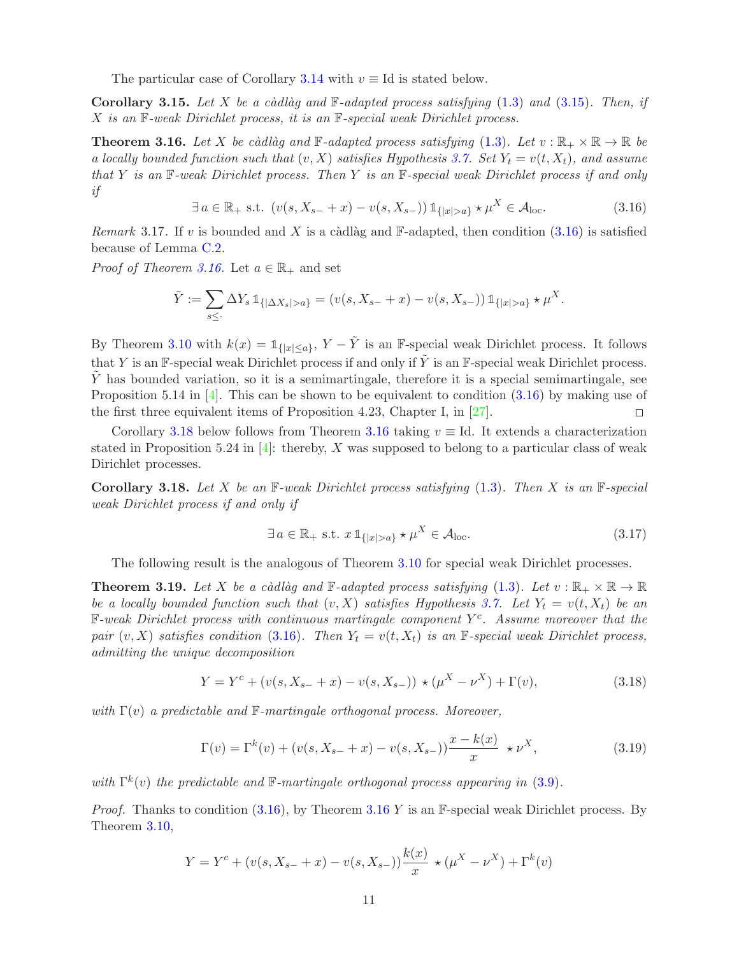The particular case of Corollary [3.14](#page-9-4) with  $v \equiv Id$  is stated below.

Corollary 3.15. Let X be a càdlàg and  $\mathbb{F}\text{-}adapted$  process satisfying  $(1.3)$  and  $(3.15)$ . Then, if  $X$  is an  $\mathbb{F}\text{-}weak Dirichlet process, it is an  $\mathbb{F}\text{-}special weak Dirichlet process.$$ 

<span id="page-10-1"></span>**Theorem 3.16.** Let X be càdlàg and  $\mathbb{F}\text{-}adapted$  process satisfying [\(1.3\)](#page-2-0). Let  $v : \mathbb{R}_+ \times \mathbb{R} \to \mathbb{R}$  be a locally bounded function such that  $(v, X)$  satisfies Hypothesis [3.7.](#page-8-1) Set  $Y_t = v(t, X_t)$ , and assume that Y is an  $\mathbb F$ -weak Dirichlet process. Then Y is an  $\mathbb F$ -special weak Dirichlet process if and only if

 $\exists a \in \mathbb{R}_+ \text{ s.t. } (v(s, X_{s-} + x) - v(s, X_{s-})) \mathbb{1}_{\{|x| > a\}} \star \mu^X \in \mathcal{A}_{\text{loc}}.$  (3.16)

<span id="page-10-5"></span><span id="page-10-2"></span>Remark 3.17. If v is bounded and X is a càdlàg and  $\mathbb{F}\text{-adapted}$ , then condition [\(3.16\)](#page-10-2) is satisfied because of Lemma [C.2.](#page-48-3)

*Proof of Theorem [3.16.](#page-10-1)* Let  $a \in \mathbb{R}_+$  and set

$$
\tilde{Y} := \sum_{s \leq Y} \Delta Y_s \, \mathbb{1}_{\{|\Delta X_s| > a\}} = (v(s, X_{s-} + x) - v(s, X_{s-})) \, \mathbb{1}_{\{|x| > a\}} \star \mu^X.
$$

By Theorem [3.10](#page-8-0) with  $k(x) = \mathbb{1}_{\{|x| \le a\}}$ ,  $Y - \tilde{Y}$  is an F-special weak Dirichlet process. It follows that Y is an F-special weak Dirichlet process if and only if Y is an F-special weak Dirichlet process. Y has bounded variation, so it is a semimartingale, therefore it is a special semimartingale, see Proposition 5.14 in  $[4]$ . This can be shown to be equivalent to condition  $(3.16)$  by making use of the first three equivalent items of Proposition 4.23, Chapter I, in [\[27\]](#page-50-7).  $\Box$ 

Corollary [3.18](#page-10-0) below follows from Theorem [3.16](#page-10-1) taking  $v \equiv$  Id. It extends a characterization stated in Proposition 5.24 in  $[4]$ : thereby, X was supposed to belong to a particular class of weak Dirichlet processes.

<span id="page-10-0"></span>Corollary 3.18. Let X be an  $\mathbb{F}\text{-}weak Dirichlet process satisfying (1.3)$  $\mathbb{F}\text{-}weak Dirichlet process satisfying (1.3)$ . Then X is an  $\mathbb{F}\text{-}special$ weak Dirichlet process if and only if

<span id="page-10-7"></span><span id="page-10-4"></span><span id="page-10-3"></span>
$$
\exists a \in \mathbb{R}_+ \text{ s.t. } x \, \mathbb{1}_{\{|x| > a\}} \star \mu^X \in \mathcal{A}_{\text{loc}}.\tag{3.17}
$$

The following result is the analogous of Theorem [3.10](#page-8-0) for special weak Dirichlet processes.

<span id="page-10-6"></span>**Theorem 3.19.** Let X be a càdlàg and  $\mathbb{F}\text{-}adapted$  process satisfying [\(1.3\)](#page-2-0). Let  $v : \mathbb{R}_+ \times \mathbb{R} \to \mathbb{R}$ be a locally bounded function such that  $(v, X)$  satisfies Hypothesis [3.7.](#page-8-1) Let  $Y_t = v(t, X_t)$  be an  $\mathbb{F}\text{-}weak Dirichlet process with continuous martingale component  $Y^c$ . Assume moreover that the$ pair  $(v, X)$  satisfies condition [\(3.16\)](#page-10-2). Then  $Y_t = v(t, X_t)$  is an F-special weak Dirichlet process, admitting the unique decomposition

$$
Y = Yc + (v(s, Xs- + x) - v(s, Xs-)) \star (\muX - \nuX) + \Gamma(v),
$$
\n(3.18)

with  $\Gamma(v)$  a predictable and  $\mathbb{F}\text{-}martingale$  orthogonal process. Moreover,

$$
\Gamma(v) = \Gamma^{k}(v) + (v(s, X_{s-} + x) - v(s, X_{s-})) \frac{x - k(x)}{x} \star \nu^{X},
$$
\n(3.19)

with  $\Gamma^k(v)$  the predictable and  $\mathbb{F}$ -martingale orthogonal process appearing in [\(3.9\)](#page-8-5).

*Proof.* Thanks to condition  $(3.16)$  $(3.16)$  $(3.16)$ , by Theorem  $3.16$  Y is an F-special weak Dirichlet process. By Theorem [3.10,](#page-8-0)

$$
Y = Y^{c} + (v(s, X_{s-} + x) - v(s, X_{s-})) \frac{k(x)}{x} \star (\mu^{X} - \nu^{X}) + \Gamma^{k}(v)
$$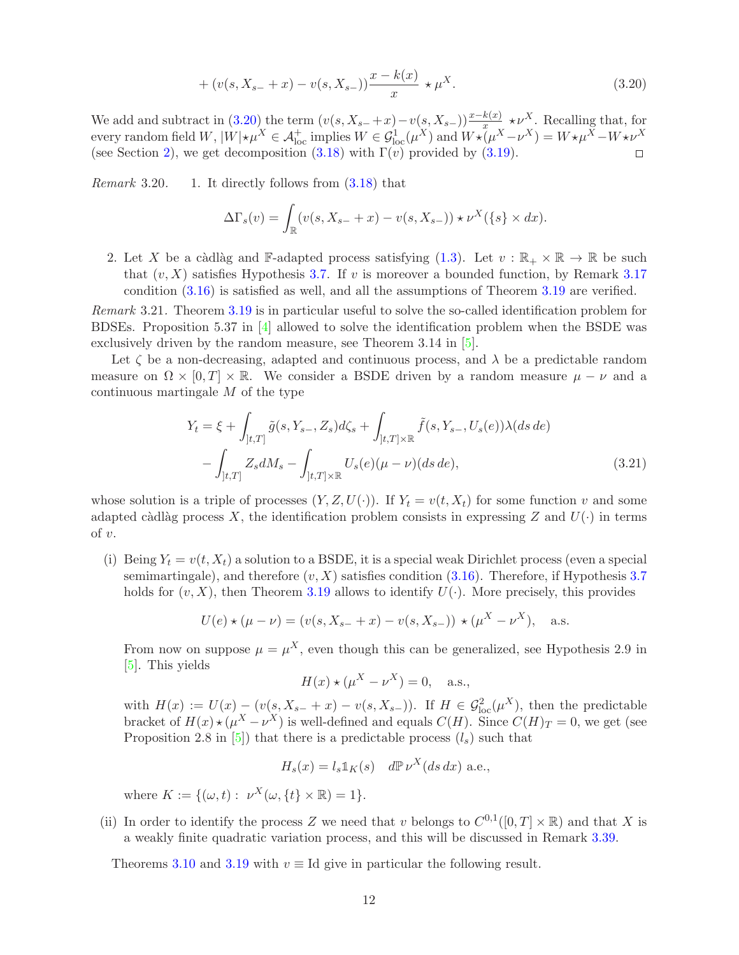+ 
$$
(v(s, X_{s-} + x) - v(s, X_{s-})) \frac{x - k(x)}{x} \star \mu^{X}
$$
. (3.20)

We add and subtract in [\(3.20\)](#page-11-0) the term  $(v(s, X_{s-}+x)-v(s, X_{s-}))\frac{x-k(x)}{x} \star \nu^{X}$ . Recalling that, for every random field  $W$ ,  $|W| \star \mu^{X} \in \mathcal{A}_{\text{loc}}^{+}$  implies  $W \in \mathcal{G}_{\text{loc}}^{1}(\mu^{X})$  and  $W \star (\mu^{X} - \nu^{X}) = W \star \mu^{X} - W \star \nu^{X}$ (see Section [2\)](#page-4-0), we get decomposition  $(3.18)$  with  $\Gamma(v)$  provided by  $(3.19)$ .  $\Box$ 

*Remark* 3.20. 1. It directly follows from  $(3.18)$  that

<span id="page-11-0"></span>
$$
\Delta\Gamma_s(v) = \int_{\mathbb{R}} (v(s, X_{s-} + x) - v(s, X_{s-})) \star \nu^X(\{s\} \times dx).
$$

2. Let X be a càdlàg and F-adapted process satisfying [\(1.3\)](#page-2-0). Let  $v : \mathbb{R}_+ \times \mathbb{R} \to \mathbb{R}$  be such that  $(v, X)$  satisfies Hypothesis [3.7.](#page-8-1) If v is moreover a bounded function, by Remark [3.17](#page-10-5) condition [\(3.16\)](#page-10-2) is satisfied as well, and all the assumptions of Theorem [3.19](#page-10-6) are verified.

<span id="page-11-2"></span>Remark 3.21. Theorem [3.19](#page-10-6) is in particular useful to solve the so-called identification problem for BDSEs. Proposition 5.37 in [\[4\]](#page-49-0) allowed to solve the identification problem when the BSDE was exclusively driven by the random measure, see Theorem 3.14 in [\[5\]](#page-49-6).

Let  $\zeta$  be a non-decreasing, adapted and continuous process, and  $\lambda$  be a predictable random measure on  $\Omega \times [0, T] \times \mathbb{R}$ . We consider a BSDE driven by a random measure  $\mu - \nu$  and a continuous martingale M of the type

$$
Y_t = \xi + \int_{]t,T]} \tilde{g}(s, Y_{s-}, Z_s) d\zeta_s + \int_{]t,T] \times \mathbb{R}} \tilde{f}(s, Y_{s-}, U_s(e)) \lambda(ds \, de)
$$

$$
- \int_{]t,T]} Z_s dM_s - \int_{]t,T] \times \mathbb{R}} U_s(e)(\mu - \nu)(ds \, de), \tag{3.21}
$$

whose solution is a triple of processes  $(Y, Z, U(\cdot))$ . If  $Y_t = v(t, X_t)$  for some function v and some adapted càdlàg process X, the identification problem consists in expressing Z and  $U(\cdot)$  in terms of v.

(i) Being  $Y_t = v(t, X_t)$  a solution to a BSDE, it is a special weak Dirichlet process (even a special semimartingale), and therefore  $(v, X)$  satisfies condition [\(3.16\)](#page-10-2). Therefore, if Hypothesis [3.7](#page-8-1) holds for  $(v, X)$ , then Theorem [3.19](#page-10-6) allows to identify  $U(\cdot)$ . More precisely, this provides

$$
U(e) \star (\mu - \nu) = (v(s, X_{s-} + x) - v(s, X_{s-})) \star (\mu^X - \nu^X), \quad \text{a.s.}
$$

From now on suppose  $\mu = \mu^X$ , even though this can be generalized, see Hypothesis 2.9 in [\[5\]](#page-49-6). This yields

<span id="page-11-1"></span>
$$
H(x) \star (\mu^X - \nu^X) = 0, \quad \text{a.s.},
$$

with  $H(x) := U(x) - (v(s, X_{s-} + x) - v(s, X_{s-}))$ . If  $H \in \mathcal{G}_{loc}^2(\mu^X)$ , then the predictable bracket of  $H(x) \star (\mu^X - \nu^X)$  is well-defined and equals  $C(H)$ . Since  $C(H)_T = 0$ , we get (see Proposition 2.8 in [\[5\]](#page-49-6)) that there is a predictable process  $(l_s)$  such that

$$
H_s(x) = l_s \mathbb{1}_K(s) \quad d\mathbb{P} \nu^X(ds \, dx) \text{ a.e.,}
$$

where  $K := \{(\omega, t) : \nu^X(\omega, \{t\} \times \mathbb{R}) = 1\}.$ 

(ii) In order to identify the process Z we need that v belongs to  $C^{0,1}([0,T] \times \mathbb{R})$  and that X is a weakly finite quadratic variation process, and this will be discussed in Remark [3.39.](#page-16-3)

Theorems [3.10](#page-8-0) and [3.19](#page-10-6) with  $v \equiv$  Id give in particular the following result.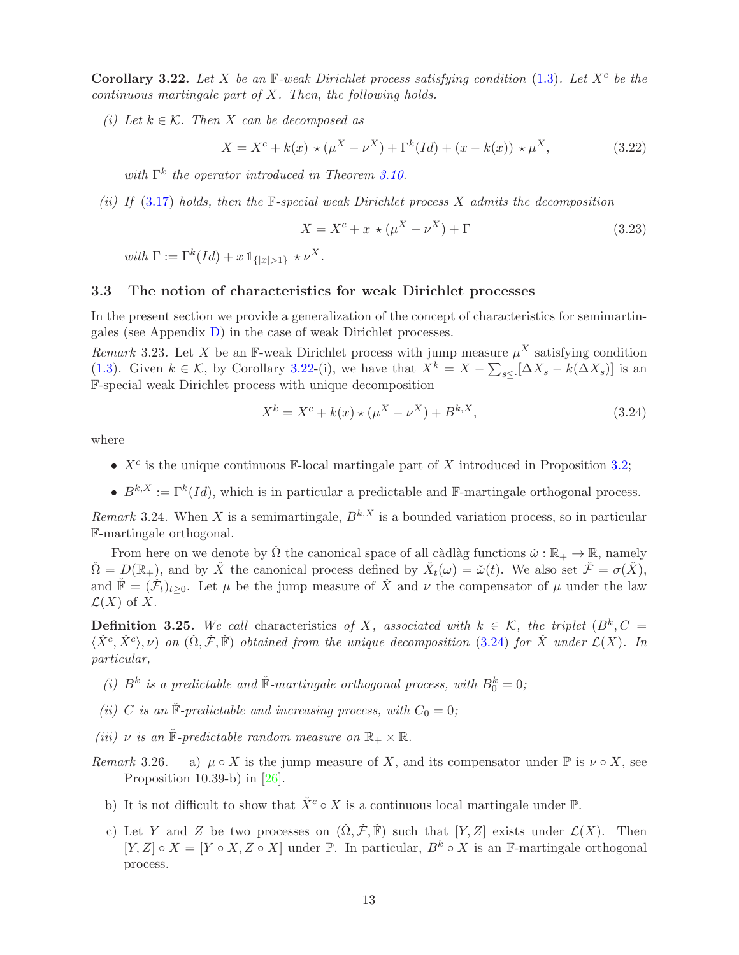<span id="page-12-1"></span>Corollary 3.22. Let X be an  $\mathbb{F}\text{-}weak Dirichlet process satisfying condition (1.3)$  $\mathbb{F}\text{-}weak Dirichlet process satisfying condition (1.3)$ . Let  $X^c$  be the continuous martingale part of X. Then, the following holds.

(i) Let  $k \in \mathcal{K}$ . Then X can be decomposed as

$$
X = X^{c} + k(x) \star (\mu^{X} - \nu^{X}) + \Gamma^{k}(Id) + (x - k(x)) \star \mu^{X},
$$
\n(3.22)

with  $\Gamma^k$  the operator introduced in Theorem [3.10.](#page-8-0)

(ii) If  $(3.17)$  holds, then the F-special weak Dirichlet process X admits the decomposition

$$
X = X^c + x \times (\mu^X - \nu^X) + \Gamma \tag{3.23}
$$

with  $\Gamma := \Gamma^k(Id) + x \mathbb{1}_{\{|x| > 1\}} \star \nu^X$ .

### <span id="page-12-4"></span>3.3 The notion of characteristics for weak Dirichlet processes

In the present section we provide a generalization of the concept of characteristics for semimartingales (see Appendix [D\)](#page-47-1) in the case of weak Dirichlet processes.

<span id="page-12-2"></span>Remark 3.23. Let X be an F-weak Dirichlet process with jump measure  $\mu^X$  satisfying condition [\(1.3\)](#page-2-0). Given  $k \in \mathcal{K}$ , by Corollary [3.22-](#page-12-1)(i), we have that  $X^k = X - \sum_{s \leq k} [\Delta X_s - k(\Delta X_s)]$  is an F-special weak Dirichlet process with unique decomposition

<span id="page-12-3"></span>
$$
X^{k} = X^{c} + k(x) \star (\mu^{X} - \nu^{X}) + B^{k,X}, \qquad (3.24)
$$

where

- $X<sup>c</sup>$  is the unique continuous F-local martingale part of X introduced in Proposition [3.2;](#page-6-0)
- $B^{k,X} := \Gamma^k(Id)$ , which is in particular a predictable and F-martingale orthogonal process.

Remark 3.24. When X is a semimartingale,  $B^{k,X}$  is a bounded variation process, so in particular F-martingale orthogonal.

From here on we denote by  $\check{\Omega}$  the canonical space of all càdlàg functions  $\check{\omega} : \mathbb{R}_+ \to \mathbb{R}$ , namely  $\check{\Omega} = \mathcal{D}(\mathbb{R}_+),$  and by  $\check{X}$  the canonical process defined by  $\check{X}_t(\omega) = \check{\omega}(t)$ . We also set  $\check{\mathcal{F}} = \sigma(\check{X}),$ and  $\check{F} = (\check{\mathcal{F}}_t)_{t \geq 0}$ . Let  $\mu$  be the jump measure of  $\check{X}$  and  $\nu$  the compensator of  $\mu$  under the law  $\mathcal{L}(X)$  of X.

<span id="page-12-0"></span>**Definition 3.25.** We call characteristics of X, associated with  $k \in \mathcal{K}$ , the triplet  $(B^k, C)$  $\langle \check{X}^c, \check{X}^c \rangle$ ,  $\nu$ ) on  $(\check{\Omega}, \check{\mathcal{F}}, \check{\mathbb{F}})$  obtained from the unique decomposition [\(3.24\)](#page-12-3) for  $\check{X}$  under  $\mathcal{L}(X)$ . In particular,

- (i)  $B^k$  is a predictable and  $\check{F}$ -martingale orthogonal process, with  $B_0^k = 0$ ;
- (ii) C is an  $\check{F}$ -predictable and increasing process, with  $C_0 = 0$ ;
- (iii)  $\nu$  is an  $\check{F}$ -predictable random measure on  $\mathbb{R}_+ \times \mathbb{R}$ .
- Remark 3.26. a)  $\mu \circ X$  is the jump measure of X, and its compensator under  $\mathbb P$  is  $\nu \circ X$ , see Proposition 10.39-b) in [\[26\]](#page-50-9).
	- b) It is not difficult to show that  $\check{X}^c \circ X$  is a continuous local martingale under  $\mathbb{P}$ .
	- c) Let Y and Z be two processes on  $(\check{\Omega}, \check{\mathcal{F}}, \check{\mathbb{F}})$  such that  $[Y, Z]$  exists under  $\mathcal{L}(X)$ . Then  $[Y, Z] \circ X = [Y \circ X, Z \circ X]$  under  $\mathbb{P}$ . In particular,  $B^k \circ X$  is an F-martingale orthogonal process.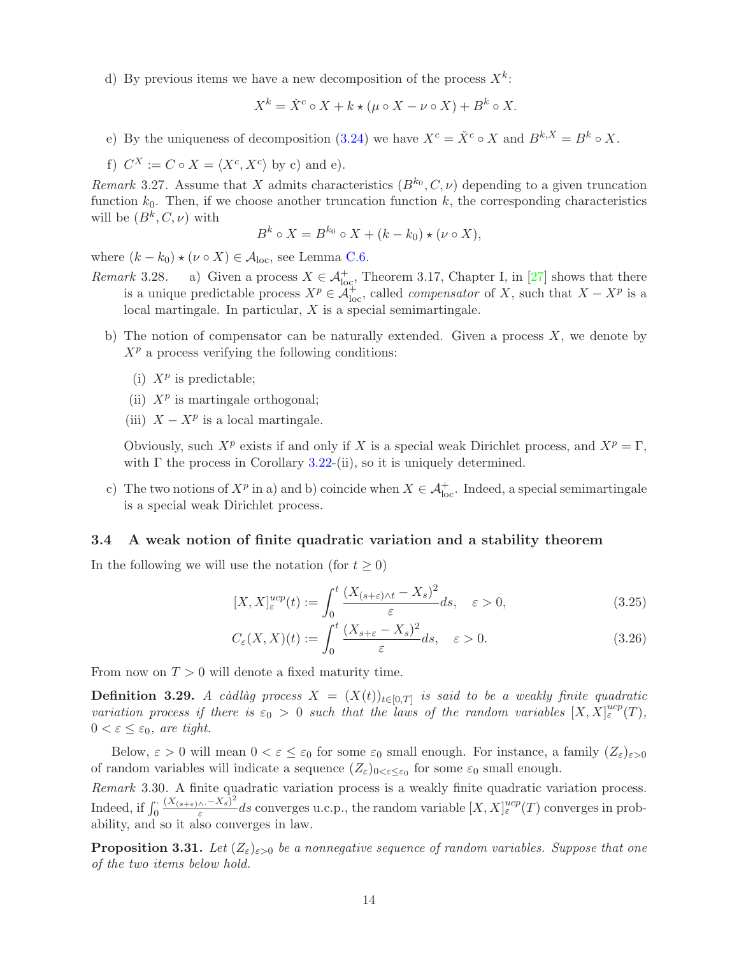d) By previous items we have a new decomposition of the process  $X^k$ :

$$
X^k = \check{X}^c \circ X + k \star (\mu \circ X - \nu \circ X) + B^k \circ X.
$$

e) By the uniqueness of decomposition [\(3.24\)](#page-12-3) we have  $X^c = \check{X}^c \circ X$  and  $B^{k,X} = B^k \circ X$ .

f) 
$$
C^X := C \circ X = \langle X^c, X^c \rangle
$$
 by c) and e).

Remark 3.27. Assume that X admits characteristics  $(B^{k_0}, C, \nu)$  depending to a given truncation function  $k_0$ . Then, if we choose another truncation function  $k$ , the corresponding characteristics will be  $(B^k, C, \nu)$  with

$$
B^k \circ X = B^{k_0} \circ X + (k - k_0) \star (\nu \circ X),
$$

where  $(k - k_0) \star (\nu \circ X) \in \mathcal{A}_{loc}$ , see Lemma [C.6.](#page-47-2)

- Remark 3.28. a) Given a process  $X \in \mathcal{A}^+_{loc}$ , Theorem 3.17, Chapter I, in [\[27\]](#page-50-7) shows that there is a unique predictable process  $X^p \in \widetilde{\mathcal{A}}_{\text{loc}}^+$ , called *compensator* of X, such that  $X - X^p$  is a local martingale. In particular, X is a special semimartingale.
	- b) The notion of compensator can be naturally extended. Given a process  $X$ , we denote by  $X^p$  a process verifying the following conditions:
		- (i)  $X^p$  is predictable;
		- (ii)  $X^p$  is martingale orthogonal;
		- (iii)  $X X^p$  is a local martingale.

Obviously, such  $X^p$  exists if and only if X is a special weak Dirichlet process, and  $X^p = \Gamma$ , with  $\Gamma$  the process in Corollary [3.22-](#page-12-1)(ii), so it is uniquely determined.

c) The two notions of  $X^p$  in a) and b) coincide when  $X \in \mathcal{A}^+_{loc}$ . Indeed, a special semimartingale is a special weak Dirichlet process.

#### 3.4 A weak notion of finite quadratic variation and a stability theorem

In the following we will use the notation (for  $t \geq 0$ )

$$
[X, X]_{\varepsilon}^{ucp}(t) := \int_0^t \frac{(X_{(s+\varepsilon)\wedge t} - X_s)^2}{\varepsilon} ds, \quad \varepsilon > 0,
$$
\n(3.25)

$$
C_{\varepsilon}(X,X)(t) := \int_0^t \frac{(X_{s+\varepsilon} - X_s)^2}{\varepsilon} ds, \quad \varepsilon > 0.
$$
 (3.26)

From now on  $T > 0$  will denote a fixed maturity time.

<span id="page-13-0"></span>**Definition 3.29.** A càdlàg process  $X = (X(t))_{t \in [0,T]}$  is said to be a weakly finite quadratic variation process if there is  $\varepsilon_0 > 0$  such that the laws of the random variables  $[X, X]_{\varepsilon}^{ucp}(T)$ ,  $0 < \varepsilon \leq \varepsilon_0$ , are tight.

Below,  $\varepsilon > 0$  will mean  $0 < \varepsilon \leq \varepsilon_0$  for some  $\varepsilon_0$  small enough. For instance, a family  $(Z_{\varepsilon})_{\varepsilon > 0}$ of random variables will indicate a sequence  $(Z_{\varepsilon})_{0<\varepsilon\leq \varepsilon_0}$  for some  $\varepsilon_0$  small enough.

Remark 3.30. A finite quadratic variation process is a weakly finite quadratic variation process. Indeed, if  $\int_0^1$  $(X_{(s+\varepsilon)\wedge \cdot}-X_s)^2$  $\frac{d_A(x)-X_s)^2}{dx}$  as converges u.c.p., the random variable  $[X, X]_{\varepsilon}^{ucp}(T)$  converges in probability, and so it also converges in law.

<span id="page-13-1"></span>**Proposition 3.31.** Let  $(Z_{\varepsilon})_{\varepsilon>0}$  be a nonnegative sequence of random variables. Suppose that one of the two items below hold.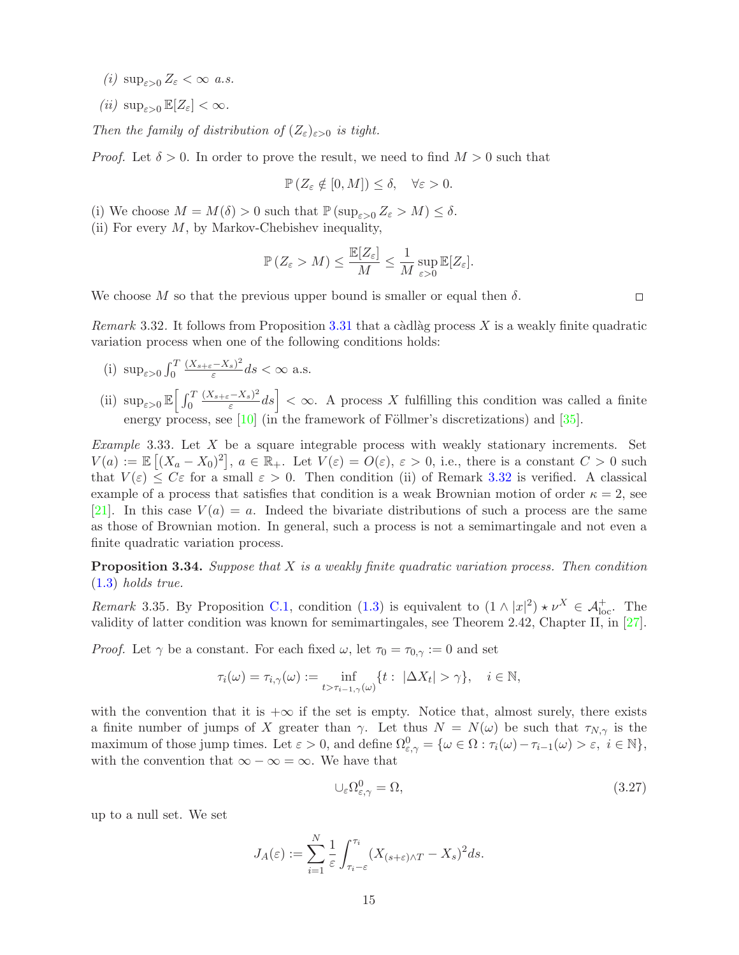- (i)  $\sup_{\varepsilon>0} Z_{\varepsilon} < \infty$  a.s.
- (ii)  $\sup_{\varepsilon>0} \mathbb{E}[Z_{\varepsilon}] < \infty$ .

Then the family of distribution of  $(Z_{\varepsilon})_{\varepsilon>0}$  is tight.

*Proof.* Let  $\delta > 0$ . In order to prove the result, we need to find  $M > 0$  such that

$$
\mathbb{P}\left(Z_{\varepsilon}\notin[0,M]\right)\leq\delta,\quad\forall\varepsilon>0.
$$

- (i) We choose  $M = M(\delta) > 0$  such that  $\mathbb{P}(\sup_{\varepsilon>0} Z_{\varepsilon} > M) \leq \delta$ .
- (ii) For every  $M$ , by Markov-Chebishev inequality,

$$
\mathbb{P}\left(Z_{\varepsilon} > M\right) \leq \frac{\mathbb{E}[Z_{\varepsilon}]}{M} \leq \frac{1}{M} \sup_{\varepsilon > 0} \mathbb{E}[Z_{\varepsilon}].
$$

We choose M so that the previous upper bound is smaller or equal then  $\delta$ .

 $\Box$ 

<span id="page-14-0"></span>Remark 3.32. It follows from Proposition [3.31](#page-13-1) that a càdlàg process X is a weakly finite quadratic variation process when one of the following conditions holds:

- (i)  $\sup_{\varepsilon>0} \int_0^T$  $(X_{s+\varepsilon}-X_s)^2$  $\frac{(-\Lambda_s)^2}{\varepsilon}$ ds  $<\infty$  a.s.
- (ii)  $\sup_{\varepsilon>0} \mathbb{E} \left[ \int_0^T$  $(X_{s+\varepsilon}-X_s)^2$  $\left| \frac{-X_s}{\varepsilon} \right|^2 ds$  <  $\infty$ . A process X fulfilling this condition was called a finite energy process, see  $[10]$  (in the framework of Föllmer's discretizations) and  $[35]$ .

<span id="page-14-1"></span>*Example* 3.33. Let  $X$  be a square integrable process with weakly stationary increments. Set  $V(a) := \mathbb{E} [(X_a - X_0)^2], a \in \mathbb{R}_+$ . Let  $V(\varepsilon) = O(\varepsilon), \varepsilon > 0$ , i.e., there is a constant  $C > 0$  such that  $V(\varepsilon) \leq C\varepsilon$  for a small  $\varepsilon > 0$ . Then condition (ii) of Remark [3.32](#page-14-0) is verified. A classical example of a process that satisfies that condition is a weak Brownian motion of order  $\kappa = 2$ , see [\[21\]](#page-49-16). In this case  $V(a) = a$ . Indeed the bivariate distributions of such a process are the same as those of Brownian motion. In general, such a process is not a semimartingale and not even a finite quadratic variation process.

<span id="page-14-2"></span>**Proposition 3.34.** Suppose that X is a weakly finite quadratic variation process. Then condition [\(1.3\)](#page-2-0) holds true.

<span id="page-14-4"></span>Remark 3.35. By Proposition [C.1,](#page-48-2) condition [\(1.3\)](#page-2-0) is equivalent to  $(1 \wedge |x|^2) \star \nu^X \in \mathcal{A}_{\text{loc}}^+$ . The validity of latter condition was known for semimartingales, see Theorem 2.42, Chapter II, in [\[27\]](#page-50-7).

*Proof.* Let  $\gamma$  be a constant. For each fixed  $\omega$ , let  $\tau_0 = \tau_{0,\gamma} := 0$  and set

$$
\tau_i(\omega) = \tau_{i,\gamma}(\omega) := \inf_{t > \tau_{i-1,\gamma}(\omega)} \{ t : \ |\Delta X_t| > \gamma \}, \quad i \in \mathbb{N},
$$

with the convention that it is  $+\infty$  if the set is empty. Notice that, almost surely, there exists a finite number of jumps of X greater than  $\gamma$ . Let thus  $N = N(\omega)$  be such that  $\tau_{N,\gamma}$  is the maximum of those jump times. Let  $\varepsilon > 0$ , and define  $\Omega_{\varepsilon,\gamma}^0 = \{ \omega \in \Omega : \tau_i(\omega) - \tau_{i-1}(\omega) > \varepsilon, \ i \in \mathbb{N} \},\$ with the convention that  $\infty - \infty = \infty$ . We have that

<span id="page-14-3"></span>
$$
\cup_{\varepsilon} \Omega_{\varepsilon,\gamma}^0 = \Omega,\tag{3.27}
$$

up to a null set. We set

$$
J_A(\varepsilon) := \sum_{i=1}^N \frac{1}{\varepsilon} \int_{\tau_i - \varepsilon}^{\tau_i} (X_{(s+\varepsilon)\wedge T} - X_s)^2 ds.
$$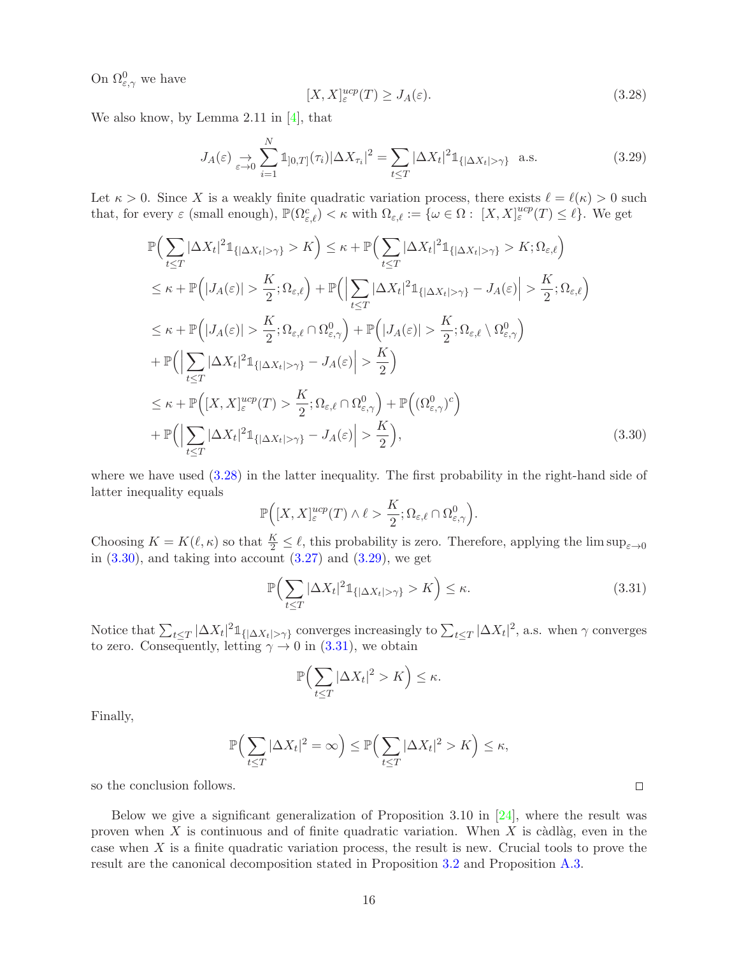On  $\Omega_{\varepsilon,\gamma}^0$  we have

<span id="page-15-2"></span>
$$
[X, X]_{\varepsilon}^{ucp}(T) \ge J_A(\varepsilon). \tag{3.28}
$$

We also know, by Lemma 2.11 in  $[4]$ , that

<span id="page-15-0"></span>
$$
J_A(\varepsilon) \underset{\varepsilon \to 0}{\to} \sum_{i=1}^{N} \mathbb{1}_{[0,T]}(\tau_i) |\Delta X_{\tau_i}|^2 = \sum_{t \le T} |\Delta X_t|^2 \mathbb{1}_{\{|\Delta X_t| > \gamma\}} \text{ a.s.}
$$
 (3.29)

Let  $\kappa > 0$ . Since X is a weakly finite quadratic variation process, there exists  $\ell = \ell(\kappa) > 0$  such that, for every  $\varepsilon$  (small enough),  $\mathbb{P}(\Omega_{\varepsilon,\ell}^c) < \kappa$  with  $\Omega_{\varepsilon,\ell} := {\omega \in \Omega : [X, X]_{\varepsilon}^{ucp}(T) \le \ell}.$  We get

$$
\mathbb{P}\Big(\sum_{t\leq T}|\Delta X_t|^2 \mathbb{1}_{\{|\Delta X_t|>\gamma\}} > K\Big) \leq \kappa + \mathbb{P}\Big(\sum_{t\leq T}|\Delta X_t|^2 \mathbb{1}_{\{|\Delta X_t|>\gamma\}} > K; \Omega_{\varepsilon,\ell}\Big) \n\leq \kappa + \mathbb{P}\Big(|J_A(\varepsilon)| > \frac{K}{2}; \Omega_{\varepsilon,\ell}\Big) + \mathbb{P}\Big(\Big|\sum_{t\leq T}|\Delta X_t|^2 \mathbb{1}_{\{|\Delta X_t|>\gamma\}} - J_A(\varepsilon)\Big| > \frac{K}{2}; \Omega_{\varepsilon,\ell}\Big) \n\leq \kappa + \mathbb{P}\Big(|J_A(\varepsilon)| > \frac{K}{2}; \Omega_{\varepsilon,\ell} \cap \Omega_{\varepsilon,\gamma}^0\Big) + \mathbb{P}\Big(|J_A(\varepsilon)| > \frac{K}{2}; \Omega_{\varepsilon,\ell} \setminus \Omega_{\varepsilon,\gamma}^0\Big) \n+ \mathbb{P}\Big(\Big|\sum_{t\leq T}|\Delta X_t|^2 \mathbb{1}_{\{|\Delta X_t|>\gamma\}} - J_A(\varepsilon)\Big| > \frac{K}{2}\Big) \n\leq \kappa + \mathbb{P}\Big([X, X]_{\varepsilon}^{ucp}(T) > \frac{K}{2}; \Omega_{\varepsilon,\ell} \cap \Omega_{\varepsilon,\gamma}^0\Big) + \mathbb{P}\Big((\Omega_{\varepsilon,\gamma}^0)^c\Big) \n+ \mathbb{P}\Big(\Big|\sum_{t\leq T}|\Delta X_t|^2 \mathbb{1}_{\{|\Delta X_t|>\gamma\}} - J_A(\varepsilon)\Big| > \frac{K}{2}\Big), \tag{3.30}
$$

where we have used  $(3.28)$  in the latter inequality. The first probability in the right-hand side of latter inequality equals

$$
\mathbb{P}\Big([X,X]^{ucp}_{\varepsilon}(T) \wedge \ell > \frac{K}{2}; \Omega_{\varepsilon,\ell} \cap \Omega^0_{\varepsilon,\gamma}\Big).
$$

Choosing  $K = K(\ell, \kappa)$  so that  $\frac{K}{2} \leq \ell$ , this probability is zero. Therefore, applying the lim sup<sub> $\epsilon \to 0$ </sub> in  $(3.30)$ , and taking into account  $(3.27)$  and  $(3.29)$ , we get

$$
\mathbb{P}\Big(\sum_{t\leq T}|\Delta X_t|^2 \mathbb{1}_{\{|\Delta X_t|>\gamma\}} > K\Big) \leq \kappa. \tag{3.31}
$$

Notice that  $\sum_{t \leq T} |\Delta X_t|^2 \mathbb{1}_{\{|\Delta X_t| > \gamma\}}$  converges increasingly to  $\sum_{t \leq T} |\Delta X_t|^2$ , a.s. when  $\gamma$  converges to zero. Consequently, letting  $\gamma \to 0$  in [\(3.31\)](#page-15-3), we obtain

$$
\mathbb{P}\Big(\sum_{t\leq T}|\Delta X_t|^2 > K\Big) \leq \kappa.
$$

Finally,

$$
\mathbb{P}\Big(\sum_{t\leq T}|\Delta X_t|^2=\infty\Big)\leq \mathbb{P}\Big(\sum_{t\leq T}|\Delta X_t|^2>K\Big)\leq \kappa,
$$

so the conclusion follows.

Below we give a significant generalization of Proposition 3.10 in [\[24\]](#page-50-0), where the result was proven when X is continuous and of finite quadratic variation. When X is càdlàg, even in the case when  $X$  is a finite quadratic variation process, the result is new. Crucial tools to prove the result are the canonical decomposition stated in Proposition [3.2](#page-6-0) and Proposition [A.3.](#page-45-1)

<span id="page-15-3"></span><span id="page-15-1"></span> $\Box$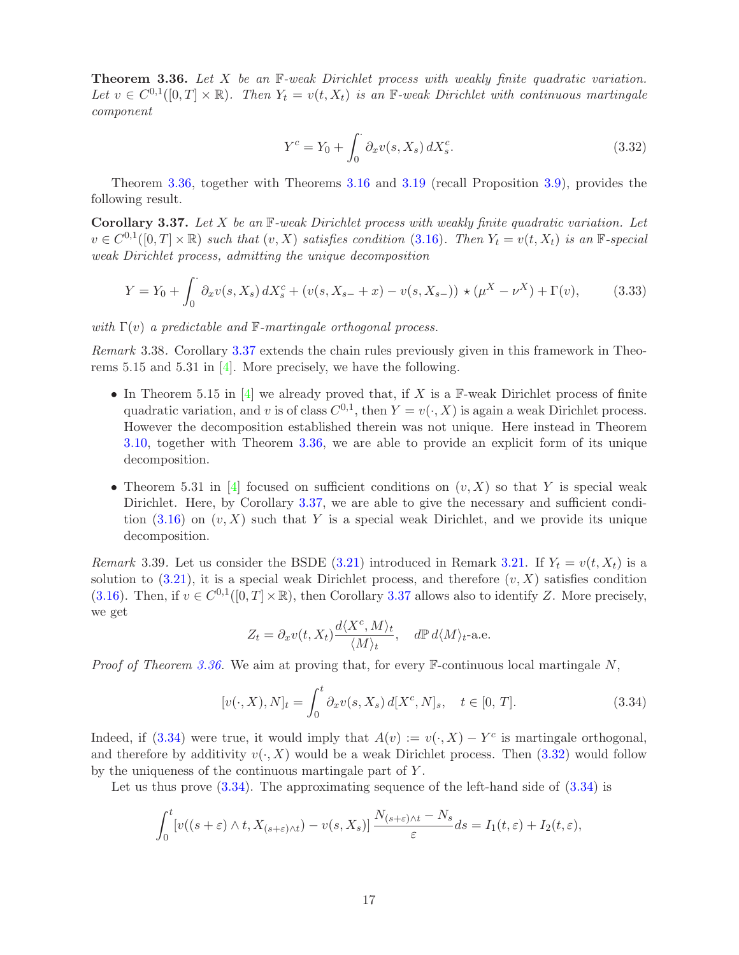<span id="page-16-0"></span>**Theorem 3.36.** Let X be an  $\mathbb{F}\text{-weak Dirichlet process with weakly finite quadratic variation.}$ Let  $v \in C^{0,1}([0,T] \times \mathbb{R})$ . Then  $Y_t = v(t, X_t)$  is an  $\mathbb{F}\text{-}weak Dirichlet with continuous martingale$ . component

<span id="page-16-5"></span>
$$
Y^{c} = Y_{0} + \int_{0}^{\cdot} \partial_{x} v(s, X_{s}) dX_{s}^{c}.
$$
\n(3.32)

Theorem [3.36,](#page-16-0) together with Theorems [3.16](#page-10-1) and [3.19](#page-10-6) (recall Proposition [3.9\)](#page-8-6), provides the following result.

<span id="page-16-1"></span>**Corollary 3.37.** Let X be an  $\mathbb{F}-weak$  Dirichlet process with weakly finite quadratic variation. Let  $v \in C^{0,1}([0,T] \times \mathbb{R})$  such that  $(v, X)$  satisfies condition [\(3.16\)](#page-10-2). Then  $Y_t = v(t, X_t)$  is an  $\mathbb{F}$ -special weak Dirichlet process, admitting the unique decomposition

$$
Y = Y_0 + \int_0^{\cdot} \partial_x v(s, X_s) dX_s^c + (v(s, X_{s-} + x) - v(s, X_{s-})) \star (\mu^X - \nu^X) + \Gamma(v), \tag{3.33}
$$

with  $\Gamma(v)$  a predictable and  $\mathbb{F}\text{-}martingale$  orthogonal process.

<span id="page-16-2"></span>Remark 3.38. Corollary [3.37](#page-16-1) extends the chain rules previously given in this framework in Theorems 5.15 and 5.31 in [\[4\]](#page-49-0). More precisely, we have the following.

- In Theorem 5.15 in  $[4]$  we already proved that, if X is a F-weak Dirichlet process of finite quadratic variation, and v is of class  $C^{0,1}$ , then  $Y = v(\cdot, X)$  is again a weak Dirichlet process. However the decomposition established therein was not unique. Here instead in Theorem [3.10,](#page-8-0) together with Theorem [3.36,](#page-16-0) we are able to provide an explicit form of its unique decomposition.
- Theorem 5.31 in [\[4\]](#page-49-0) focused on sufficient conditions on  $(v, X)$  so that Y is special weak Dirichlet. Here, by Corollary [3.37,](#page-16-1) we are able to give the necessary and sufficient condition  $(3.16)$  on  $(v, X)$  such that Y is a special weak Dirichlet, and we provide its unique decomposition.

<span id="page-16-3"></span>Remark 3.39. Let us consider the BSDE [\(3.21\)](#page-11-1) introduced in Remark [3.21.](#page-11-2) If  $Y_t = v(t, X_t)$  is a solution to  $(3.21)$ , it is a special weak Dirichlet process, and therefore  $(v, X)$  satisfies condition [\(3.16\)](#page-10-2). Then, if  $v \in C^{0,1}([0,T] \times \mathbb{R})$ , then Corollary [3.37](#page-16-1) allows also to identify Z. More precisely, we get

<span id="page-16-4"></span>
$$
Z_t = \partial_x v(t, X_t) \frac{d\langle X^c, M \rangle_t}{\langle M \rangle_t}, \quad d\mathbb{P} d\langle M \rangle_t
$$
-a.e.

*Proof of Theorem [3.36.](#page-16-0)* We aim at proving that, for every  $\mathbb{F}$ -continuous local martingale N,

$$
[v(\cdot, X), N]_t = \int_0^t \partial_x v(s, X_s) d[X^c, N]_s, \quad t \in [0, T].
$$
 (3.34)

Indeed, if [\(3.34\)](#page-16-4) were true, it would imply that  $A(v) := v(\cdot, X) - Y^c$  is martingale orthogonal, and therefore by additivity  $v(\cdot, X)$  would be a weak Dirichlet process. Then [\(3.32\)](#page-16-5) would follow by the uniqueness of the continuous martingale part of Y .

Let us thus prove  $(3.34)$ . The approximating sequence of the left-hand side of  $(3.34)$  is

$$
\int_0^t \left[ v((s+\varepsilon) \wedge t, X_{(s+\varepsilon) \wedge t}) - v(s, X_s) \right] \frac{N_{(s+\varepsilon) \wedge t} - N_s}{\varepsilon} ds = I_1(t, \varepsilon) + I_2(t, \varepsilon),
$$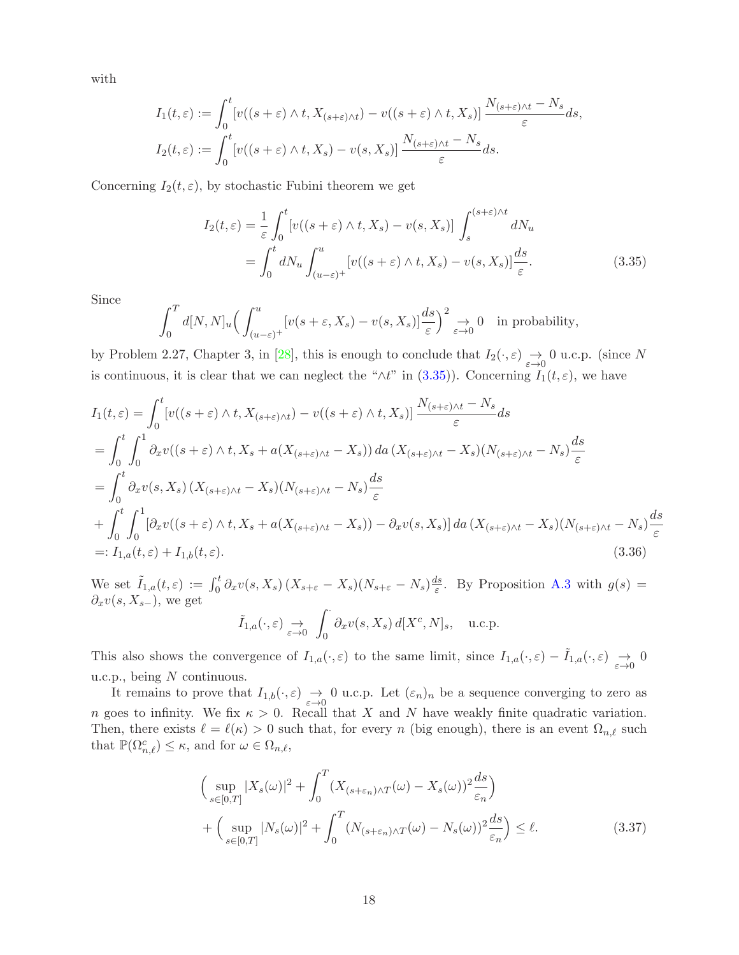with

$$
I_1(t,\varepsilon) := \int_0^t \left[ v((s+\varepsilon) \wedge t, X_{(s+\varepsilon) \wedge t}) - v((s+\varepsilon) \wedge t, X_s) \right] \frac{N_{(s+\varepsilon) \wedge t} - N_s}{\varepsilon} ds,
$$
  

$$
I_2(t,\varepsilon) := \int_0^t \left[ v((s+\varepsilon) \wedge t, X_s) - v(s, X_s) \right] \frac{N_{(s+\varepsilon) \wedge t} - N_s}{\varepsilon} ds.
$$

Concerning  $I_2(t, \varepsilon)$ , by stochastic Fubini theorem we get

<span id="page-17-0"></span>
$$
I_2(t,\varepsilon) = \frac{1}{\varepsilon} \int_0^t \left[ v((s+\varepsilon) \wedge t, X_s) - v(s, X_s) \right] \int_s^{(s+\varepsilon)\wedge t} dN_u
$$
  
= 
$$
\int_0^t dN_u \int_{(u-\varepsilon)^+}^u \left[ v((s+\varepsilon) \wedge t, X_s) - v(s, X_s) \right] \frac{ds}{\varepsilon}.
$$
 (3.35)

Since

$$
\int_0^T d[N,N]_u \Big( \int_{(u-\varepsilon)^+}^u [v(s+\varepsilon,X_s) - v(s,X_s)] \frac{ds}{\varepsilon} \Big)^2 \underset{\varepsilon \to 0}{\to} 0 \quad \text{in probability},
$$

by Problem 2.27, Chapter 3, in [\[28\]](#page-50-12), this is enough to conclude that  $I_2(\cdot,\varepsilon) \to 0$  u.c.p. (since N is continuous, it is clear that we can neglect the " $\wedge t$ " in [\(3.35\)](#page-17-0)). Concerning  $I_1(t, \varepsilon)$ , we have

$$
I_{1}(t,\varepsilon) = \int_{0}^{t} \left[ v((s+\varepsilon)\wedge t, X_{(s+\varepsilon)\wedge t}) - v((s+\varepsilon)\wedge t, X_{s}) \right] \frac{N_{(s+\varepsilon)\wedge t} - N_{s}}{\varepsilon} ds
$$
  
\n
$$
= \int_{0}^{t} \int_{0}^{1} \partial_{x}v((s+\varepsilon)\wedge t, X_{s} + a(X_{(s+\varepsilon)\wedge t} - X_{s})) da (X_{(s+\varepsilon)\wedge t} - X_{s}) (N_{(s+\varepsilon)\wedge t} - N_{s}) \frac{ds}{\varepsilon}
$$
  
\n
$$
= \int_{0}^{t} \partial_{x}v(s, X_{s}) (X_{(s+\varepsilon)\wedge t} - X_{s}) (N_{(s+\varepsilon)\wedge t} - N_{s}) \frac{ds}{\varepsilon}
$$
  
\n
$$
+ \int_{0}^{t} \int_{0}^{1} \left[ \partial_{x}v((s+\varepsilon)\wedge t, X_{s} + a(X_{(s+\varepsilon)\wedge t} - X_{s})) - \partial_{x}v(s, X_{s}) \right] da (X_{(s+\varepsilon)\wedge t} - X_{s}) (N_{(s+\varepsilon)\wedge t} - N_{s}) \frac{ds}{\varepsilon}
$$
  
\n
$$
=: I_{1,a}(t,\varepsilon) + I_{1,b}(t,\varepsilon).
$$
 (3.36)

We set  $\tilde{I}_{1,a}(t,\varepsilon) := \int_0^t \partial_x v(s,X_s) (X_{s+\varepsilon} - X_s) (N_{s+\varepsilon} - N_s) \frac{ds}{\varepsilon}$  $\frac{ds}{\varepsilon}$ . By Proposition [A.3](#page-45-1) with  $g(s) =$  $\partial_x v(s,X_{s-}),$  we get

<span id="page-17-2"></span>
$$
\tilde{I}_{1,a}(\cdot,\varepsilon) \to \int_0^{\cdot} \partial_x v(s,X_s) d[X^c,N]_s, \quad \text{u.c.p.}
$$

This also shows the convergence of  $I_{1,a}(\cdot,\varepsilon)$  to the same limit, since  $I_{1,a}(\cdot,\varepsilon) - \tilde{I}_{1,a}(\cdot,\varepsilon) \to 0$ u.c.p., being  $\boldsymbol{N}$  continuous.

It remains to prove that  $I_{1,b}(\cdot,\varepsilon) \to 0$  u.c.p. Let  $(\varepsilon_n)_n$  be a sequence converging to zero as n goes to infinity. We fix  $\kappa > 0$ . Recall that X and N have weakly finite quadratic variation. Then, there exists  $\ell = \ell(\kappa) > 0$  such that, for every n (big enough), there is an event  $\Omega_{n,\ell}$  such that  $\mathbb{P}(\Omega_{n,\ell}^c) \leq \kappa$ , and for  $\omega \in \Omega_{n,\ell}$ ,

<span id="page-17-1"></span>
$$
\left(\sup_{s\in[0,T]}|X_s(\omega)|^2 + \int_0^T (X_{(s+\varepsilon_n)\wedge T}(\omega) - X_s(\omega))^2 \frac{ds}{\varepsilon_n}\right) + \left(\sup_{s\in[0,T]}|N_s(\omega)|^2 + \int_0^T (N_{(s+\varepsilon_n)\wedge T}(\omega) - N_s(\omega))^2 \frac{ds}{\varepsilon_n}\right) \le \ell.
$$
\n(3.37)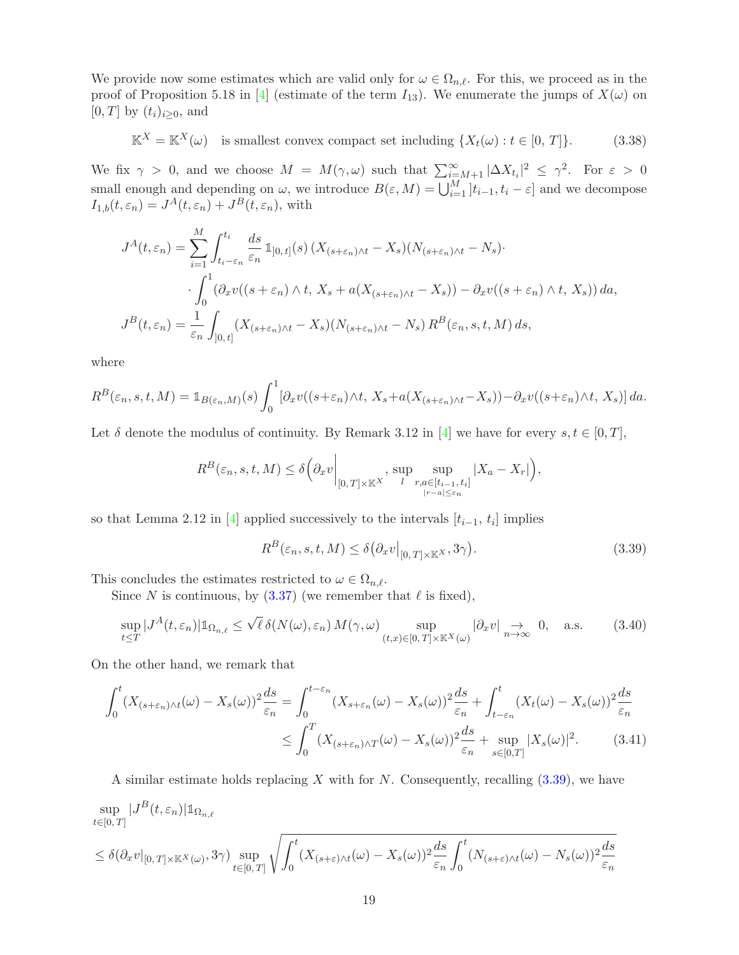We provide now some estimates which are valid only for  $\omega \in \Omega_{n,\ell}$ . For this, we proceed as in the proof of Proposition 5.18 in [\[4\]](#page-49-0) (estimate of the term  $I_{13}$ ). We enumerate the jumps of  $X(\omega)$  on  $[0, T]$  by  $(t_i)_{i \geq 0}$ , and

<span id="page-18-3"></span>
$$
\mathbb{K}^X = \mathbb{K}^X(\omega) \quad \text{is smallest convex compact set including } \{X_t(\omega) : t \in [0, T] \}. \tag{3.38}
$$

We fix  $\gamma > 0$ , and we choose  $M = M(\gamma, \omega)$  such that  $\sum_{i=M+1}^{\infty} |\Delta X_{t_i}|^2 \leq \gamma^2$ . For  $\varepsilon > 0$ small enough and depending on  $\omega$ , we introduce  $B(\varepsilon, M) = \bigcup_{i=1}^{M} [t_{i-1}, t_i - \varepsilon]$  and we decompose  $I_{1,b}(t,\varepsilon_n) = J^A(t,\varepsilon_n) + J^B(t,\varepsilon_n)$ , with

$$
J^{A}(t, \varepsilon_{n}) = \sum_{i=1}^{M} \int_{t_{i}-\varepsilon_{n}}^{t_{i}} \frac{ds}{\varepsilon_{n}} 1_{]0, t]}(s) \left(X_{(s+\varepsilon_{n})\wedge t} - X_{s}\right) (N_{(s+\varepsilon_{n})\wedge t} - N_{s}) \cdot \int_{0}^{1} \left(\partial_{x}v((s+\varepsilon_{n})\wedge t, X_{s} + a(X_{(s+\varepsilon_{n})\wedge t} - X_{s})) - \partial_{x}v((s+\varepsilon_{n})\wedge t, X_{s})\right) da,
$$
  

$$
J^{B}(t, \varepsilon_{n}) = \frac{1}{\varepsilon_{n}} \int_{]0, t]} \left(X_{(s+\varepsilon_{n})\wedge t} - X_{s}\right) (N_{(s+\varepsilon_{n})\wedge t} - N_{s}) R^{B}(\varepsilon_{n}, s, t, M) ds,
$$

where

$$
R^{B}(\varepsilon_{n}, s, t, M) = \mathbb{1}_{B(\varepsilon_{n}, M)}(s) \int_{0}^{1} [\partial_{x}v((s+\varepsilon_{n})\wedge t, X_{s} + a(X_{(s+\varepsilon_{n})\wedge t} - X_{s})) - \partial_{x}v((s+\varepsilon_{n})\wedge t, X_{s})] da.
$$

Let  $\delta$  denote the modulus of continuity. By Remark 3.12 in [\[4\]](#page-49-0) we have for every  $s, t \in [0, T]$ ,

$$
R^{B}(\varepsilon_{n}, s, t, M) \leq \delta \left(\partial_{x} v \bigg|_{[0, T] \times \mathbb{K}^{X}} , \sup_{l} \sup_{\substack{r, a \in [t_{i-1}, t_{i}] \\ |r - a| \leq \varepsilon_{n}}} |X_{a} - X_{r}| \right),
$$

so that Lemma 2.12 in [\[4\]](#page-49-0) applied successively to the intervals  $[t_{i-1}, t_i]$  implies

<span id="page-18-2"></span><span id="page-18-1"></span><span id="page-18-0"></span>
$$
R^{B}(\varepsilon_{n}, s, t, M) \leq \delta(\partial_{x}v|_{[0, T] \times \mathbb{K}^{X}}, 3\gamma).
$$
\n(3.39)

This concludes the estimates restricted to  $\omega \in \Omega_{n,\ell}$ .

Since N is continuous, by  $(3.37)$  (we remember that  $\ell$  is fixed),

$$
\sup_{t \leq T} |J^A(t, \varepsilon_n)| \mathbb{1}_{\Omega_{n,\ell}} \leq \sqrt{\ell} \, \delta(N(\omega), \varepsilon_n) \, M(\gamma, \omega) \sup_{(t,x) \in [0, T] \times \mathbb{K}^X(\omega)} |\partial_x v| \underset{n \to \infty}{\to} 0, \quad \text{a.s.}
$$
 (3.40)

On the other hand, we remark that

$$
\int_0^t (X_{(s+\varepsilon_n)\wedge t}(\omega) - X_s(\omega))^2 \frac{ds}{\varepsilon_n} = \int_0^{t-\varepsilon_n} (X_{s+\varepsilon_n}(\omega) - X_s(\omega))^2 \frac{ds}{\varepsilon_n} + \int_{t-\varepsilon_n}^t (X_t(\omega) - X_s(\omega))^2 \frac{ds}{\varepsilon_n}
$$

$$
\leq \int_0^T (X_{(s+\varepsilon_n)\wedge T}(\omega) - X_s(\omega))^2 \frac{ds}{\varepsilon_n} + \sup_{s\in[0,T]} |X_s(\omega)|^2. \tag{3.41}
$$

A similar estimate holds replacing X with for N. Consequently, recalling  $(3.39)$ , we have

$$
\sup_{t \in [0,T]} |J^B(t,\varepsilon_n)| \mathbb{1}_{\Omega_{n,\ell}} \n\leq \delta(\partial_x v|_{[0,T] \times \mathbb{K}^X(\omega)},3\gamma) \sup_{t \in [0,T]} \sqrt{\int_0^t (X_{(s+\varepsilon)\wedge t}(\omega) - X_s(\omega))^2 \frac{ds}{\varepsilon_n} \int_0^t (N_{(s+\varepsilon)\wedge t}(\omega) - N_s(\omega))^2 \frac{ds}{\varepsilon_n}}
$$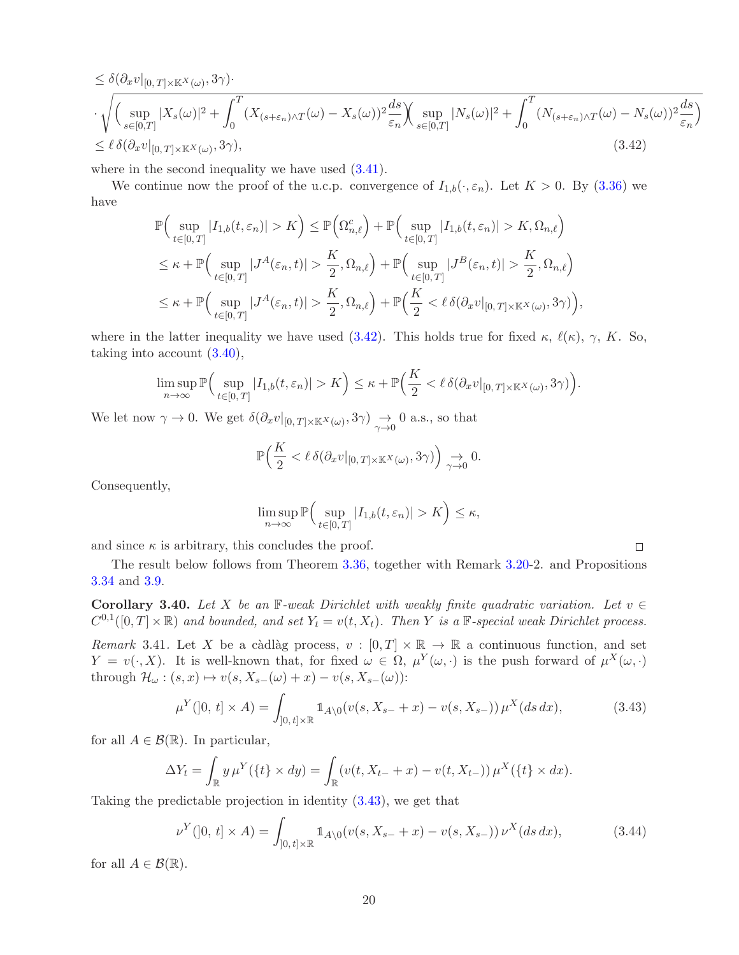$$
\leq \delta(\partial_x v|_{[0,T]\times\mathbb{K}^X(\omega)},3\gamma)\cdot
$$
  

$$
\cdot \sqrt{\left(\sup_{s\in[0,T]}|X_s(\omega)|^2 + \int_0^T (X_{(s+\varepsilon_n)\wedge T}(\omega) - X_s(\omega))^2 \frac{ds}{\varepsilon_n}\right) \left(\sup_{s\in[0,T]}|N_s(\omega)|^2 + \int_0^T (N_{(s+\varepsilon_n)\wedge T}(\omega) - N_s(\omega))^2 \frac{ds}{\varepsilon_n}\right)}
$$
  

$$
\leq \ell \delta(\partial_x v|_{[0,T]\times\mathbb{K}^X(\omega)},3\gamma),
$$
 (3.42)

where in the second inequality we have used  $(3.41)$ .

We continue now the proof of the u.c.p. convergence of  $I_{1,b}(\cdot,\varepsilon_n)$ . Let  $K > 0$ . By [\(3.36\)](#page-17-2) we have

$$
\mathbb{P}\Big(\sup_{t\in[0,T]}|I_{1,b}(t,\varepsilon_n)|>K\Big)\leq \mathbb{P}\Big(\Omega_{n,\ell}^c\Big)+\mathbb{P}\Big(\sup_{t\in[0,T]}|I_{1,b}(t,\varepsilon_n)|>K,\Omega_{n,\ell}\Big)
$$
  

$$
\leq \kappa+\mathbb{P}\Big(\sup_{t\in[0,T]}|J^A(\varepsilon_n,t)|>\frac{K}{2},\Omega_{n,\ell}\Big)+\mathbb{P}\Big(\sup_{t\in[0,T]}|J^B(\varepsilon_n,t)|>\frac{K}{2},\Omega_{n,\ell}\Big)
$$
  

$$
\leq \kappa+\mathbb{P}\Big(\sup_{t\in[0,T]}|J^A(\varepsilon_n,t)|>\frac{K}{2},\Omega_{n,\ell}\Big)+\mathbb{P}\Big(\frac{K}{2}<\ell\,\delta(\partial_xv|_{[0,T]\times\mathbb{K}^X(\omega)},3\gamma)\Big),
$$

where in the latter inequality we have used [\(3.42\)](#page-19-0). This holds true for fixed  $\kappa$ ,  $\ell(\kappa)$ ,  $\gamma$ , K. So, taking into account [\(3.40\)](#page-18-2),

$$
\limsup_{n\to\infty} \mathbb{P}\Big(\sup_{t\in[0,T]} |I_{1,b}(t,\varepsilon_n)| > K\Big) \leq \kappa + \mathbb{P}\Big(\frac{K}{2} < \ell \,\delta(\partial_x v|_{[0,T]\times \mathbb{K}^X(\omega)},3\gamma)\Big).
$$

We let now  $\gamma \to 0$ . We get  $\delta(\partial_x v|_{[0,T]\times \mathbb{K}^X(\omega)}, 3\gamma) \to 0$  a.s., so that

$$
\mathbb{P}\Big(\frac{K}{2} < \ell \,\delta(\partial_x v|_{[0,T] \times \mathbb{K}^X(\omega)}, 3\gamma)\Big) \underset{\gamma \to 0}{\to} 0.
$$

Consequently,

$$
\limsup_{n \to \infty} \mathbb{P}\Big(\sup_{t \in [0,T]} |I_{1,b}(t,\varepsilon_n)| > K\Big) \le \kappa,
$$

and since  $\kappa$  is arbitrary, this concludes the proof.

The result below follows from Theorem [3.36,](#page-16-0) together with Remark 3.20-2. and Propositions [3.34](#page-14-2) and [3.9.](#page-8-6)

Corollary 3.40. Let X be an F-weak Dirichlet with weakly finite quadratic variation. Let  $v \in$  $C^{0,1}([0,T] \times \mathbb{R})$  and bounded, and set  $Y_t = v(t, X_t)$ . Then Y is a  $\mathbb{F}$ -special weak Dirichlet process.

Remark 3.41. Let X be a càdlàg process,  $v : [0, T] \times \mathbb{R} \to \mathbb{R}$  a continuous function, and set  $Y = v(\cdot, X)$ . It is well-known that, for fixed  $\omega \in \Omega$ ,  $\mu^{Y}(\omega, \cdot)$  is the push forward of  $\mu^{X}(\omega, \cdot)$ through  $\mathcal{H}_\omega : (s,x) \mapsto v(s, X_{s-}(\omega) + x) - v(s, X_{s-}(\omega))$ :

$$
\mu^Y(]0, t] \times A) = \int_{]0, t] \times \mathbb{R}} \mathbb{1}_{A \setminus 0} (v(s, X_{s-} + x) - v(s, X_{s-})) \mu^X(ds \, dx), \tag{3.43}
$$

<span id="page-19-2"></span><span id="page-19-1"></span><span id="page-19-0"></span> $\Box$ 

for all  $A \in \mathcal{B}(\mathbb{R})$ . In particular,

$$
\Delta Y_t = \int_{\mathbb{R}} y \,\mu^Y(\{t\} \times dy) = \int_{\mathbb{R}} (v(t, X_{t-} + x) - v(t, X_{t-})) \,\mu^X(\{t\} \times dx).
$$

Taking the predictable projection in identity [\(3.43\)](#page-19-1), we get that

$$
\nu^{Y}([0, t] \times A) = \int_{[0, t] \times \mathbb{R}} 1_{A \setminus 0}(v(s, X_{s-} + x) - v(s, X_{s-})) \nu^{X}(ds dx), \tag{3.44}
$$

for all  $A \in \mathcal{B}(\mathbb{R})$ .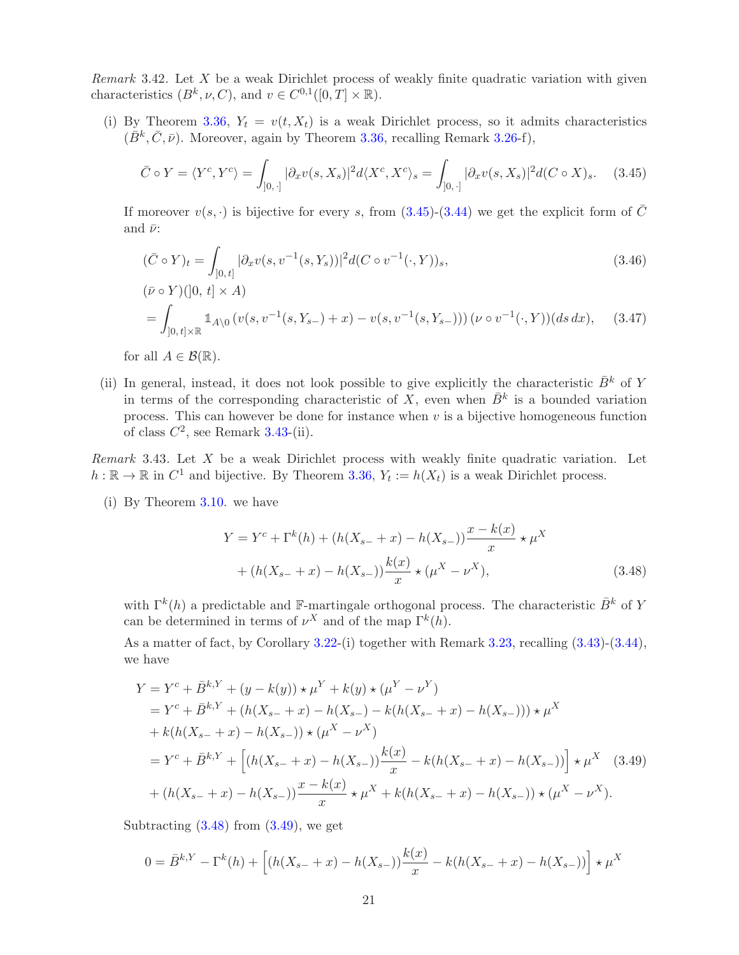<span id="page-20-0"></span>Remark 3.42. Let  $X$  be a weak Dirichlet process of weakly finite quadratic variation with given characteristics  $(B^k, \nu, C)$ , and  $v \in C^{0,1}([0, T] \times \mathbb{R})$ .

(i) By Theorem [3.36,](#page-16-0)  $Y_t = v(t, X_t)$  is a weak Dirichlet process, so it admits characteristics  $(\bar{B}^k, \bar{C}, \bar{\nu})$ . Moreover, again by Theorem [3.36,](#page-16-0) recalling Remark 3.26-f),

<span id="page-20-2"></span>
$$
\bar{C} \circ Y = \langle Y^c, Y^c \rangle = \int_{[0, \cdot]} |\partial_x v(s, X_s)|^2 d\langle X^c, X^c \rangle_s = \int_{[0, \cdot]} |\partial_x v(s, X_s)|^2 d(C \circ X)_s. \tag{3.45}
$$

If moreover  $v(s, \cdot)$  is bijective for every s, from  $(3.45)-(3.44)$  $(3.45)-(3.44)$  we get the explicit form of  $\overline{C}$ and  $\bar{\nu}$ :

$$
(\bar{C} \circ Y)_t = \int_{[0,t]} |\partial_x v(s, v^{-1}(s, Y_s))|^2 d(C \circ v^{-1}(\cdot, Y))_s,
$$
\n
$$
(\bar{\nu} \circ Y)(]0, t] \times A)
$$
\n
$$
= \int_{[0,t] \times \mathbb{R}} \mathbb{1}_{A \setminus 0} \left( v(s, v^{-1}(s, Y_{s-}) + x) - v(s, v^{-1}(s, Y_{s-})) \right) (\nu \circ v^{-1}(\cdot, Y))(ds \, dx), \quad (3.47)
$$

for all  $A \in \mathcal{B}(\mathbb{R})$ .

(ii) In general, instead, it does not look possible to give explicitly the characteristic  $\bar{B}^k$  of Y in terms of the corresponding characteristic of X, even when  $\bar{B}^k$  is a bounded variation process. This can however be done for instance when  $v$  is a bijective homogeneous function of class  $C^2$ , see Remark [3.43-](#page-20-1)(ii).

<span id="page-20-1"></span>Remark 3.43. Let  $X$  be a weak Dirichlet process with weakly finite quadratic variation. Let  $h : \mathbb{R} \to \mathbb{R}$  in  $C^1$  and bijective. By Theorem [3.36,](#page-16-0)  $Y_t := h(X_t)$  is a weak Dirichlet process.

(i) By Theorem [3.10.](#page-8-0) we have

<span id="page-20-4"></span><span id="page-20-3"></span>
$$
Y = Y^{c} + \Gamma^{k}(h) + (h(X_{s-} + x) - h(X_{s-})) \frac{x - k(x)}{x} \star \mu^{X}
$$
  
+ 
$$
(h(X_{s-} + x) - h(X_{s-})) \frac{k(x)}{x} \star (\mu^{X} - \nu^{X}),
$$
 (3.48)

with  $\Gamma^k(h)$  a predictable and F-martingale orthogonal process. The characteristic  $\bar{B}^k$  of Y can be determined in terms of  $\nu^X$  and of the map  $\Gamma^k(h)$ .

As a matter of fact, by Corollary [3.22-](#page-12-1)(i) together with Remark [3.23,](#page-12-2) recalling  $(3.43)-(3.44)$  $(3.43)-(3.44)$ , we have

$$
Y = Y^{c} + \bar{B}^{k,Y} + (y - k(y)) \star \mu^{Y} + k(y) \star (\mu^{Y} - \nu^{Y})
$$
  
\n
$$
= Y^{c} + \bar{B}^{k,Y} + (h(X_{s-} + x) - h(X_{s-}) - k(h(X_{s-} + x) - h(X_{s-}))) \star \mu^{X}
$$
  
\n
$$
+ k(h(X_{s-} + x) - h(X_{s-})) \star (\mu^{X} - \nu^{X})
$$
  
\n
$$
= Y^{c} + \bar{B}^{k,Y} + \left[ (h(X_{s-} + x) - h(X_{s-})) \frac{k(x)}{x} - k(h(X_{s-} + x) - h(X_{s-})) \right] \star \mu^{X} \quad (3.49)
$$
  
\n
$$
+ (h(X_{s-} + x) - h(X_{s-})) \frac{x - k(x)}{x} \star \mu^{X} + k(h(X_{s-} + x) - h(X_{s-})) \star (\mu^{X} - \nu^{X}).
$$

Subtracting  $(3.48)$  from  $(3.49)$ , we get

$$
0 = \bar{B}^{k,Y} - \Gamma^k(h) + \left[ (h(X_{s-} + x) - h(X_{s-})) \frac{k(x)}{x} - k(h(X_{s-} + x) - h(X_{s-})) \right] \star \mu^X
$$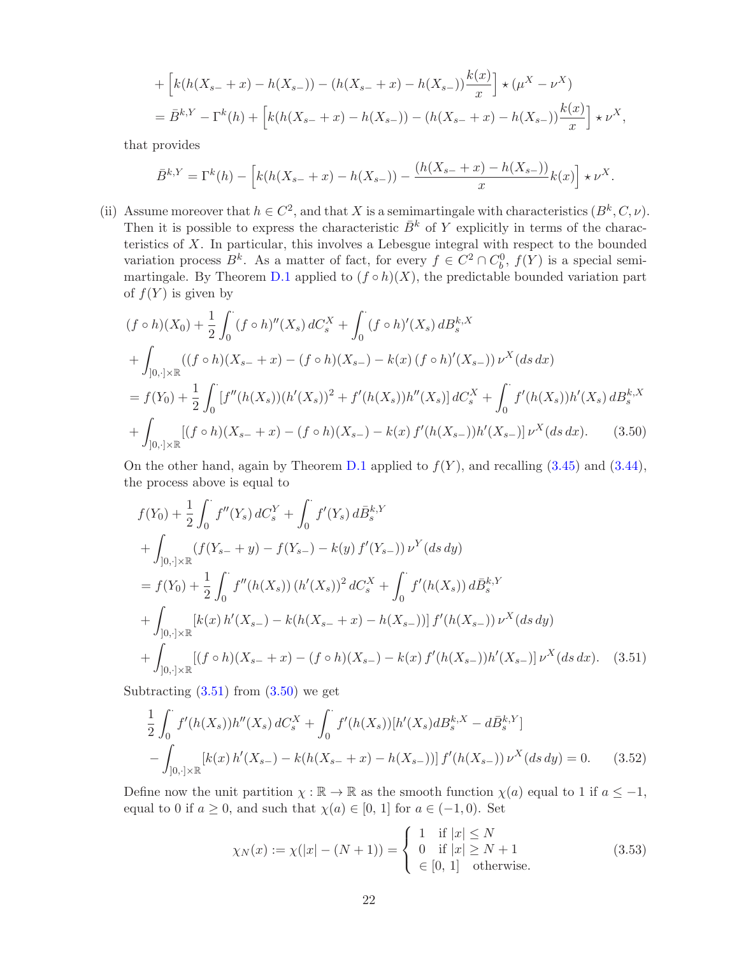+ 
$$
\left[k(h(X_{s-}+x)-h(X_{s-}))-(h(X_{s-}+x)-h(X_{s-}))\frac{k(x)}{x}\right] \star (\mu^{X}-\nu^{X})
$$
  
=  $\bar{B}^{k,Y}-\Gamma^{k}(h)+\left[k(h(X_{s-}+x)-h(X_{s-}))-(h(X_{s-}+x)-h(X_{s-}))\frac{k(x)}{x}\right] \star \nu^{X},$ 

that provides

$$
\bar{B}^{k,Y} = \Gamma^k(h) - \left[ k(h(X_{s-} + x) - h(X_{s-})) - \frac{(h(X_{s-} + x) - h(X_{s-}))}{x} k(x) \right] \star \nu^X.
$$

(ii) Assume moreover that  $h \in C^2$ , and that X is a semimartingale with characteristics  $(B^k, C, \nu)$ . Then it is possible to express the characteristic  $\overline{B}^k$  of Y explicitly in terms of the characteristics of X. In particular, this involves a Lebesgue integral with respect to the bounded variation process  $B^k$ . As a matter of fact, for every  $f \in C^2 \cap C_b^0$ ,  $f(Y)$  is a special semi-martingale. By Theorem [D.1](#page-48-2) applied to  $(f \circ h)(X)$ , the predictable bounded variation part of  $f(Y)$  is given by

$$
(f \circ h)(X_0) + \frac{1}{2} \int_0^{\cdot} (f \circ h)''(X_s) dC_s^X + \int_0^{\cdot} (f \circ h)'(X_s) dB_s^{k,X}
$$
  
+ 
$$
\int_{]0, \cdot] \times \mathbb{R}} ((f \circ h)(X_{s-} + x) - (f \circ h)(X_{s-}) - k(x) (f \circ h)'(X_{s-})) \nu^X(ds dx)
$$
  
= 
$$
f(Y_0) + \frac{1}{2} \int_0^{\cdot} [f''(h(X_s))(h'(X_s))^2 + f'(h(X_s))h''(X_s)] dC_s^X + \int_0^{\cdot} f'(h(X_s))h'(X_s) dB_s^{k,X}
$$
  
+ 
$$
\int_{]0, \cdot] \times \mathbb{R}} [(f \circ h)(X_{s-} + x) - (f \circ h)(X_{s-}) - k(x) f'(h(X_{s-}))h'(X_{s-})] \nu^X(ds dx).
$$
 (3.50)

On the other hand, again by Theorem [D.1](#page-48-2) applied to  $f(Y)$ , and recalling [\(3.45\)](#page-20-2) and [\(3.44\)](#page-19-2), the process above is equal to

<span id="page-21-1"></span>
$$
f(Y_0) + \frac{1}{2} \int_0^1 f''(Y_s) dC_s^Y + \int_0^1 f'(Y_s) d\bar{B}_s^{k,Y}
$$
  
+ 
$$
\int_{]0, \cdot] \times \mathbb{R}} (f(Y_{s-} + y) - f(Y_{s-}) - k(y) f'(Y_{s-})) \nu^Y (ds dy)
$$
  
= 
$$
f(Y_0) + \frac{1}{2} \int_0^1 f''(h(X_s)) (h'(X_s))^2 dC_s^X + \int_0^1 f'(h(X_s)) d\bar{B}_s^{k,Y}
$$
  
+ 
$$
\int_{]0, \cdot] \times \mathbb{R}} [k(x) h'(X_{s-}) - k(h(X_{s-} + x) - h(X_{s-}))] f'(h(X_{s-})) \nu^X (ds dy)
$$
  
+ 
$$
\int_{]0, \cdot] \times \mathbb{R}} [(f \circ h)(X_{s-} + x) - (f \circ h)(X_{s-}) - k(x) f'(h(X_{s-})) h'(X_{s-})] \nu^X (ds dx).
$$
(3.51)

Subtracting  $(3.51)$  from  $(3.50)$  we get

$$
\frac{1}{2} \int_0^{\cdot} f'(h(X_s))h''(X_s) dC_s^X + \int_0^{\cdot} f'(h(X_s))[h'(X_s)dB_s^{k,X} - d\bar{B}_s^{k,Y}]
$$

$$
- \int_{]0, \cdot] \times \mathbb{R}} [k(x) h'(X_{s-}) - k(h(X_{s-} + x) - h(X_{s-}))] f'(h(X_{s-})) \nu^X(ds dy) = 0. \tag{3.52}
$$

Define now the unit partition  $\chi : \mathbb{R} \to \mathbb{R}$  as the smooth function  $\chi(a)$  equal to 1 if  $a \leq -1$ , equal to 0 if  $a \geq 0$ , and such that  $\chi(a) \in [0, 1]$  for  $a \in (-1, 0)$ . Set

<span id="page-21-3"></span><span id="page-21-2"></span><span id="page-21-0"></span>
$$
\chi_N(x) := \chi(|x| - (N+1)) = \begin{cases} 1 & \text{if } |x| \le N \\ 0 & \text{if } |x| \ge N+1 \\ \in [0, 1] & \text{otherwise.} \end{cases}
$$
 (3.53)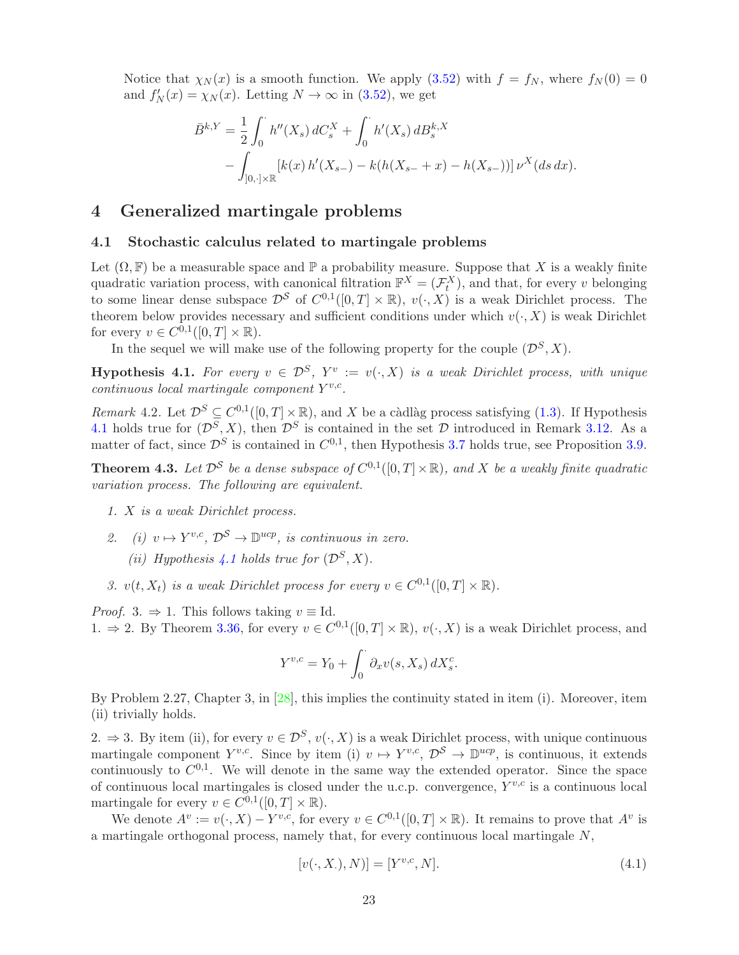Notice that  $\chi_N(x)$  is a smooth function. We apply [\(3.52\)](#page-21-2) with  $f = f_N$ , where  $f_N(0) = 0$ and  $f'_N(x) = \chi_N(x)$ . Letting  $N \to \infty$  in [\(3.52\)](#page-21-2), we get

$$
\bar{B}^{k,Y} = \frac{1}{2} \int_0^{\cdot} h''(X_s) dC_s^X + \int_0^{\cdot} h'(X_s) dB_s^{k,X}
$$
  
 
$$
- \int_{]0, \cdot] \times \mathbb{R}} [k(x) h'(X_{s-}) - k(h(X_{s-} + x) - h(X_{s-}))] \nu^X(ds dx).
$$

## <span id="page-22-3"></span>4 Generalized martingale problems

#### 4.1 Stochastic calculus related to martingale problems

Let  $(\Omega, \mathbb{F})$  be a measurable space and  $\mathbb{P}$  a probability measure. Suppose that X is a weakly finite quadratic variation process, with canonical filtration  $\mathbb{F}^X = (\mathcal{F}^X_t)$ , and that, for every v belonging to some linear dense subspace  $\mathcal{D}^{\mathcal{S}}$  of  $C^{0,1}([0,T] \times \mathbb{R})$ ,  $v(\cdot,X)$  is a weak Dirichlet process. The theorem below provides necessary and sufficient conditions under which  $v(\cdot, X)$  is weak Dirichlet for every  $v \in C^{0,1}([0,T] \times \mathbb{R})$ .

In the sequel we will make use of the following property for the couple  $(\mathcal{D}^S, X)$ .

<span id="page-22-1"></span>**Hypothesis 4.1.** For every  $v \in \mathcal{D}^S$ ,  $Y^v := v(\cdot, X)$  is a weak Dirichlet process, with unique  $continuous$  local martingale component  $Y^{v,c}$ .

Remark 4.2. Let  $\mathcal{D}^S \subseteq C^{0,1}([0,T] \times \mathbb{R})$ , and X be a càdlàg process satisfying [\(1.3\)](#page-2-0). If Hypothesis [4.1](#page-22-1) holds true for  $(\mathcal{D}^S, X)$ , then  $\mathcal{D}^S$  is contained in the set  $\mathcal D$  introduced in Remark [3.12.](#page-8-7) As a matter of fact, since  $\mathcal{D}^S$  is contained in  $C^{0,1}$ , then Hypothesis [3.7](#page-8-3) holds true, see Proposition [3.9.](#page-8-6)

<span id="page-22-0"></span>**Theorem 4.3.** Let  $\mathcal{D}^{\mathcal{S}}$  be a dense subspace of  $C^{0,1}([0,T] \times \mathbb{R})$ , and X be a weakly finite quadratic variation process. The following are equivalent.

- 1. X is a weak Dirichlet process.
- 2. (i)  $v \mapsto Y^{v,c}, \mathcal{D}^{\mathcal{S}} \to \mathbb{D}^{ucp}$ , is continuous in zero.
	- (ii) Hypothesis [4.1](#page-22-1) holds true for  $(\mathcal{D}^S, X)$ .
- 3.  $v(t, X_t)$  is a weak Dirichlet process for every  $v \in C^{0,1}([0,T] \times \mathbb{R})$ .

*Proof.* 3.  $\Rightarrow$  1. This follows taking  $v \equiv$  Id. 1.  $\Rightarrow$  2. By Theorem [3.36,](#page-16-0) for every  $v \in C^{0,1}([0,T] \times \mathbb{R})$ ,  $v(\cdot, X)$  is a weak Dirichlet process, and

$$
Y^{v,c} = Y_0 + \int_0^{\cdot} \partial_x v(s, X_s) \, dX_s^c.
$$

By Problem 2.27, Chapter 3, in [\[28\]](#page-50-12), this implies the continuity stated in item (i). Moreover, item (ii) trivially holds.

2.  $\Rightarrow$  3. By item (ii), for every  $v \in \mathcal{D}^S$ ,  $v(\cdot, X)$  is a weak Dirichlet process, with unique continuous martingale component  $Y^{v,c}$ . Since by item (i)  $v \mapsto Y^{v,c}, \mathcal{D}^S \to \mathbb{D}^{ucp}$ , is continuous, it extends continuously to  $C^{0,1}$ . We will denote in the same way the extended operator. Since the space of continuous local martingales is closed under the u.c.p. convergence,  $Y^{v,c}$  is a continuous local martingale for every  $v \in C^{0,1}([0,T] \times \mathbb{R})$ .

We denote  $A^v := v(\cdot, X) - Y^{v,c}$ , for every  $v \in C^{0,1}([0,T] \times \mathbb{R})$ . It remains to prove that  $A^v$  is a martingale orthogonal process, namely that, for every continuous local martingale N,

<span id="page-22-2"></span>
$$
[v(\cdot, X_{\cdot}), N)] = [Y^{v,c}, N].
$$
\n(4.1)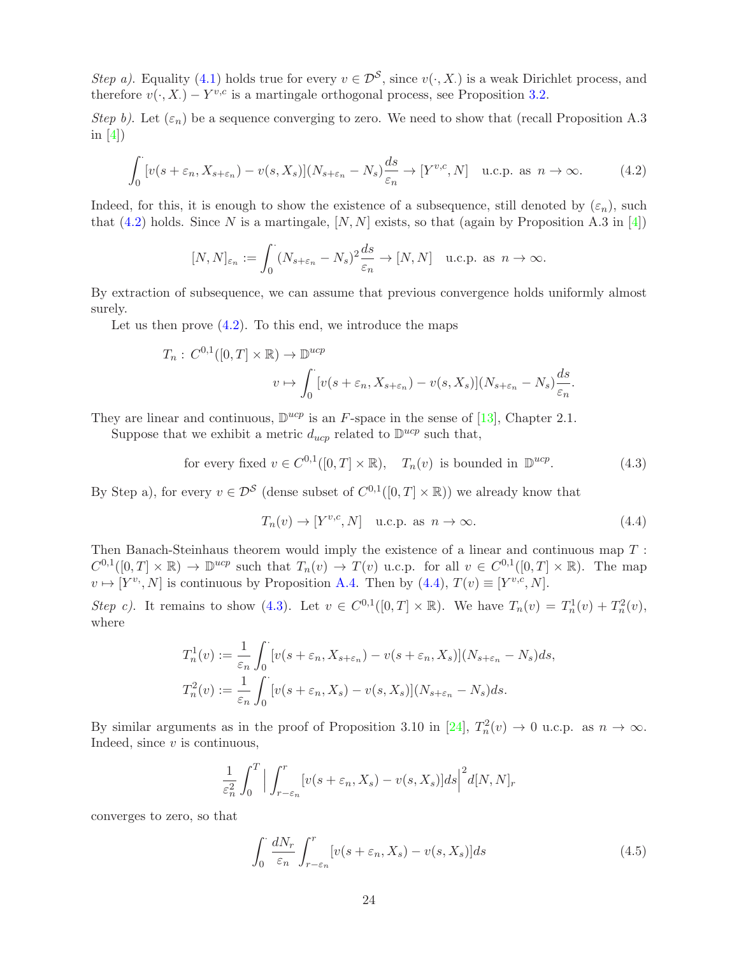Step a). Equality [\(4.1\)](#page-22-2) holds true for every  $v \in \mathcal{D}^S$ , since  $v(\cdot, X)$  is a weak Dirichlet process, and therefore  $v(\cdot, X) - Y^{v,c}$  is a martingale orthogonal process, see Proposition [3.2.](#page-6-0)

Step b). Let  $(\varepsilon_n)$  be a sequence converging to zero. We need to show that (recall Proposition A.3 in  $[4]$ )

<span id="page-23-0"></span>
$$
\int_0^{\cdot} \left[ v(s+\varepsilon_n, X_{s+\varepsilon_n}) - v(s, X_s) \right] (N_{s+\varepsilon_n} - N_s) \frac{ds}{\varepsilon_n} \to \left[ Y^{v,c}, N \right] \quad \text{u.c.p. as } n \to \infty. \tag{4.2}
$$

Indeed, for this, it is enough to show the existence of a subsequence, still denoted by  $(\varepsilon_n)$ , such that [\(4.2\)](#page-23-0) holds. Since N is a martingale,  $[N, N]$  exists, so that (again by Proposition A.3 in [\[4\]](#page-49-0))

$$
[N,N]_{\varepsilon_n} := \int_0^{\cdot} (N_{s+\varepsilon_n} - N_s)^2 \frac{ds}{\varepsilon_n} \to [N,N] \quad \text{u.c.p. as } n \to \infty.
$$

By extraction of subsequence, we can assume that previous convergence holds uniformly almost surely.

Let us then prove  $(4.2)$ . To this end, we introduce the maps

$$
T_n: C^{0,1}([0,T] \times \mathbb{R}) \to \mathbb{D}^{ucp}
$$
  

$$
v \mapsto \int_0^{\cdot} [v(s+\varepsilon_n, X_{s+\varepsilon_n}) - v(s, X_s)](N_{s+\varepsilon_n} - N_s) \frac{ds}{\varepsilon_n}.
$$

They are linear and continuous,  $\mathbb{D}^{ucp}$  is an F-space in the sense of [\[13\]](#page-49-17), Chapter 2.1.

Suppose that we exhibit a metric  $d_{ucp}$  related to  $\mathbb{D}^{ucp}$  such that,

for every fixed 
$$
v \in C^{0,1}([0,T] \times \mathbb{R}), T_n(v)
$$
 is bounded in  $\mathbb{D}^{ucp}$ . (4.3)

By Step a), for every  $v \in \mathcal{D}^S$  (dense subset of  $C^{0,1}([0,T] \times \mathbb{R})$ ) we already know that

<span id="page-23-2"></span><span id="page-23-1"></span>
$$
T_n(v) \to [Y^{v,c}, N] \quad \text{u.c.p. as } n \to \infty. \tag{4.4}
$$

Then Banach-Steinhaus theorem would imply the existence of a linear and continuous map T :  $C^{0,1}([0,T] \times \mathbb{R}) \to \mathbb{D}^{ucp}$  such that  $T_n(v) \to T(v)$  u.c.p. for all  $v \in C^{0,1}([0,T] \times \mathbb{R})$ . The map  $v \mapsto [Y^{v_i}, N]$  is continuous by Proposition [A.4.](#page-45-0) Then by  $(4.4), T(v) \equiv [Y^{v,c}, N]$ .

Step c). It remains to show [\(4.3\)](#page-23-2). Let  $v \in C^{0,1}([0,T] \times \mathbb{R})$ . We have  $T_n(v) = T_n^1(v) + T_n^2(v)$ , where

$$
T_n^1(v) := \frac{1}{\varepsilon_n} \int_0^{\cdot} \left[ v(s + \varepsilon_n, X_{s + \varepsilon_n}) - v(s + \varepsilon_n, X_s) \right] (N_{s + \varepsilon_n} - N_s) ds,
$$
  

$$
T_n^2(v) := \frac{1}{\varepsilon_n} \int_0^{\cdot} \left[ v(s + \varepsilon_n, X_s) - v(s, X_s) \right] (N_{s + \varepsilon_n} - N_s) ds.
$$

By similar arguments as in the proof of Proposition 3.10 in [\[24\]](#page-50-0),  $T_n^2(v) \to 0$  u.c.p. as  $n \to \infty$ . Indeed, since  $v$  is continuous,

$$
\frac{1}{\varepsilon_n^2} \int_0^T \Big| \int_{r-\varepsilon_n}^r [v(s+\varepsilon_n, X_s) - v(s, X_s)] ds \Big|^2 d[N, N]_r
$$

converges to zero, so that

<span id="page-23-3"></span>
$$
\int_0^{\cdot} \frac{dN_r}{\varepsilon_n} \int_{r-\varepsilon_n}^r [v(s+\varepsilon_n, X_s) - v(s, X_s)] ds \tag{4.5}
$$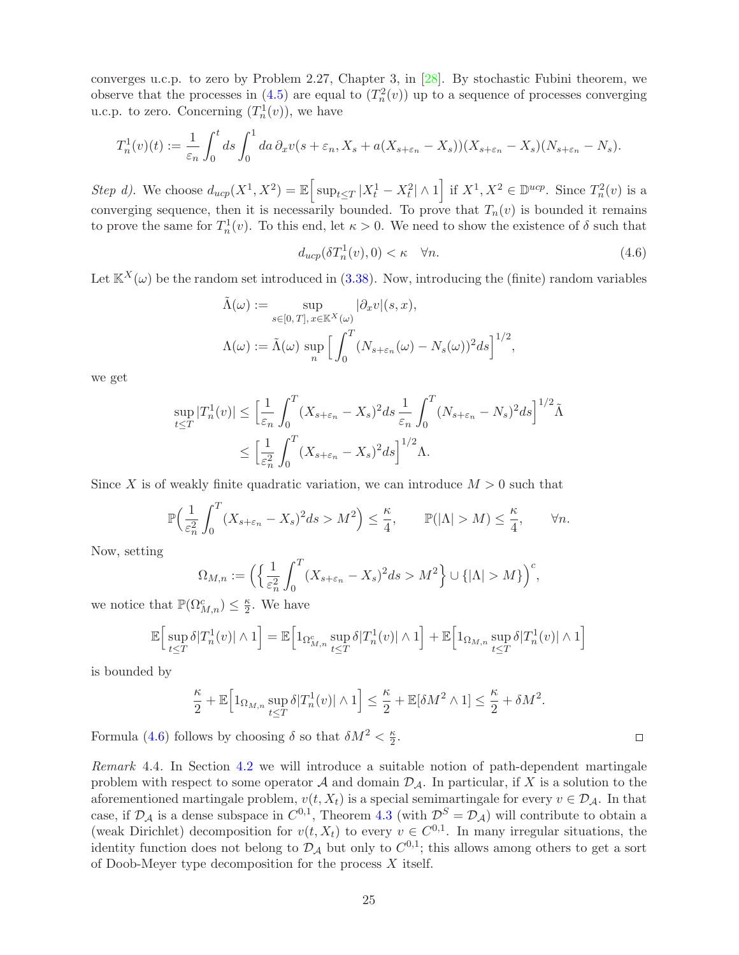converges u.c.p. to zero by Problem 2.27, Chapter 3, in [\[28\]](#page-50-12). By stochastic Fubini theorem, we observe that the processes in [\(4.5\)](#page-23-3) are equal to  $(T_n^2(v))$  up to a sequence of processes converging u.c.p. to zero. Concerning  $(T_n^1(v))$ , we have

$$
T_n^1(v)(t) := \frac{1}{\varepsilon_n} \int_0^t ds \int_0^1 da \, \partial_x v(s + \varepsilon_n, X_s + a(X_{s + \varepsilon_n} - X_s))(X_{s + \varepsilon_n} - X_s)(N_{s + \varepsilon_n} - N_s).
$$

Step d). We choose  $d_{ucp}(X^1, X^2) = \mathbb{E} \left[ \sup_{t \leq T} |X_t^1 - X_t^2| \wedge 1 \right]$  if  $X^1, X^2 \in \mathbb{D}^{ucp}$ . Since  $T_n^2(v)$  is a converging sequence, then it is necessarily bounded. To prove that  $T_n(v)$  is bounded it remains to prove the same for  $T_n^1(v)$ . To this end, let  $\kappa > 0$ . We need to show the existence of  $\delta$  such that

<span id="page-24-0"></span>
$$
d_{ucp}(\delta T_n^1(v), 0) < \kappa \quad \forall n. \tag{4.6}
$$

Let  $\mathbb{K}^{X}(\omega)$  be the random set introduced in [\(3.38\)](#page-18-3). Now, introducing the (finite) random variables

$$
\tilde{\Lambda}(\omega) := \sup_{s \in [0, T], x \in \mathbb{K}^X(\omega)} |\partial_x v|(s, x),
$$
  

$$
\Lambda(\omega) := \tilde{\Lambda}(\omega) \sup_n \Big[ \int_0^T (N_{s + \varepsilon_n}(\omega) - N_s(\omega))^2 ds \Big]^{1/2},
$$

we get

$$
\sup_{t \le T} |T_n^1(v)| \le \left[\frac{1}{\varepsilon_n} \int_0^T (X_{s+\varepsilon_n} - X_s)^2 ds \frac{1}{\varepsilon_n} \int_0^T (N_{s+\varepsilon_n} - N_s)^2 ds\right]^{1/2} \tilde{\Lambda}
$$
  

$$
\le \left[\frac{1}{\varepsilon_n^2} \int_0^T (X_{s+\varepsilon_n} - X_s)^2 ds\right]^{1/2} \Lambda.
$$

Since X is of weakly finite quadratic variation, we can introduce  $M > 0$  such that

$$
\mathbb{P}\Big(\frac{1}{\varepsilon_n^2}\int_0^T (X_{s+\varepsilon_n} - X_s)^2 ds > M^2\Big) \le \frac{\kappa}{4}, \qquad \mathbb{P}(|\Lambda| > M) \le \frac{\kappa}{4}, \qquad \forall n.
$$

Now, setting

$$
\Omega_{M,n} := \left( \left\{ \frac{1}{\varepsilon_n^2} \int_0^T (X_{s+\varepsilon_n} - X_s)^2 ds > M^2 \right\} \cup \left\{ |\Lambda| > M \right\} \right)^c,
$$

we notice that  $\mathbb{P}(\Omega^c_{M,n}) \leq \frac{\kappa}{2}$  $\frac{\kappa}{2}$ . We have

$$
\mathbb{E}\Big[\sup_{t\leq T}\delta|T_n^1(v)|\wedge 1\Big]=\mathbb{E}\Big[\mathbf{1}_{\Omega_{M,n}^c}\sup_{t\leq T}\delta|T_n^1(v)|\wedge 1\Big]+\mathbb{E}\Big[\mathbf{1}_{\Omega_{M,n}}\sup_{t\leq T}\delta|T_n^1(v)|\wedge 1\Big]
$$

is bounded by

$$
\frac{\kappa}{2} + \mathbb{E}\Big[\mathbb{1}_{\Omega_{M,n}} \sup_{t \leq T} \delta |T_n^1(v)| \wedge 1\Big] \leq \frac{\kappa}{2} + \mathbb{E}[\delta M^2 \wedge 1] \leq \frac{\kappa}{2} + \delta M^2.
$$

Formula [\(4.6\)](#page-24-0) follows by choosing  $\delta$  so that  $\delta M^2 < \frac{\kappa}{2}$  $\frac{\kappa}{2}$ .

Remark 4.4. In Section [4.2](#page-26-0) we will introduce a suitable notion of path-dependent martingale problem with respect to some operator  $A$  and domain  $D_A$ . In particular, if X is a solution to the aforementioned martingale problem,  $v(t, X_t)$  is a special semimartingale for every  $v \in \mathcal{D}_{\mathcal{A}}$ . In that case, if  $\mathcal{D}_{\mathcal{A}}$  is a dense subspace in  $C^{0,1}$ , Theorem [4.3](#page-22-0) (with  $\mathcal{D}^{S} = \mathcal{D}_{\mathcal{A}}$ ) will contribute to obtain a (weak Dirichlet) decomposition for  $v(t, X_t)$  to every  $v \in C^{0,1}$ . In many irregular situations, the identity function does not belong to  $D_A$  but only to  $C^{0,1}$ ; this allows among others to get a sort of Doob-Meyer type decomposition for the process  $X$  itself.

 $\Box$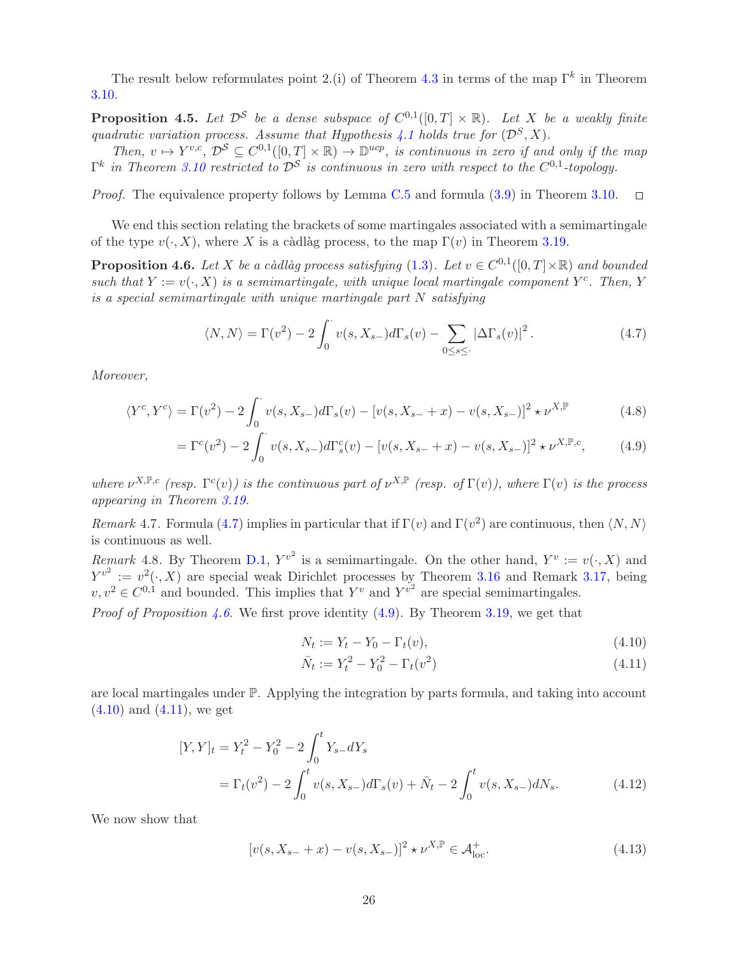The result below reformulates point 2.(i) of Theorem [4.3](#page-22-0) in terms of the map  $\Gamma^k$  in Theorem [3.10.](#page-8-0)

<span id="page-25-0"></span>**Proposition 4.5.** Let  $\mathcal{D}^S$  be a dense subspace of  $C^{0,1}([0,T] \times \mathbb{R})$ . Let X be a weakly finite quadratic variation process. Assume that Hypothesis [4.1](#page-22-1) holds true for  $(\mathcal{D}^S, X)$ .

Then,  $v \mapsto Y^{v,c}$ ,  $\mathcal{D}^{\mathcal{S}} \subseteq C^{0,1}([0,T] \times \mathbb{R}) \to \mathbb{D}^{ucp}$ , is continuous in zero if and only if the map  $\Gamma^{k}$  in Theorem [3.10](#page-8-0) restricted to  $\mathcal{D}^{\mathcal{S}}$  is continuous in zero with respect to the  $C^{0,1}$ -topology.

Proof. The equivalence property follows by Lemma [C.5](#page-46-0) and formula [\(3.9\)](#page-8-5) in Theorem [3.10.](#page-8-0)  $\Box$ 

We end this section relating the brackets of some martingales associated with a semimartingale of the type  $v(\cdot, X)$ , where X is a càdlàg process, to the map  $\Gamma(v)$  in Theorem [3.19.](#page-10-6)

<span id="page-25-2"></span>**Proposition 4.6.** Let X be a càdlàg process satisfying  $(1.3)$ . Let  $v \in C^{0,1}([0,T] \times \mathbb{R})$  and bounded such that  $Y := v(\cdot, X)$  is a semimartingale, with unique local martingale component  $Y^c$ . Then, Y is a special semimartingale with unique martingale part N satisfying

<span id="page-25-1"></span>
$$
\langle N, N \rangle = \Gamma(v^2) - 2 \int_0^{\cdot} v(s, X_{s-}) d\Gamma_s(v) - \sum_{0 \le s \le \cdot} |\Delta \Gamma_s(v)|^2.
$$
 (4.7)

Moreover,

$$
\langle Y^{c}, Y^{c} \rangle = \Gamma(v^{2}) - 2 \int_{0}^{\cdot} v(s, X_{s-}) d\Gamma_{s}(v) - [v(s, X_{s-} + x) - v(s, X_{s-})]^{2} \star \nu^{X, \mathbb{P}}
$$
(4.8)

$$
= \Gamma^{c}(v^{2}) - 2 \int_{0}^{\cdot} v(s, X_{s-}) d\Gamma_{s}^{c}(v) - [v(s, X_{s-} + x) - v(s, X_{s-})]^{2} \star \nu^{X, \mathbb{P}, c}, \tag{4.9}
$$

where  $\nu^{X,\mathbb{P},c}$  (resp.  $\Gamma^{c}(v)$ ) is the continuous part of  $\nu^{X,\mathbb{P}}$  (resp. of  $\Gamma(v)$ ), where  $\Gamma(v)$  is the process appearing in Theorem [3.19.](#page-10-6)

Remark 4.7. Formula [\(4.7\)](#page-25-1) implies in particular that if  $\Gamma(v)$  and  $\Gamma(v^2)$  are continuous, then  $\langle N, N \rangle$ is continuous as well.

Remark 4.8. By Theorem [D.1,](#page-48-2)  $Y^{v^2}$  is a semimartingale. On the other hand,  $Y^v := v(\cdot, X)$  and  $Y^{v^2} := v^2(\cdot, X)$  are special weak Dirichlet processes by Theorem [3.16](#page-10-1) and Remark [3.17,](#page-10-5) being  $v, v^2 \in C^{0,1}$  and bounded. This implies that  $Y^v$  and  $Y^{v^2}$  are special semimartingales.

*Proof of Proposition [4.6](#page-25-2).* We first prove identity [\(4.9\)](#page-25-3). By Theorem [3.19,](#page-10-6) we get that

<span id="page-25-7"></span><span id="page-25-5"></span><span id="page-25-4"></span><span id="page-25-3"></span>
$$
N_t := Y_t - Y_0 - \Gamma_t(v), \tag{4.10}
$$

<span id="page-25-8"></span><span id="page-25-6"></span>
$$
\bar{N}_t := Y_t^2 - Y_0^2 - \Gamma_t(v^2)
$$
\n(4.11)

are local martingales under P. Applying the integration by parts formula, and taking into account  $(4.10)$  and  $(4.11)$ , we get

$$
[Y,Y]_t = Y_t^2 - Y_0^2 - 2 \int_0^t Y_{s-} dY_s
$$
  
=  $\Gamma_t(v^2) - 2 \int_0^t v(s, X_{s-}) d\Gamma_s(v) + \bar{N}_t - 2 \int_0^t v(s, X_{s-}) dN_s.$  (4.12)

We now show that

$$
[v(s, X_{s-} + x) - v(s, X_{s-})]^2 \star \nu^{X,\mathbb{P}} \in \mathcal{A}_{\text{loc}}^+.
$$
 (4.13)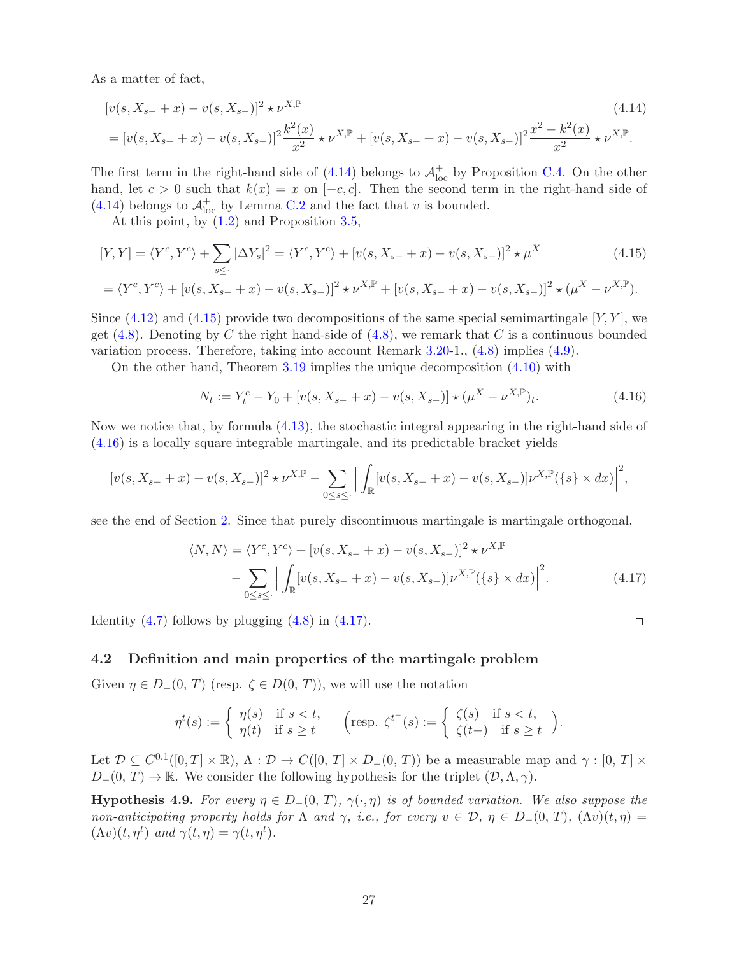As a matter of fact,

$$
[v(s, X_{s-} + x) - v(s, X_{s-})]^2 \star \nu^{X, \mathbb{P}}
$$
\n
$$
= [v(s, X_{s-} + x) - v(s, X_{s-})]^2 \frac{k^2(x)}{x^2} \star \nu^{X, \mathbb{P}} + [v(s, X_{s-} + x) - v(s, X_{s-})]^2 \frac{x^2 - k^2(x)}{x^2} \star \nu^{X, \mathbb{P}}.
$$
\n(4.14)

The first term in the right-hand side of  $(4.14)$  belongs to  $\mathcal{A}^+_{\text{loc}}$  by Proposition [C.4.](#page-45-0) On the other hand, let  $c > 0$  such that  $k(x) = x$  on  $[-c, c]$ . Then the second term in the right-hand side of [\(4.14\)](#page-26-1) belongs to  $\mathcal{A}^+_{\text{loc}}$  by Lemma [C.2](#page-48-3) and the fact that v is bounded.

At this point, by [\(1.2\)](#page-1-0) and Proposition [3.5,](#page-7-3)

$$
[Y,Y] = \langle Y^c, Y^c \rangle + \sum_{s \leq} |\Delta Y_s|^2 = \langle Y^c, Y^c \rangle + [v(s, X_{s-} + x) - v(s, X_{s-})]^2 \star \mu^X
$$
(4.15)  
=  $\langle Y^c, Y^c \rangle + [v(s, X_{s-} + x) - v(s, X_{s-})]^2 \star \nu^{X,\mathbb{P}} + [v(s, X_{s-} + x) - v(s, X_{s-})]^2 \star (\mu^X - \nu^{X,\mathbb{P}}).$ 

Since  $(4.12)$  and  $(4.15)$  provide two decompositions of the same special semimartingale [Y, Y], we get  $(4.8)$ . Denoting by C the right hand-side of  $(4.8)$ , we remark that C is a continuous bounded variation process. Therefore, taking into account Remark 3.20-1., [\(4.8\)](#page-25-7) implies [\(4.9\)](#page-25-3).

On the other hand, Theorem [3.19](#page-10-6) implies the unique decomposition [\(4.10\)](#page-25-4) with

<span id="page-26-1"></span>
$$
N_t := Y_t^c - Y_0 + [v(s, X_{s-} + x) - v(s, X_{s-})] \star (\mu^X - \nu^{X,\mathbb{P}})_t.
$$
\n(4.16)

Now we notice that, by formula [\(4.13\)](#page-25-8), the stochastic integral appearing in the right-hand side of [\(4.16\)](#page-26-3) is a locally square integrable martingale, and its predictable bracket yields

$$
[v(s, X_{s-} + x) - v(s, X_{s-})]^2 \star \nu^{X,\mathbb{P}} - \sum_{0 \le s \le \cdot} \Big| \int_{\mathbb{R}} [v(s, X_{s-} + x) - v(s, X_{s-})] \nu^{X,\mathbb{P}}(\{s\} \times dx) \Big|^2,
$$

see the end of Section [2.](#page-4-0) Since that purely discontinuous martingale is martingale orthogonal,

$$
\langle N, N \rangle = \langle Y^c, Y^c \rangle + [v(s, X_{s-} + x) - v(s, X_{s-})]^2 \star \nu^{X,\mathbb{P}}
$$
  
 
$$
- \sum_{0 \le s \le \cdot} \Big| \int_{\mathbb{R}} [v(s, X_{s-} + x) - v(s, X_{s-})] \nu^{X,\mathbb{P}}(\{s\} \times dx) \Big|^2.
$$
 (4.17)

Identity  $(4.7)$  follows by plugging  $(4.8)$  in  $(4.17)$ .

### <span id="page-26-0"></span>4.2 Definition and main properties of the martingale problem

Given  $\eta \in D_-(0, T)$  (resp.  $\zeta \in D(0, T)$ ), we will use the notation

$$
\eta^t(s) := \begin{cases} \eta(s) & \text{if } s < t, \\ \eta(t) & \text{if } s \ge t \end{cases} \quad \text{resp. } \zeta^{t^-}(s) := \begin{cases} \zeta(s) & \text{if } s < t, \\ \zeta(t-) & \text{if } s \ge t \end{cases}.
$$

Let  $\mathcal{D} \subseteq C^{0,1}([0,T] \times \mathbb{R}), \Lambda : \mathcal{D} \to C([0,T] \times D_-(0,T))$  be a measurable map and  $\gamma : [0,T] \times$  $D_{-}(0, T) \to \mathbb{R}$ . We consider the following hypothesis for the triplet  $(D, \Lambda, \gamma)$ .

<span id="page-26-5"></span>**Hypothesis 4.9.** For every  $\eta \in D_-(0, T)$ ,  $\gamma(\cdot, \eta)$  is of bounded variation. We also suppose the non-anticipating property holds for  $\Lambda$  and  $\gamma$ , i.e., for every  $v \in \mathcal{D}$ ,  $\eta \in D_-(0, T)$ ,  $(\Lambda v)(t, \eta)$  $(\Lambda v)(t, \eta^t)$  and  $\gamma(t, \eta) = \gamma(t, \eta^t)$ .

<span id="page-26-4"></span><span id="page-26-3"></span><span id="page-26-2"></span> $\Box$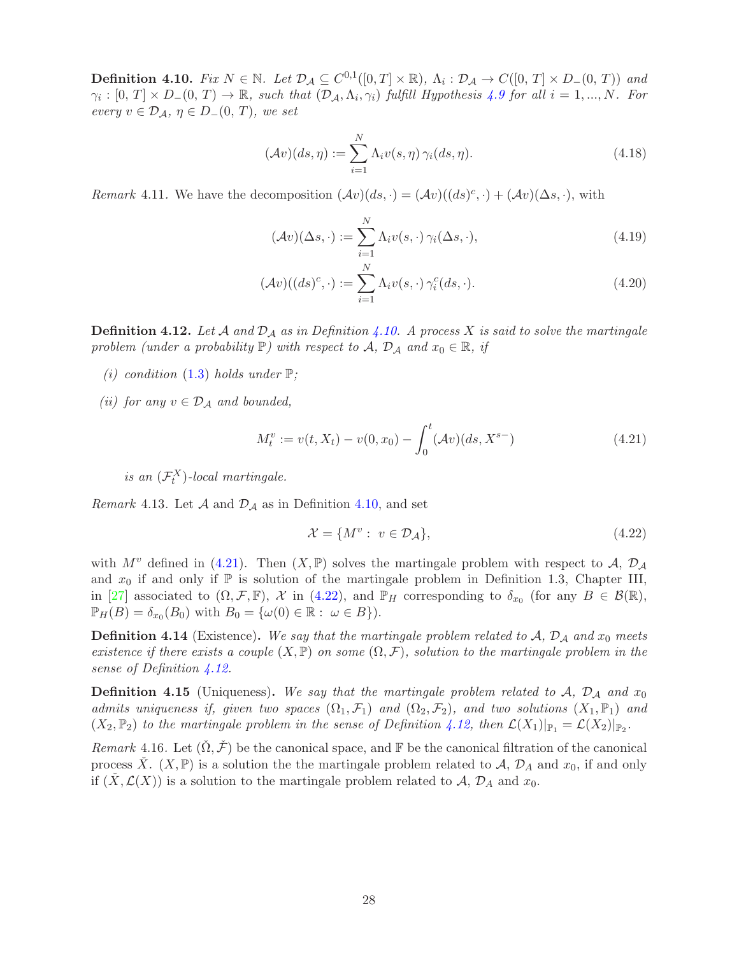<span id="page-27-1"></span>**Definition 4.10.** Fix  $N \in \mathbb{N}$ . Let  $\mathcal{D}_{\mathcal{A}} \subseteq C^{0,1}([0,T] \times \mathbb{R})$ ,  $\Lambda_i : \mathcal{D}_{\mathcal{A}} \to C([0,T] \times D_-(0,T))$  and  $\gamma_i: [0, T] \times D_-(0, T) \to \mathbb{R}$ , such that  $(\mathcal{D}_\mathcal{A}, \Lambda_i, \gamma_i)$  fulfill Hypothesis [4.9](#page-26-5) for all  $i = 1, ..., N$ . For every  $v \in \mathcal{D}_{\mathcal{A}}, \eta \in D_-(0, T)$ , we set

$$
(\mathcal{A}v)(ds,\eta) := \sum_{i=1}^{N} \Lambda_i v(s,\eta) \gamma_i(ds,\eta).
$$
 (4.18)

Remark 4.11. We have the decomposition  $(\mathcal{A}v)(ds, \cdot) = (\mathcal{A}v)((ds)^c, \cdot) + (\mathcal{A}v)(\Delta s, \cdot)$ , with

<span id="page-27-4"></span>
$$
(\mathcal{A}v)(\Delta s, \cdot) := \sum_{i=1}^{N} \Lambda_i v(s, \cdot) \gamma_i(\Delta s, \cdot), \tag{4.19}
$$

$$
(\mathcal{A}v)((ds)^c, \cdot) := \sum_{i=1}^N \Lambda_i v(s, \cdot) \gamma_i^c(ds, \cdot). \tag{4.20}
$$

<span id="page-27-0"></span>**Definition 4.12.** Let A and  $D_A$  as in Definition [4.10.](#page-27-1) A process X is said to solve the martingale problem (under a probability  $\mathbb{P}$ ) with respect to  $\mathcal{A}, \mathcal{D}_{\mathcal{A}}$  and  $x_0 \in \mathbb{R},$  if

- (i) condition [\(1.3\)](#page-2-0) holds under  $\mathbb{P}$ ;
- (ii) for any  $v \in \mathcal{D}_\mathcal{A}$  and bounded,

$$
M_t^v := v(t, X_t) - v(0, x_0) - \int_0^t (\mathcal{A}v)(ds, X^{s-})
$$
\n(4.21)

is an  $(\mathcal{F}_t^X)$ -local martingale.

Remark 4.13. Let  $\mathcal A$  and  $\mathcal D_{\mathcal A}$  as in Definition [4.10,](#page-27-1) and set

<span id="page-27-3"></span><span id="page-27-2"></span>
$$
\mathcal{X} = \{M^v : v \in \mathcal{D}_\mathcal{A}\},\tag{4.22}
$$

with  $M^v$  defined in [\(4.21\)](#page-27-2). Then  $(X, \mathbb{P})$  solves the martingale problem with respect to A,  $\mathcal{D}_\mathcal{A}$ and  $x_0$  if and only if  $\mathbb P$  is solution of the martingale problem in Definition 1.3, Chapter III, in [\[27\]](#page-50-7) associated to  $(\Omega, \mathcal{F}, \mathbb{F})$ ,  $\mathcal{X}$  in [\(4.22\)](#page-27-3), and  $\mathbb{P}_H$  corresponding to  $\delta_{x_0}$  (for any  $B \in \mathcal{B}(\mathbb{R})$ ,  $\mathbb{P}_H(B) = \delta_{x_0}(B_0)$  with  $B_0 = {\omega(0) \in \mathbb{R} : \omega \in B}.$ 

**Definition 4.14** (Existence). We say that the martingale problem related to  $A$ ,  $D_A$  and  $x_0$  meets existence if there exists a couple  $(X, \mathbb{P})$  on some  $(\Omega, \mathcal{F})$ , solution to the martingale problem in the sense of Definition [4.12.](#page-27-0)

**Definition 4.15** (Uniqueness). We say that the martingale problem related to  $A$ ,  $D_A$  and  $x_0$ admits uniqueness if, given two spaces  $(\Omega_1, \mathcal{F}_1)$  and  $(\Omega_2, \mathcal{F}_2)$ , and two solutions  $(X_1, \mathbb{P}_1)$  and  $(X_2, \mathbb{P}_2)$  to the martingale problem in the sense of Definition [4.12,](#page-27-0) then  $\mathcal{L}(X_1)|_{\mathbb{P}_1} = \mathcal{L}(X_2)|_{\mathbb{P}_2}$ .

Remark 4.16. Let  $(\check{\Omega}, \check{\mathcal{F}})$  be the canonical space, and F be the canonical filtration of the canonical process  $\check{X}$ .  $(X, \mathbb{P})$  is a solution the the martingale problem related to  $\mathcal{A}$ ,  $\mathcal{D}_A$  and  $x_0$ , if and only if  $(X, \mathcal{L}(X))$  is a solution to the martingale problem related to A,  $\mathcal{D}_A$  and  $x_0$ .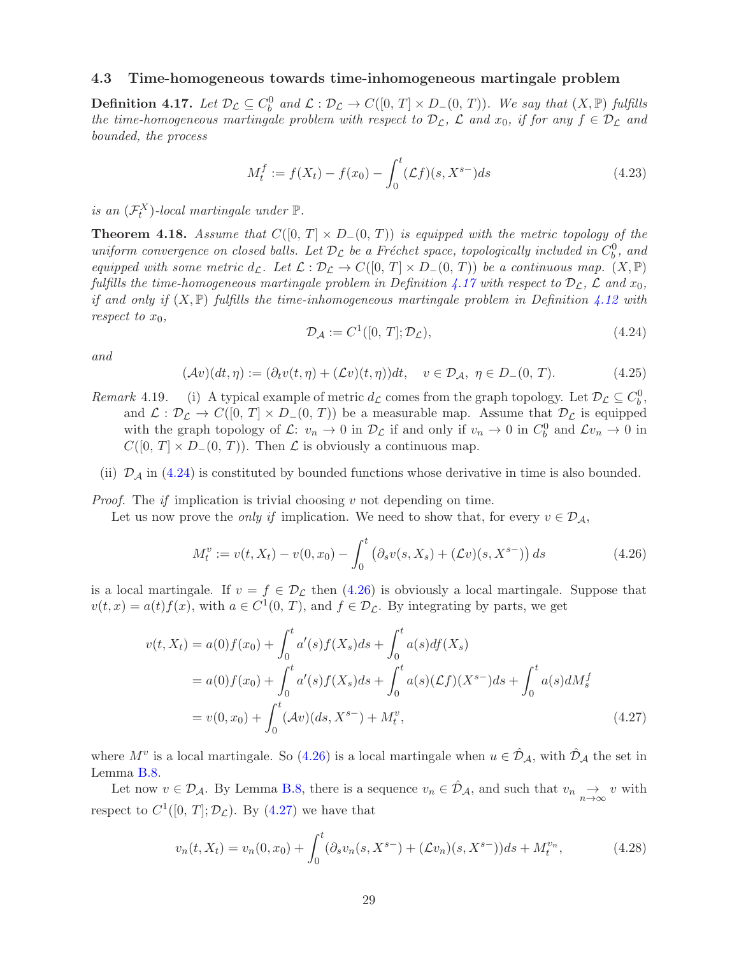#### <span id="page-28-0"></span>4.3 Time-homogeneous towards time-inhomogeneous martingale problem

<span id="page-28-1"></span>**Definition 4.17.** Let  $\mathcal{D}_{\mathcal{L}} \subseteq C_b^0$  and  $\mathcal{L} : \mathcal{D}_{\mathcal{L}} \to C([0, T] \times D_-(0, T))$ . We say that  $(X, \mathbb{P})$  fulfills the time-homogeneous martingale problem with respect to  $\mathcal{D}_{\mathcal{L}}$ ,  $\mathcal{L}$  and  $x_0$ , if for any  $f \in \mathcal{D}_{\mathcal{L}}$  and bounded, the process

$$
M_t^f := f(X_t) - f(x_0) - \int_0^t (\mathcal{L}f)(s, X^{s-})ds
$$
\n(4.23)

is an  $(\mathcal{F}^X_t)$ -local martingale under  $\mathbb{P}$ .

<span id="page-28-6"></span>**Theorem 4.18.** Assume that  $C([0, T] \times D_-(0, T))$  is equipped with the metric topology of the uniform convergence on closed balls. Let  $\mathcal{D}_{\mathcal{L}}$  be a Fréchet space, topologically included in  $C_b^0$ , and equipped with some metric  $d_{\mathcal{L}}$ . Let  $\mathcal{L} : \mathcal{D}_{\mathcal{L}} \to C([0, T] \times D_{-}(0, T))$  be a continuous map.  $(X, \mathbb{P})$ fulfills the time-homogeneous martingale problem in Definition [4.17](#page-28-1) with respect to  $\mathcal{D}_{\mathcal{L}}$ ,  $\mathcal{L}$  and  $x_0$ , if and only if  $(X, \mathbb{P})$  fulfills the time-inhomogeneous martingale problem in Definition [4.12](#page-27-0) with respect to  $x_0$ ,

<span id="page-28-3"></span>
$$
\mathcal{D}_{\mathcal{A}} := C^1([0, T]; \mathcal{D}_{\mathcal{L}}),\tag{4.24}
$$

and

<span id="page-28-2"></span>
$$
(\mathcal{A}v)(dt,\eta) := (\partial_t v(t,\eta) + (\mathcal{L}v)(t,\eta))dt, \quad v \in \mathcal{D}_\mathcal{A}, \ \eta \in D_-(0,\,T). \tag{4.25}
$$

- Remark 4.19. (i) A typical example of metric  $d_{\mathcal{L}}$  comes from the graph topology. Let  $\mathcal{D}_{\mathcal{L}} \subseteq C_b^0$ , and  $\mathcal{L}: \mathcal{D}_{\mathcal{L}} \to C([0, T] \times D_{-}(0, T))$  be a measurable map. Assume that  $\mathcal{D}_{\mathcal{L}}$  is equipped with the graph topology of  $\mathcal{L}: v_n \to 0$  in  $\mathcal{D}_{\mathcal{L}}$  if and only if  $v_n \to 0$  in  $C_b^0$  and  $\mathcal{L}v_n \to 0$  in  $C([0, T] \times D_-(0, T))$ . Then  $\mathcal L$  is obviously a continuous map.
- (ii)  $\mathcal{D}_{\mathcal{A}}$  in [\(4.24\)](#page-28-2) is constituted by bounded functions whose derivative in time is also bounded.

*Proof.* The *if* implication is trivial choosing  $v$  not depending on time.

Let us now prove the *only if* implication. We need to show that, for every  $v \in \mathcal{D}_{\mathcal{A}}$ ,

<span id="page-28-4"></span>
$$
M_t^v := v(t, X_t) - v(0, x_0) - \int_0^t \left( \partial_s v(s, X_s) + (\mathcal{L}v)(s, X^{s-}) \right) ds \tag{4.26}
$$

is a local martingale. If  $v = f \in \mathcal{D}_{\mathcal{L}}$  then [\(4.26\)](#page-28-3) is obviously a local martingale. Suppose that  $v(t,x) = a(t) f(x)$ , with  $a \in C^1(0, T)$ , and  $f \in \mathcal{D}_{\mathcal{L}}$ . By integrating by parts, we get

$$
v(t, X_t) = a(0)f(x_0) + \int_0^t a'(s)f(X_s)ds + \int_0^t a(s)df(X_s)
$$
  
=  $a(0)f(x_0) + \int_0^t a'(s)f(X_s)ds + \int_0^t a(s)(\mathcal{L}f)(X^{s-})ds + \int_0^t a(s)dM_s^f$   
=  $v(0, x_0) + \int_0^t (\mathcal{A}v)(ds, X^{s-}) + M_t^v,$  (4.27)

where  $M^v$  is a local martingale. So [\(4.26\)](#page-28-3) is a local martingale when  $u \in \hat{\mathcal{D}}_{\mathcal{A}}$ , with  $\hat{\mathcal{D}}_{\mathcal{A}}$  the set in Lemma [B.8.](#page-42-0)

Let now  $v \in \mathcal{D}_{\mathcal{A}}$ . By Lemma [B.8,](#page-42-0) there is a sequence  $v_n \in \hat{\mathcal{D}}_{\mathcal{A}}$ , and such that  $v_n \underset{n\to\infty}{\to} v$  with respect to  $C^1([0, T]; \mathcal{D}_\mathcal{L})$ . By  $(4.27)$  we have that

<span id="page-28-5"></span>
$$
v_n(t, X_t) = v_n(0, x_0) + \int_0^t (\partial_s v_n(s, X^{s-}) + (\mathcal{L}v_n)(s, X^{s-})) ds + M_t^{v_n}, \tag{4.28}
$$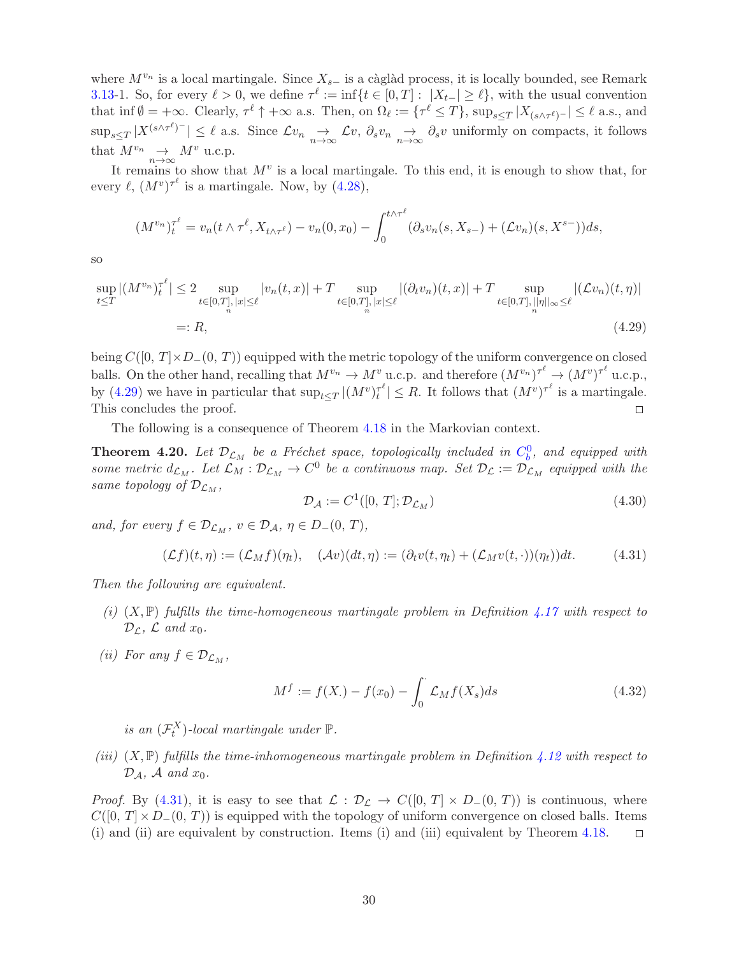where  $M^{v_n}$  is a local martingale. Since  $X_{s-}$  is a càglàd process, it is locally bounded, see Remark 3.13-1. So, for every  $\ell > 0$ , we define  $\tau^{\ell} := \inf\{t \in [0, T] : |X_{t-}| \geq \ell\}$ , with the usual convention that inf  $\emptyset = +\infty$ . Clearly,  $\tau^{\ell} \uparrow +\infty$  a.s. Then, on  $\Omega_{\ell} := {\tau^{\ell} \leq T}$ ,  $\sup_{s \leq T} |X_{(s \wedge \tau^{\ell})^{-}}| \leq \ell$  a.s., and  $\sup_{s\leq T}|X^{(s\wedge\tau^{\ell})-}|\leq\ell$  a.s. Since  $\mathcal{L}v_n\underset{n\to\infty}{\to}\mathcal{L}v$ ,  $\partial_sv_n\underset{n\to\infty}{\to}\partial_sv$  uniformly on compacts, it follows that  $M^{v_n} \longrightarrow_{n \to \infty} M^v$  u.c.p.

It remains to show that  $M^v$  is a local martingale. To this end, it is enough to show that, for every  $\ell$ ,  $(M^v)^{\tau^{\ell}}$  is a martingale. Now, by  $(4.28)$ ,

$$
(M^{v_n})_t^{\tau^{\ell}} = v_n(t \wedge \tau^{\ell}, X_{t \wedge \tau^{\ell}}) - v_n(0, x_0) - \int_0^{t \wedge \tau^{\ell}} (\partial_s v_n(s, X_{s-}) + (\mathcal{L}v_n)(s, X^{s-})) ds,
$$

so

$$
\sup_{t \leq T} |(M^{v_n})_t^{\tau^{\ell}}| \leq 2 \sup_{t \in [0,T], |x| \leq \ell} |v_n(t,x)| + T \sup_{t \in [0,T], |x| \leq \ell} |(\partial_t v_n)(t,x)| + T \sup_{t \in [0,T], ||\eta||_{\infty} \leq \ell} |(\mathcal{L}v_n)(t,\eta)|
$$
  
=: R, (4.29)

being  $C([0, T] \times D_-(0, T))$  equipped with the metric topology of the uniform convergence on closed balls. On the other hand, recalling that  $M^{v_n} \to M^v$  u.c.p. and therefore  $(M^{v_n})^{\tau^\ell} \to (M^v)^{\tau^\ell}$  u.c.p., by [\(4.29\)](#page-29-0) we have in particular that  $\sup_{t\leq T} |(M^v)_t^{\tau^{\ell}}|$  $\tau^{\ell} | \leq R$ . It follows that  $(M^v)^{\tau^{\ell}}$  is a martingale. This concludes the proof.  $\Box$ 

The following is a consequence of Theorem [4.18](#page-28-6) in the Markovian context.

<span id="page-29-2"></span>**Theorem 4.20.** Let  $\mathcal{D}_{\mathcal{L}_M}$  be a Fréchet space, topologically included in  $C_b^0$ , and equipped with some metric  $d_{\mathcal{L}_M}$ . Let  $\mathcal{L}_M : \mathcal{D}_{\mathcal{L}_M} \to C^0$  be a continuous map. Set  $\mathcal{D}_{\mathcal{L}} := \mathcal{D}_{\mathcal{L}_M}$  equipped with the same topology of  $\mathcal{D}_{\mathcal{L}_M}$ ,

<span id="page-29-3"></span><span id="page-29-1"></span><span id="page-29-0"></span>
$$
\mathcal{D}_{\mathcal{A}} := C^1([0, T]; \mathcal{D}_{\mathcal{L}_M})
$$
\n(4.30)

and, for every  $f \in \mathcal{D}_{\mathcal{L}_M}$ ,  $v \in \mathcal{D}_{\mathcal{A}}$ ,  $\eta \in D_-(0, T)$ ,

$$
(\mathcal{L}f)(t,\eta) := (\mathcal{L}_M f)(\eta_t), \quad (\mathcal{A}v)(dt,\eta) := (\partial_t v(t,\eta_t) + (\mathcal{L}_M v(t,\cdot))(\eta_t))dt. \tag{4.31}
$$

Then the following are equivalent.

- (i)  $(X, \mathbb{P})$  fulfills the time-homogeneous martingale problem in Definition [4.17](#page-28-1) with respect to  $\mathcal{D}_\mathcal{L}$ ,  $\mathcal{L}$  and  $x_0$ .
- (ii) For any  $f \in \mathcal{D}_{\mathcal{L}_M}$ ,

$$
M^{f} := f(X.) - f(x_0) - \int_0^{\cdot} \mathcal{L}_M f(X_s) ds \tag{4.32}
$$

is an  $(\mathcal{F}^X_t)$ -local martingale under  $\mathbb{P}$ .

(iii)  $(X, \mathbb{P})$  fulfills the time-inhomogeneous martingale problem in Definition [4.12](#page-27-0) with respect to  $\mathcal{D}_\mathcal{A}, \mathcal{A}$  and  $x_0$ .

*Proof.* By [\(4.31\)](#page-29-1), it is easy to see that  $\mathcal{L} : \mathcal{D}_{\mathcal{L}} \to C([0, T] \times D_-(0, T))$  is continuous, where  $C([0, T] \times D_{-}(0, T))$  is equipped with the topology of uniform convergence on closed balls. Items (i) and (ii) and (iii) are equivalent by construction. Items (i) and (iii) equivalent by Theorem 4.18. (i) and (ii) are equivalent by construction. Items (i) and (iii) equivalent by Theorem [4.18.](#page-28-6)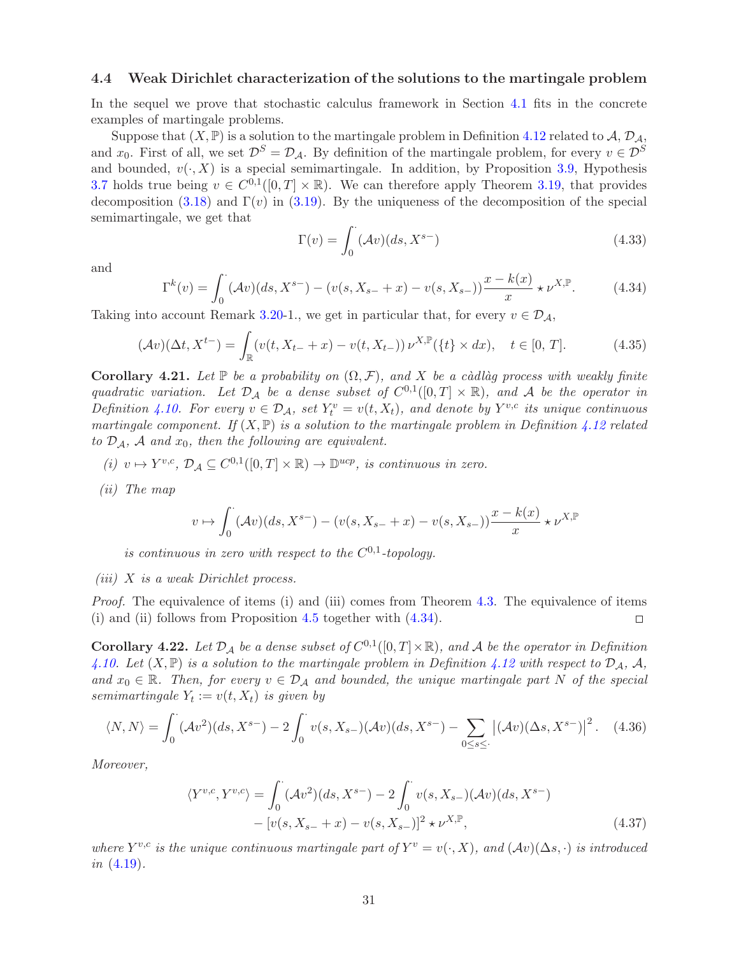#### 4.4 Weak Dirichlet characterization of the solutions to the martingale problem

In the sequel we prove that stochastic calculus framework in Section [4.1](#page-22-3) fits in the concrete examples of martingale problems.

Suppose that  $(X, \mathbb{P})$  is a solution to the martingale problem in Definition [4.12](#page-27-0) related to  $\mathcal{A}, \mathcal{D}_{\mathcal{A}},$ and  $x_0$ . First of all, we set  $\mathcal{D}^S = \mathcal{D}_{\mathcal{A}}$ . By definition of the martingale problem, for every  $v \in \mathcal{D}^S$ and bounded,  $v(\cdot, X)$  is a special semimartingale. In addition, by Proposition [3.9,](#page-8-6) Hypothesis [3.7](#page-8-3) holds true being  $v \in C^{0,1}([0,T] \times \mathbb{R})$ . We can therefore apply Theorem [3.19,](#page-10-6) that provides decomposition [\(3.18\)](#page-10-3) and  $\Gamma(v)$  in [\(3.19\)](#page-10-4). By the uniqueness of the decomposition of the special semimartingale, we get that

<span id="page-30-2"></span>
$$
\Gamma(v) = \int_0^{\cdot} (\mathcal{A}v)(ds, X^{s-})
$$
\n(4.33)

<span id="page-30-1"></span>and

$$
\Gamma^{k}(v) = \int_{0}^{\cdot} (\mathcal{A}v)(ds, X^{s-}) - (v(s, X_{s-} + x) - v(s, X_{s-})) \frac{x - k(x)}{x} \star \nu^{X,\mathbb{P}}.
$$
 (4.34)

Taking into account Remark 3.20-1., we get in particular that, for every  $v \in \mathcal{D}_A$ ,

$$
(\mathcal{A}v)(\Delta t, X^{t-}) = \int_{\mathbb{R}} (v(t, X_{t-} + x) - v(t, X_{t-})) \nu^{X, \mathbb{P}}(\{t\} \times dx), \quad t \in [0, T]. \tag{4.35}
$$

<span id="page-30-0"></span>**Corollary 4.21.** Let  $\mathbb{P}$  be a probability on  $(\Omega, \mathcal{F})$ , and X be a càdlàg process with weakly finite quadratic variation. Let  $\mathcal{D}_\mathcal{A}$  be a dense subset of  $C^{0,1}([0,T] \times \mathbb{R})$ , and A be the operator in Definition [4.10.](#page-27-1) For every  $v \in \mathcal{D}_\mathcal{A}$ , set  $Y_t^v = v(t, X_t)$ , and denote by  $Y^{v,c}$  its unique continuous martingale component. If  $(X, \mathbb{P})$  is a solution to the martingale problem in Definition [4.12](#page-27-0) related to  $\mathcal{D}_\mathcal{A}$ ,  $\mathcal A$  and  $x_0$ , then the following are equivalent.

- (i)  $v \mapsto Y^{v,c}, \mathcal{D}_\mathcal{A} \subseteq C^{0,1}([0,T] \times \mathbb{R}) \to \mathbb{D}^{ucp}$ , is continuous in zero.
- (ii) The map

$$
v \mapsto \int_0^{\cdot} (\mathcal{A}v)(ds, X^{s-}) - (v(s, X_{s-} + x) - v(s, X_{s-})) \frac{x - k(x)}{x} \star \nu^{X,\mathbb{P}}
$$

is continuous in zero with respect to the  $C^{0,1}$ -topology.

(iii)  $X$  is a weak Dirichlet process.

Proof. The equivalence of items (i) and (iii) comes from Theorem [4.3.](#page-22-0) The equivalence of items (i) and (ii) follows from Proposition [4.5](#page-25-0) together with [\(4.34\)](#page-30-1).  $\Box$ 

<span id="page-30-3"></span>**Corollary 4.22.** Let  $\mathcal{D}_\mathcal{A}$  be a dense subset of  $C^{0,1}([0,T] \times \mathbb{R})$ , and A be the operator in Definition [4.10.](#page-27-1) Let  $(X, \mathbb{P})$  is a solution to the martingale problem in Definition [4.12](#page-27-0) with respect to  $\mathcal{D}_A$ , A, and  $x_0 \in \mathbb{R}$ . Then, for every  $v \in \mathcal{D}_\mathcal{A}$  and bounded, the unique martingale part N of the special semimartingale  $Y_t := v(t, X_t)$  is given by

$$
\langle N, N \rangle = \int_0^{\cdot} (\mathcal{A}v^2)(ds, X^{s-}) - 2 \int_0^{\cdot} v(s, X_{s-})(\mathcal{A}v)(ds, X^{s-}) - \sum_{0 \le s \le \cdot} |(\mathcal{A}v)(\Delta s, X^{s-})|^2. \tag{4.36}
$$

Moreover,

<span id="page-30-4"></span>
$$
\langle Y^{v,c}, Y^{v,c} \rangle = \int_0^{\cdot} (\mathcal{A}v^2)(ds, X^{s-}) - 2 \int_0^{\cdot} v(s, X_{s-}) (\mathcal{A}v)(ds, X^{s-})
$$

$$
- [v(s, X_{s-} + x) - v(s, X_{s-})]^2 \star \nu^{X,\mathbb{P}}, \tag{4.37}
$$

where  $Y^{v,c}$  is the unique continuous martingale part of  $Y^v = v(\cdot, X)$ , and  $(\mathcal{A}v)(\Delta s, \cdot)$  is introduced in [\(4.19\)](#page-27-4).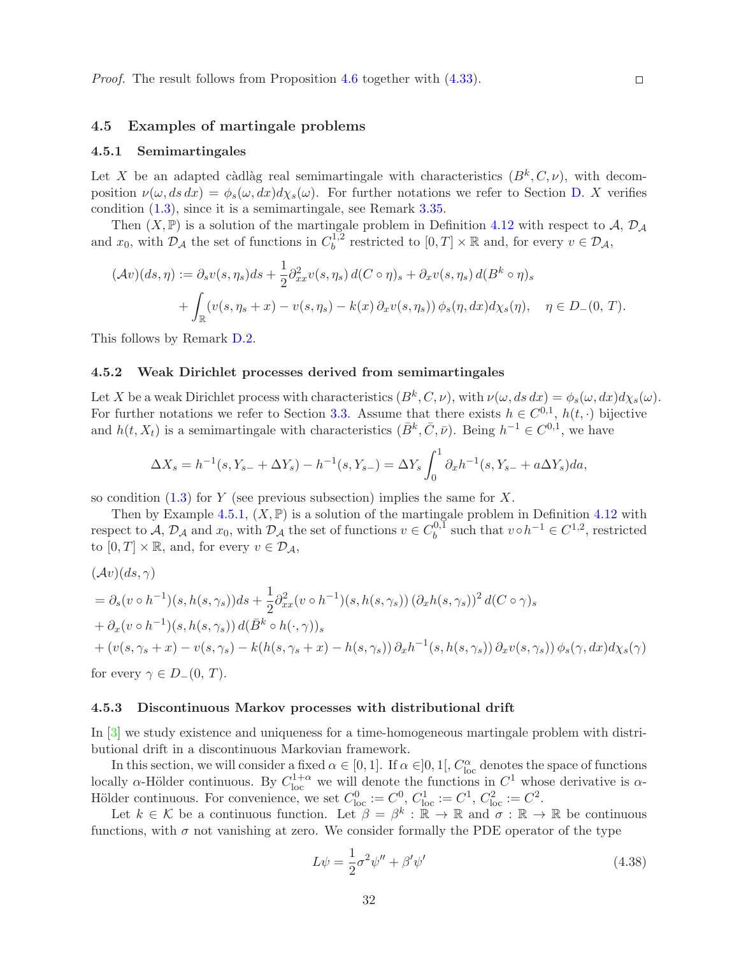#### <span id="page-31-1"></span><span id="page-31-0"></span>4.5 Examples of martingale problems

#### 4.5.1 Semimartingales

Let X be an adapted càdlàg real semimartingale with characteristics  $(B^k, C, \nu)$ , with decomposition  $\nu(\omega, ds dx) = \phi_s(\omega, dx) d\chi_s(\omega)$ . For further notations we refer to Section [D.](#page-47-1) X verifies condition [\(1.3\)](#page-2-0), since it is a semimartingale, see Remark [3.35.](#page-14-4)

Then  $(X, \mathbb{P})$  is a solution of the martingale problem in Definition [4.12](#page-27-0) with respect to A,  $\mathcal{D}_{\mathcal{A}}$ and  $x_0$ , with  $\mathcal{D}_\mathcal{A}$  the set of functions in  $C_b^{1,2}$  $b^{1,2}$  restricted to  $[0,T] \times \mathbb{R}$  and, for every  $v \in \mathcal{D}_{\mathcal{A}}$ ,

$$
(\mathcal{A}v)(ds,\eta) := \partial_s v(s,\eta_s)ds + \frac{1}{2}\partial_{xx}^2 v(s,\eta_s) d(C \circ \eta)_s + \partial_x v(s,\eta_s) d(B^k \circ \eta)_s
$$
  
+ 
$$
\int_{\mathbb{R}} (v(s,\eta_s + x) - v(s,\eta_s) - k(x)\partial_x v(s,\eta_s)) \phi_s(\eta, dx) d\chi_s(\eta), \quad \eta \in D_-(0,T).
$$

This follows by Remark [D.2.](#page-48-3)

#### 4.5.2 Weak Dirichlet processes derived from semimartingales

Let X be a weak Dirichlet process with characteristics  $(B^k, C, \nu)$ , with  $\nu(\omega, ds dx) = \phi_s(\omega, dx)d\chi_s(\omega)$ . For further notations we refer to Section [3.3.](#page-12-4) Assume that there exists  $h \in C^{0,1}$ ,  $h(t, \cdot)$  bijective and  $h(t, X_t)$  is a semimartingale with characteristics  $(\bar{B}^k, \bar{C}, \bar{\nu})$ . Being  $h^{-1} \in C^{0,1}$ , we have

$$
\Delta X_s = h^{-1}(s, Y_{s-} + \Delta Y_s) - h^{-1}(s, Y_{s-}) = \Delta Y_s \int_0^1 \partial_x h^{-1}(s, Y_{s-} + a\Delta Y_s) da,
$$

so condition  $(1.3)$  for Y (see previous subsection) implies the same for X.

Then by Example [4.5.1,](#page-31-1)  $(X, \mathbb{P})$  is a solution of the martingale problem in Definition [4.12](#page-27-0) with respect to A,  $\mathcal{D}_\mathcal{A}$  and  $x_0$ , with  $\mathcal{D}_\mathcal{A}$  the set of functions  $v \in C_b^{0,1}$  $b^{0,1}$  such that  $v \circ h^{-1} \in C^{1,2}$ , restricted to  $[0, T] \times \mathbb{R}$ , and, for every  $v \in \mathcal{D}_\mathcal{A}$ ,

$$
(\mathcal{A}v)(ds,\gamma)
$$
  
=  $\partial_s(v \circ h^{-1})(s,h(s,\gamma_s))ds + \frac{1}{2}\partial_{xx}^2(v \circ h^{-1})(s,h(s,\gamma_s))(\partial_x h(s,\gamma_s))^2 d(C \circ \gamma)_s$   
+  $\partial_x(v \circ h^{-1})(s,h(s,\gamma_s))d(\bar{B}^k \circ h(\cdot,\gamma))_s$   
+  $(v(s,\gamma_s+x) - v(s,\gamma_s) - k(h(s,\gamma_s+x) - h(s,\gamma_s))\partial_x h^{-1}(s,h(s,\gamma_s))\partial_x v(s,\gamma_s))\phi_s(\gamma,dx)d\chi_s(\gamma)$ 

for every  $\gamma \in D_-(0, T)$ .

#### 4.5.3 Discontinuous Markov processes with distributional drift

In [\[3\]](#page-48-0) we study existence and uniqueness for a time-homogeneous martingale problem with distributional drift in a discontinuous Markovian framework.

In this section, we will consider a fixed  $\alpha \in [0,1]$ . If  $\alpha \in ]0,1[$ ,  $C_{\text{loc}}^{\alpha}$  denotes the space of functions locally  $\alpha$ -Hölder continuous. By  $C_{\text{loc}}^{1+\alpha}$  we will denote the functions in  $C^1$  whose derivative is  $\alpha$ -Hölder continuous. For convenience, we set  $C_{\text{loc}}^0 := C^0$ ,  $C_{\text{loc}}^1 := C^1$ ,  $C_{\text{loc}}^2 := C^2$ .

Let  $k \in \mathcal{K}$  be a continuous function. Let  $\beta = \beta^k : \mathbb{R} \to \mathbb{R}$  and  $\sigma : \mathbb{R} \to \mathbb{R}$  be continuous functions, with  $\sigma$  not vanishing at zero. We consider formally the PDE operator of the type

$$
L\psi = \frac{1}{2}\sigma^2\psi'' + \beta'\psi'
$$
\n(4.38)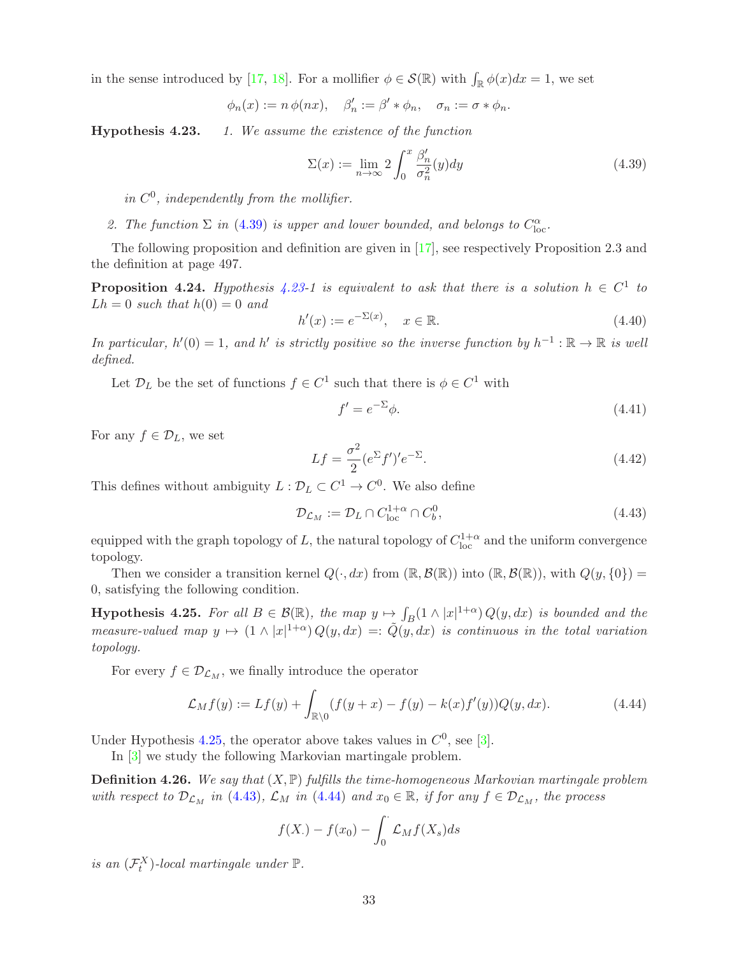in the sense introduced by [\[17,](#page-49-9) [18\]](#page-49-10). For a mollifier  $\phi \in \mathcal{S}(\mathbb{R})$  with  $\int_{\mathbb{R}} \phi(x)dx = 1$ , we set

$$
\phi_n(x) := n \phi(nx), \quad \beta'_n := \beta' * \phi_n, \quad \sigma_n := \sigma * \phi_n.
$$

**Hypothesis 4.23.** 1. We assume the existence of the function

<span id="page-32-0"></span>
$$
\Sigma(x) := \lim_{n \to \infty} 2 \int_0^x \frac{\beta_n'}{\sigma_n^2}(y) dy \tag{4.39}
$$

in  $C^0$ , independently from the mollifier.

2. The function  $\Sigma$  in [\(4.39\)](#page-32-0) is upper and lower bounded, and belongs to  $C_{\text{loc}}^{\alpha}$ .

The following proposition and definition are given in [\[17\]](#page-49-9), see respectively Proposition 2.3 and the definition at page 497.

<span id="page-32-6"></span>**Proposition 4.24.** Hypothesis 4.23-1 is equivalent to ask that there is a solution  $h \in C^1$  to  $Lh = 0$  such that  $h(0) = 0$  and

$$
h'(x) := e^{-\Sigma(x)}, \quad x \in \mathbb{R}.\tag{4.40}
$$

In particular,  $h'(0) = 1$ , and  $h'$  is strictly positive so the inverse function by  $h^{-1} : \mathbb{R} \to \mathbb{R}$  is well defined.

Let  $\mathcal{D}_L$  be the set of functions  $f \in C^1$  such that there is  $\phi \in C^1$  with

<span id="page-32-7"></span><span id="page-32-2"></span>
$$
f' = e^{-\Sigma} \phi. \tag{4.41}
$$

For any  $f \in \mathcal{D}_L$ , we set

<span id="page-32-5"></span>
$$
Lf = \frac{\sigma^2}{2} (e^{\Sigma} f')' e^{-\Sigma}.
$$
\n(4.42)

This defines without ambiguity  $L: \mathcal{D}_L \subset C^1 \to C^0$ . We also define

<span id="page-32-3"></span>
$$
\mathcal{D}_{\mathcal{L}_M} := \mathcal{D}_L \cap C_{\text{loc}}^{1+\alpha} \cap C_b^0,\tag{4.43}
$$

equipped with the graph topology of L, the natural topology of  $C^{1+\alpha}_{\text{loc}}$  and the uniform convergence topology.

Then we consider a transition kernel  $Q(\cdot, dx)$  from  $(\mathbb{R}, \mathcal{B}(\mathbb{R}))$  into  $(\mathbb{R}, \mathcal{B}(\mathbb{R}))$ , with  $Q(y, \{0\})$  = 0, satisfying the following condition.

<span id="page-32-1"></span>**Hypothesis 4.25.** For all  $B \in \mathcal{B}(\mathbb{R})$ , the map  $y \mapsto \int_B(1 \wedge |x|^{1+\alpha}) Q(y, dx)$  is bounded and the measure-valued map  $y \mapsto (1 \wedge |x|^{1+\alpha}) Q(y, dx) =: \tilde{Q}(y, dx)$  is continuous in the total variation topology.

For every  $f \in \mathcal{D}_{\mathcal{L}_M}$ , we finally introduce the operator

$$
\mathcal{L}_M f(y) := Lf(y) + \int_{\mathbb{R}\setminus 0} (f(y+x) - f(y) - k(x)f'(y))Q(y, dx). \tag{4.44}
$$

Under Hypothesis [4.25,](#page-32-1) the operator above takes values in  $C^0$ , see [\[3\]](#page-48-0).

In [\[3\]](#page-48-0) we study the following Markovian martingale problem.

<span id="page-32-4"></span>**Definition 4.26.** We say that  $(X, \mathbb{P})$  fulfills the time-homogeneous Markovian martingale problem with respect to  $\mathcal{D}_{\mathcal{L}_M}$  in [\(4.43\)](#page-32-2),  $\mathcal{L}_M$  in [\(4.44\)](#page-32-3) and  $x_0 \in \mathbb{R}$ , if for any  $f \in \mathcal{D}_{\mathcal{L}_M}$ , the process

$$
f(X_{\cdot}) - f(x_0) - \int_0^{\cdot} \mathcal{L}_M f(X_s) ds
$$

is an  $(\mathcal{F}^X_t)$ -local martingale under  $\mathbb{P}$ .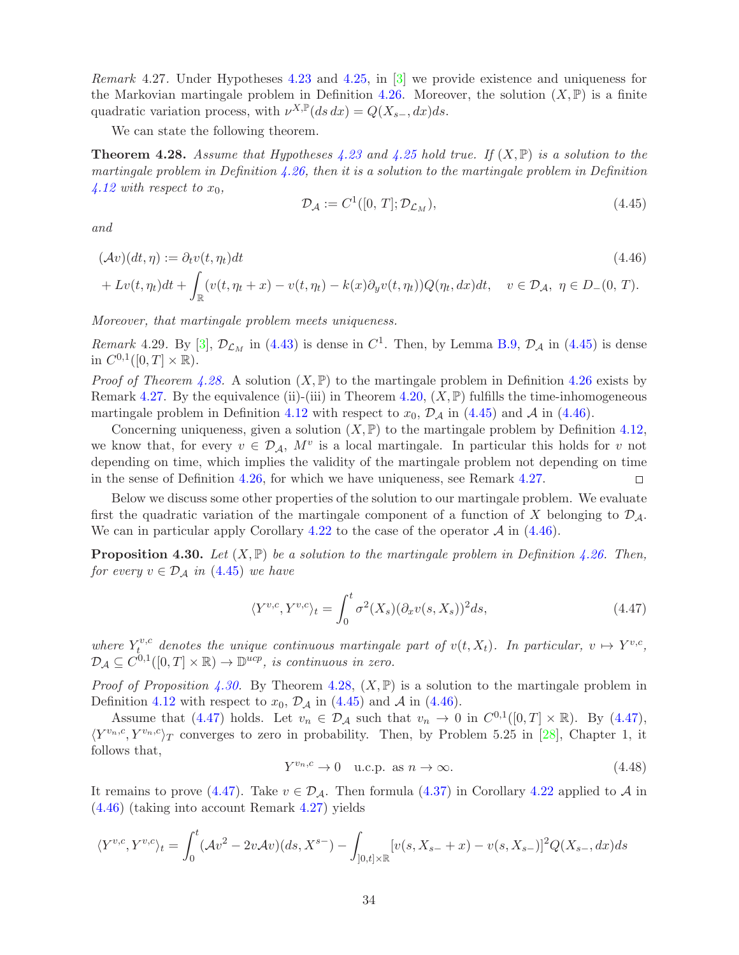<span id="page-33-2"></span>Remark 4.27. Under Hypotheses 4.23 and [4.25,](#page-32-1) in [\[3\]](#page-48-0) we provide existence and uniqueness for the Markovian martingale problem in Definition [4.26.](#page-32-4) Moreover, the solution  $(X,\mathbb{P})$  is a finite quadratic variation process, with  $\nu^{X,\mathbb{P}}(ds dx) = Q(X_{s-}, dx)ds$ .

We can state the following theorem.

<span id="page-33-1"></span>**Theorem 4.28.** Assume that Hypotheses 4.23 and [4.25](#page-32-1) hold true. If  $(X, \mathbb{P})$  is a solution to the martingale problem in Definition  $4.26$ , then it is a solution to the martingale problem in Definition [4.12](#page-27-0) with respect to  $x_0$ ,

<span id="page-33-3"></span><span id="page-33-0"></span>
$$
\mathcal{D}_{\mathcal{A}} := C^1([0, T]; \mathcal{D}_{\mathcal{L}_M}),\tag{4.45}
$$

and

$$
(\mathcal{A}v)(dt,\eta) := \partial_t v(t,\eta_t)dt
$$
\n
$$
+ Lv(t,\eta_t)dt + \int_{\mathbb{R}} (v(t,\eta_t + x) - v(t,\eta_t) - k(x)\partial_y v(t,\eta_t))Q(\eta_t, dx)dt, \quad v \in \mathcal{D}_{\mathcal{A}}, \ \eta \in D_{-}(0,T).
$$
\n(4.46)

Moreover, that martingale problem meets uniqueness.

<span id="page-33-6"></span>Remark 4.29. By [\[3\]](#page-48-0),  $\mathcal{D}_{\mathcal{L}_M}$  in [\(4.43\)](#page-32-2) is dense in  $C^1$ . Then, by Lemma [B.9,](#page-44-0)  $\mathcal{D}_\mathcal{A}$  in [\(4.45\)](#page-33-0) is dense in  $C^{0,1}([0,T] \times \mathbb{R})$ .

*Proof of Theorem [4.28.](#page-33-1)* A solution  $(X, \mathbb{P})$  to the martingale problem in Definition [4.26](#page-32-4) exists by Remark [4.27.](#page-33-2) By the equivalence (ii)-(iii) in Theorem [4.20,](#page-29-2)  $(X, \mathbb{P})$  fulfills the time-inhomogeneous martingale problem in Definition [4.12](#page-27-0) with respect to  $x_0$ ,  $\mathcal{D}_\mathcal{A}$  in [\(4.45\)](#page-33-0) and  $\mathcal{A}$  in [\(4.46\)](#page-33-3).

Concerning uniqueness, given a solution  $(X, \mathbb{P})$  to the martingale problem by Definition [4.12,](#page-27-0) we know that, for every  $v \in \mathcal{D}_\mathcal{A}$ ,  $M^v$  is a local martingale. In particular this holds for v not depending on time, which implies the validity of the martingale problem not depending on time in the sense of Definition [4.26,](#page-32-4) for which we have uniqueness, see Remark [4.27.](#page-33-2)  $\Box$ 

Below we discuss some other properties of the solution to our martingale problem. We evaluate first the quadratic variation of the martingale component of a function of X belonging to  $\mathcal{D}_{\mathcal{A}}$ . We can in particular apply Corollary [4.22](#page-30-3) to the case of the operator  $\mathcal A$  in [\(4.46\)](#page-33-3).

<span id="page-33-4"></span>**Proposition 4.30.** Let  $(X, \mathbb{P})$  be a solution to the martingale problem in Definition [4.26.](#page-32-4) Then, for every  $v \in \mathcal{D}_A$  in [\(4.45\)](#page-33-0) we have

<span id="page-33-5"></span>
$$
\langle Y^{v,c}, Y^{v,c} \rangle_t = \int_0^t \sigma^2(X_s) (\partial_x v(s, X_s))^2 ds, \tag{4.47}
$$

where  $Y_t^{v,c}$  $t^{v,c}$  denotes the unique continuous martingale part of  $v(t, X_t)$ . In particular,  $v \mapsto Y^{v,c}$ ,  $\mathcal{D}_{\mathcal{A}} \subseteq C^{0,1}([0,T] \times \mathbb{R}) \to \mathbb{D}^{ucp}$ , is continuous in zero.

*Proof of Proposition [4.30.](#page-33-4)* By Theorem [4.28,](#page-33-1)  $(X, \mathbb{P})$  is a solution to the martingale problem in Definition [4.12](#page-27-0) with respect to  $x_0$ ,  $\mathcal{D}_\mathcal{A}$  in [\(4.45\)](#page-33-0) and  $\mathcal{A}$  in [\(4.46\)](#page-33-3).

Assume that [\(4.47\)](#page-33-5) holds. Let  $v_n \in \mathcal{D}_\mathcal{A}$  such that  $v_n \to 0$  in  $C^{0,1}([0,T] \times \mathbb{R})$ . By (4.47),  $\langle Y^{v_n,c}, Y^{v_n,c}\rangle_T$  converges to zero in probability. Then, by Problem 5.25 in [\[28\]](#page-50-12), Chapter 1, it follows that,

$$
Y^{v_n,c} \to 0 \quad \text{u.c.p. as } n \to \infty. \tag{4.48}
$$

It remains to prove [\(4.47\)](#page-33-5). Take  $v \in \mathcal{D}_{\mathcal{A}}$ . Then formula [\(4.37\)](#page-30-4) in Corollary [4.22](#page-30-3) applied to  $\mathcal A$  in [\(4.46\)](#page-33-3) (taking into account Remark [4.27\)](#page-33-2) yields

$$
\langle Y^{v,c}, Y^{v,c} \rangle_t = \int_0^t (\mathcal{A}v^2 - 2v\mathcal{A}v)(ds, X^{s-}) - \int_{]0,t] \times \mathbb{R}} [v(s, X_{s-} + x) - v(s, X_{s-})]^2 Q(X_{s-}, dx) ds
$$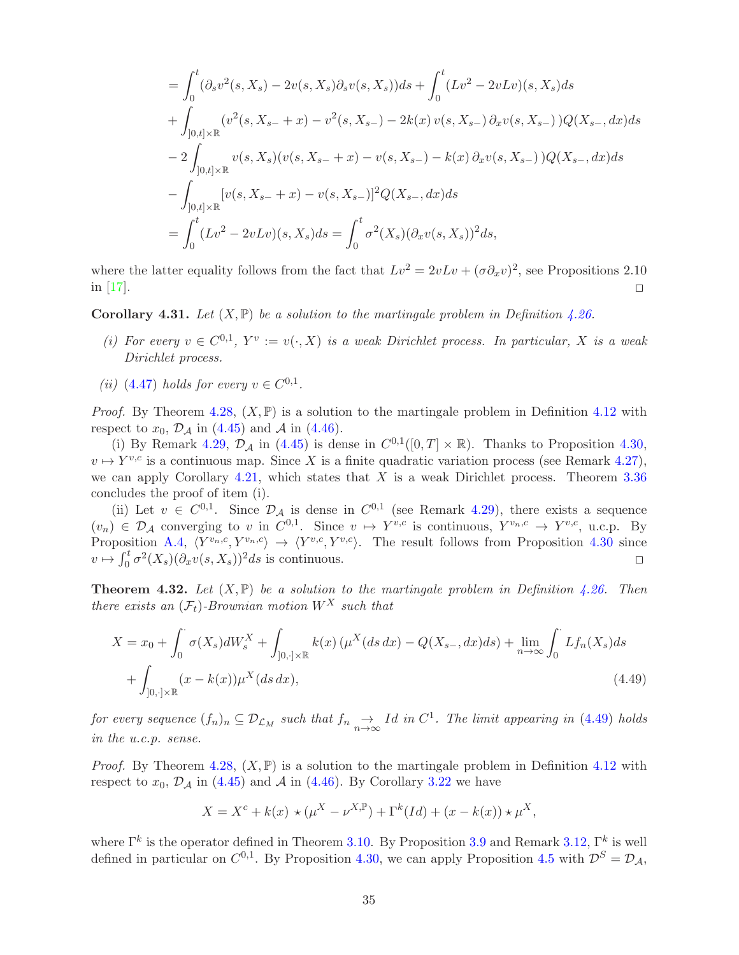$$
= \int_0^t (\partial_s v^2(s, X_s) - 2v(s, X_s)\partial_s v(s, X_s))ds + \int_0^t (Lv^2 - 2vLv)(s, X_s)ds
$$
  
+ 
$$
\int_{]0,t] \times \mathbb{R}} (v^2(s, X_{s-} + x) - v^2(s, X_{s-}) - 2k(x)v(s, X_{s-})\partial_x v(s, X_{s-}) )Q(X_{s-}, dx)ds
$$
  
- 
$$
2 \int_{]0,t] \times \mathbb{R}} v(s, X_s)(v(s, X_{s-} + x) - v(s, X_{s-}) - k(x)\partial_x v(s, X_{s-}) )Q(X_{s-}, dx)ds
$$
  
- 
$$
\int_{]0,t] \times \mathbb{R}} [v(s, X_{s-} + x) - v(s, X_{s-})]^2 Q(X_{s-}, dx)ds
$$
  
= 
$$
\int_0^t (Lv^2 - 2vLv)(s, X_s)ds = \int_0^t \sigma^2(X_s)(\partial_x v(s, X_s))^2ds,
$$

where the latter equality follows from the fact that  $Lv^2 = 2vLv + (\sigma \partial_x v)^2$ , see Propositions 2.10 in [\[17\]](#page-49-9).  $\Box$ 

<span id="page-34-1"></span>**Corollary 4.31.** Let  $(X, \mathbb{P})$  be a solution to the martingale problem in Definition [4.26.](#page-32-4)

- (i) For every  $v \in C^{0,1}$ ,  $Y^v := v(\cdot, X)$  is a weak Dirichlet process. In particular, X is a weak Dirichlet process.
- (*ii*) [\(4.47\)](#page-33-5) holds for every  $v \in C^{0,1}$ .

*Proof.* By Theorem [4.28,](#page-33-1)  $(X, \mathbb{P})$  is a solution to the martingale problem in Definition [4.12](#page-27-0) with respect to  $x_0$ ,  $\mathcal{D}_\mathcal{A}$  in [\(4.45\)](#page-33-0) and  $\mathcal{A}$  in [\(4.46\)](#page-33-3).

(i) By Remark [4.29,](#page-33-6)  $\mathcal{D}_{\mathcal{A}}$  in [\(4.45\)](#page-33-0) is dense in  $C^{0,1}([0,T] \times \mathbb{R})$ . Thanks to Proposition [4.30,](#page-33-4)  $v \mapsto Y^{v,c}$  is a continuous map. Since X is a finite quadratic variation process (see Remark [4.27\)](#page-33-2), we can apply Corollary [4.21,](#page-30-0) which states that X is a weak Dirichlet process. Theorem  $3.36$ concludes the proof of item (i).

(ii) Let  $v \in C^{0,1}$ . Since  $\mathcal{D}_{\mathcal{A}}$  is dense in  $C^{0,1}$  (see Remark [4.29\)](#page-33-6), there exists a sequence  $(v_n) \in \mathcal{D}_\mathcal{A}$  converging to v in  $C^{0,1}$ . Since  $v \mapsto Y^{v,c}$  is continuous,  $Y^{v_n,c} \to Y^{v,c}$ , u.c.p. By Proposition [A.4,](#page-45-0)  $\langle Y^{v_n,c}, Y^{v_n,c} \rangle \rightarrow \langle Y^{v,c}, Y^{v,c} \rangle$ . The result follows from Proposition [4.30](#page-33-4) since  $v \mapsto \int_0^t \sigma^2(X_s)(\partial_x v(s,X_s))^2 ds$  is continuous.  $\Box$ 

<span id="page-34-2"></span>**Theorem 4.32.** Let  $(X, \mathbb{P})$  be a solution to the martingale problem in Definition [4.26.](#page-32-4) Then there exists an  $(\mathcal{F}_t)$ -Brownian motion  $W^X$  such that

$$
X = x_0 + \int_0^{\cdot} \sigma(X_s) dW_s^X + \int_{]0, \cdot] \times \mathbb{R}} k(x) \left( \mu^X(ds \, dx) - Q(X_{s-}, dx) ds \right) + \lim_{n \to \infty} \int_0^{\cdot} Lf_n(X_s) ds
$$
  
+ 
$$
\int_{]0, \cdot] \times \mathbb{R}} (x - k(x)) \mu^X(ds \, dx), \tag{4.49}
$$

for every sequence  $(f_n)_n \subseteq \mathcal{D}_{\mathcal{L}_M}$  such that  $f_n \underset{n\to\infty}{\to} Id$  in  $C^1$ . The limit appearing in [\(4.49\)](#page-34-0) holds in the u.c.p. sense.

*Proof.* By Theorem [4.28,](#page-33-1)  $(X, \mathbb{P})$  is a solution to the martingale problem in Definition [4.12](#page-27-0) with respect to  $x_0$ ,  $\mathcal{D}_\mathcal{A}$  in [\(4.45\)](#page-33-0) and  $\mathcal{A}$  in [\(4.46\)](#page-33-3). By Corollary [3.22](#page-12-1) we have

<span id="page-34-0"></span>
$$
X = X^{c} + k(x) \star (\mu^{X} - \nu^{X,\mathbb{P}}) + \Gamma^{k}(Id) + (x - k(x)) \star \mu^{X},
$$

where  $\Gamma^k$  is the operator defined in Theorem [3.10.](#page-8-0) By Proposition [3.9](#page-8-6) and Remark [3.12,](#page-8-7)  $\Gamma^k$  is well defined in particular on  $C^{0,1}$ . By Proposition [4.30,](#page-33-4) we can apply Proposition [4.5](#page-25-0) with  $\mathcal{D}^S = \mathcal{D}_{\mathcal{A}}$ ,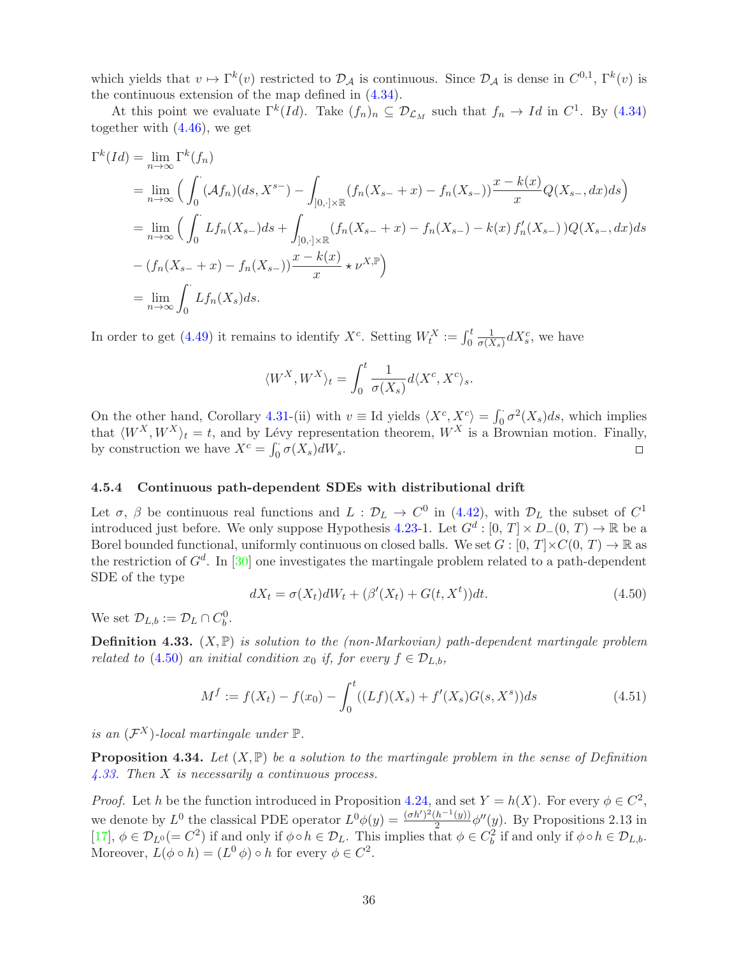which yields that  $v \mapsto \Gamma^k(v)$  restricted to  $\mathcal{D}_\mathcal{A}$  is continuous. Since  $\mathcal{D}_\mathcal{A}$  is dense in  $C^{0,1}$ ,  $\Gamma^k(v)$  is the continuous extension of the map defined in [\(4.34\)](#page-30-1).

At this point we evaluate  $\Gamma^k(Id)$ . Take  $(f_n)_n \subseteq \mathcal{D}_{\mathcal{L}_M}$  such that  $f_n \to Id$  in  $C^1$ . By [\(4.34\)](#page-30-1) together with [\(4.46\)](#page-33-3), we get

$$
\Gamma^{k}(Id) = \lim_{n \to \infty} \Gamma^{k}(f_{n})
$$
\n
$$
= \lim_{n \to \infty} \left( \int_{0}^{1} (\mathcal{A}f_{n})(ds, X^{s-}) - \int_{]0, \cdot] \times \mathbb{R}} (f_{n}(X_{s-} + x) - f_{n}(X_{s-})) \frac{x - k(x)}{x} Q(X_{s-}, dx) ds \right)
$$
\n
$$
= \lim_{n \to \infty} \left( \int_{0}^{1} Lf_{n}(X_{s-}) ds + \int_{]0, \cdot] \times \mathbb{R}} (f_{n}(X_{s-} + x) - f_{n}(X_{s-}) - k(x) f'_{n}(X_{s-})) Q(X_{s-}, dx) ds
$$
\n
$$
- (f_{n}(X_{s-} + x) - f_{n}(X_{s-})) \frac{x - k(x)}{x} \star \nu^{X, \mathbb{P}} \right)
$$
\n
$$
= \lim_{n \to \infty} \int_{0}^{1} Lf_{n}(X_{s}) ds.
$$

In order to get [\(4.49\)](#page-34-0) it remains to identify  $X^c$ . Setting  $W_t^X := \int_0^t$ 1  $\frac{1}{\sigma(X_s)}$ d $X_s^c$ , we have

$$
\langle W^X, W^X \rangle_t = \int_0^t \frac{1}{\sigma(X_s)} d\langle X^c, X^c \rangle_s.
$$

On the other hand, Corollary [4.31-](#page-34-1)(ii) with  $v \equiv$  Id yields  $\langle X^c, X^c \rangle = \int_0^{\cdot} \sigma^2(X_s) ds$ , which implies that  $\langle W^X, W^X \rangle_t = t$ , and by Lévy representation theorem,  $W^X$  is a Brownian motion. Finally, by construction we have  $X^c = \int_{\alpha} \sigma(X_s) dW_s$ . by construction we have  $X^c = \int_0^1 \sigma(X_s) dW_s$ .

#### 4.5.4 Continuous path-dependent SDEs with distributional drift

Let  $\sigma$ ,  $\beta$  be continuous real functions and  $L: \mathcal{D}_L \to C^0$  in [\(4.42\)](#page-32-5), with  $\mathcal{D}_L$  the subset of  $C^1$ introduced just before. We only suppose Hypothesis 4.23-1. Let  $G^d : [0, T] \times D_-(0, T) \to \mathbb{R}$  be a Borel bounded functional, uniformly continuous on closed balls. We set  $G : [0, T] \times C(0, T) \to \mathbb{R}$  as the restriction of  $G^d$ . In [\[30\]](#page-50-5) one investigates the martingale problem related to a path-dependent SDE of the type

<span id="page-35-3"></span><span id="page-35-0"></span>
$$
dX_t = \sigma(X_t)dW_t + (\beta'(X_t) + G(t, X^t))dt.
$$
\n(4.50)

We set  $\mathcal{D}_{L,b} := \mathcal{D}_L \cap C_b^0$ .

<span id="page-35-1"></span>**Definition 4.33.**  $(X, \mathbb{P})$  is solution to the (non-Markovian) path-dependent martingale problem related to [\(4.50\)](#page-35-0) an initial condition  $x_0$  if, for every  $f \in \mathcal{D}_{L,b}$ ,

$$
M^{f} := f(X_{t}) - f(x_{0}) - \int_{0}^{t} ((Lf)(X_{s}) + f'(X_{s})G(s, X^{s}))ds
$$
\n(4.51)

is an  $(\mathcal{F}^X)$ -local martingale under  $\mathbb{P}$ .

<span id="page-35-2"></span>**Proposition 4.34.** Let  $(X, \mathbb{P})$  be a solution to the martingale problem in the sense of Definition [4.33.](#page-35-1) Then X is necessarily a continuous process.

*Proof.* Let h be the function introduced in Proposition [4.24,](#page-32-6) and set  $Y = h(X)$ . For every  $\phi \in C^2$ , we denote by  $L^0$  the classical PDE operator  $L^0\phi(y) = \frac{(\sigma h')^2 (h^{-1}(y))}{2}$  $\frac{(h^{-1}(y))}{2} \phi''(y)$ . By Propositions 2.13 in [\[17\]](#page-49-9),  $\phi \in \mathcal{D}_{L^0} (= C^2)$  if and only if  $\phi \circ h \in \mathcal{D}_L$ . This implies that  $\phi \in C_b^2$  if and only if  $\phi \circ h \in \mathcal{D}_{L,b}$ . Moreover,  $L(\phi \circ h) = (L^0 \phi) \circ h$  for every  $\phi \in C^2$ .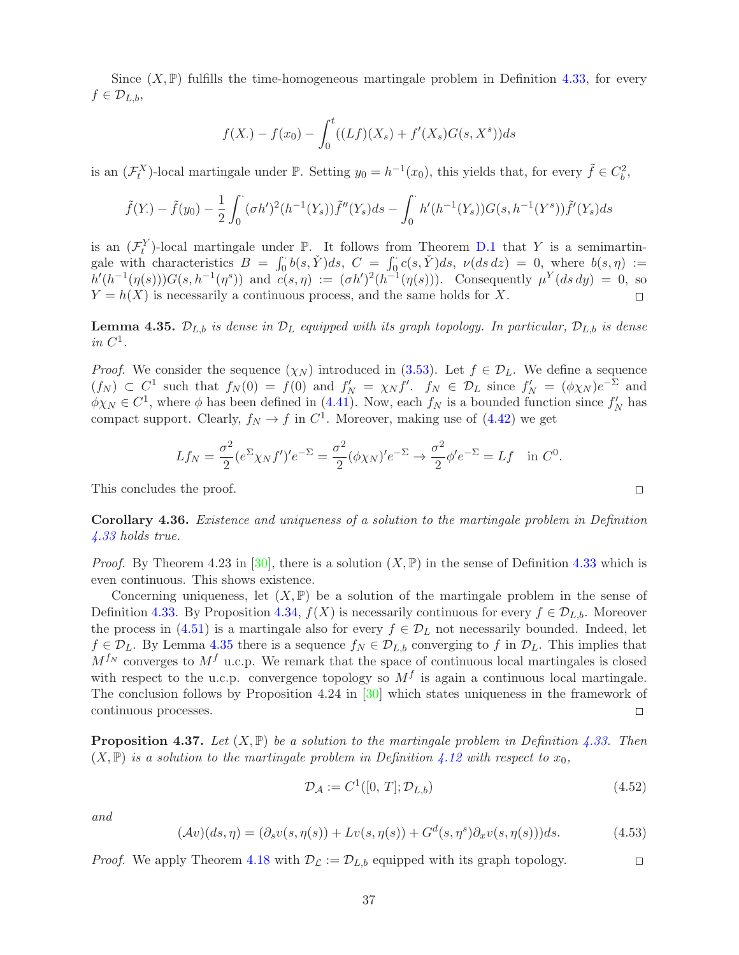Since  $(X, \mathbb{P})$  fulfills the time-homogeneous martingale problem in Definition [4.33,](#page-35-1) for every  $f \in \mathcal{D}_{L,b},$ 

$$
f(X_{\cdot}) - f(x_0) - \int_0^t ((Lf)(X_s) + f'(X_s)G(s, X^s))ds
$$

is an  $(\mathcal{F}^X_t)$ -local martingale under  $\mathbb{P}$ . Setting  $y_0 = h^{-1}(x_0)$ , this yields that, for every  $\tilde{f} \in C_b^2$ ,

$$
\tilde{f}(Y_{\cdot}) - \tilde{f}(y_0) - \frac{1}{2} \int_0^{\cdot} (\sigma h')^2 (h^{-1}(Y_s)) \tilde{f}''(Y_s) ds - \int_0^{\cdot} h'(h^{-1}(Y_s)) G(s, h^{-1}(Y^s)) \tilde{f}'(Y_s) ds
$$

is an  $(\mathcal{F}_t^Y)$ -local martingale under  $\mathbb{P}$ . It follows from Theorem [D.1](#page-48-2) that Y is a semimartingale with characteristics  $B = \int_0^1 b(s, \check{Y})ds$ ,  $C = \int_0^1 c(s, \check{Y})ds$ ,  $\nu(ds \, dz) = 0$ , where  $b(s, \eta) :=$  $h'(h^{-1}(\eta(s)))G(s,h^{-1}(\eta^s))$  and  $c(s,\eta) := (\sigma h')^2(h^{-1}(\eta(s)))$ . Consequently  $\mu^Y(ds\,dy) = 0$ , so  $Y = h(X)$  is necessarily a continuous process, and the same holds for X.

<span id="page-36-0"></span>**Lemma 4.35.**  $\mathcal{D}_{L,b}$  is dense in  $\mathcal{D}_L$  equipped with its graph topology. In particular,  $\mathcal{D}_{L,b}$  is dense in  $C^1$ .

*Proof.* We consider the sequence  $(\chi_N)$  introduced in [\(3.53\)](#page-21-3). Let  $f \in \mathcal{D}_L$ . We define a sequence  $(f_N) \subset C^1$  such that  $f_N(0) = f(0)$  and  $f'_N = \chi_N f'$ .  $f_N \in \mathcal{D}_L$  since  $f'_N = (\phi \chi_N) e^{-\sum_{j=1}^N \phi_j}$  and  $\phi \chi_N \in C^1$ , where  $\phi$  has been defined in [\(4.41\)](#page-32-7). Now, each  $f_N$  is a bounded function since  $f'_N$  has compact support. Clearly,  $f_N \to f$  in  $C^1$ . Moreover, making use of  $(4.42)$  we get

$$
Lf_N = \frac{\sigma^2}{2} (e^{\Sigma} \chi_N f')' e^{-\Sigma} = \frac{\sigma^2}{2} (\phi \chi_N)' e^{-\Sigma} \to \frac{\sigma^2}{2} \phi' e^{-\Sigma} = Lf \quad \text{in } C^0.
$$

This concludes the proof.

Corollary 4.36. Existence and uniqueness of a solution to the martingale problem in Definition [4.33](#page-35-1) holds true.

*Proof.* By Theorem 4.23 in [\[30\]](#page-50-5), there is a solution  $(X, \mathbb{P})$  in the sense of Definition [4.33](#page-35-1) which is even continuous. This shows existence.

Concerning uniqueness, let  $(X, \mathbb{P})$  be a solution of the martingale problem in the sense of Definition [4.33.](#page-35-1) By Proposition [4.34,](#page-35-2)  $f(X)$  is necessarily continuous for every  $f \in \mathcal{D}_{L,b}$ . Moreover the process in [\(4.51\)](#page-35-3) is a martingale also for every  $f \in \mathcal{D}_L$  not necessarily bounded. Indeed, let  $f \in \mathcal{D}_L$ . By Lemma [4.35](#page-36-0) there is a sequence  $f_N \in \mathcal{D}_{L,b}$  converging to f in  $\mathcal{D}_L$ . This implies that  $M^{f_N}$  converges to  $M^f$  u.c.p. We remark that the space of continuous local martingales is closed with respect to the u.c.p. convergence topology so  $M<sup>f</sup>$  is again a continuous local martingale. The conclusion follows by Proposition 4.24 in [\[30\]](#page-50-5) which states uniqueness in the framework of continuous processes.  $\Box$ 

**Proposition 4.37.** Let  $(X, \mathbb{P})$  be a solution to the martingale problem in Definition [4.33.](#page-35-1) Then  $(X,\mathbb{P})$  is a solution to the martingale problem in Definition [4.12](#page-27-0) with respect to  $x_0$ ,

$$
\mathcal{D}_{\mathcal{A}} := C^1([0, T]; \mathcal{D}_{L,b}) \tag{4.52}
$$

<span id="page-36-2"></span>and

$$
(\mathcal{A}v)(ds,\eta) = (\partial_s v(s,\eta(s)) + Lv(s,\eta(s)) + G^d(s,\eta^s)\partial_x v(s,\eta(s)))ds.
$$
 (4.53)

*Proof.* We apply Theorem [4.18](#page-28-6) with  $\mathcal{D}_{\mathcal{L}} := \mathcal{D}_{L,b}$  equipped with its graph topology.

<span id="page-36-1"></span> $\Box$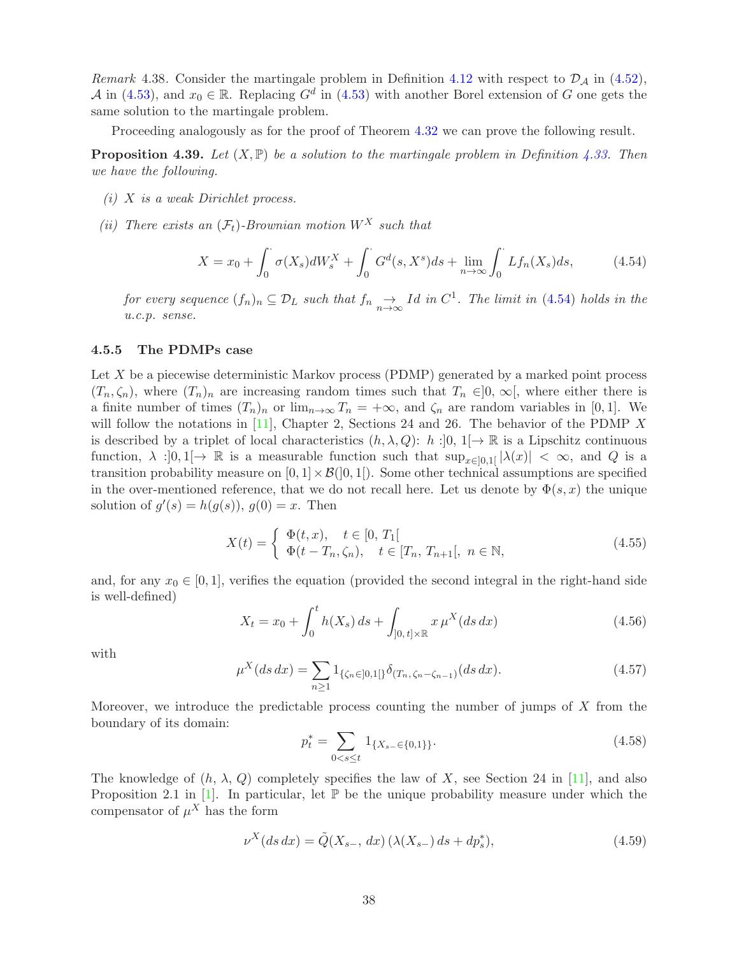Remark 4.38. Consider the martingale problem in Definition [4.12](#page-27-0) with respect to  $\mathcal{D}_{\mathcal{A}}$  in [\(4.52\)](#page-36-1), A in [\(4.53\)](#page-36-2), and  $x_0 \in \mathbb{R}$ . Replacing  $G^d$  in (4.53) with another Borel extension of G one gets the same solution to the martingale problem.

Proceeding analogously as for the proof of Theorem [4.32](#page-34-2) we can prove the following result.

**Proposition 4.39.** Let  $(X, \mathbb{P})$  be a solution to the martingale problem in Definition [4.33.](#page-35-1) Then we have the following.

- $(i)$  X is a weak Dirichlet process.
- (ii) There exists an  $(\mathcal{F}_t)$ -Brownian motion  $W^X$  such that

<span id="page-37-0"></span>
$$
X = x_0 + \int_0^{\cdot} \sigma(X_s) dW_s^X + \int_0^{\cdot} G^d(s, X^s) ds + \lim_{n \to \infty} \int_0^{\cdot} Lf_n(X_s) ds, \tag{4.54}
$$

for every sequence  $(f_n)_n \subseteq \mathcal{D}_L$  such that  $f_n \underset{n\to\infty}{\to} Id$  in  $C^1$ . The limit in [\(4.54\)](#page-37-0) holds in the u.c.p. sense.

#### 4.5.5 The PDMPs case

Let  $X$  be a piecewise deterministic Markov process (PDMP) generated by a marked point process  $(T_n, \zeta_n)$ , where  $(T_n)_n$  are increasing random times such that  $T_n \in ]0, \infty[$ , where either there is a finite number of times  $(T_n)_n$  or  $\lim_{n\to\infty} T_n = +\infty$ , and  $\zeta_n$  are random variables in [0, 1]. We will follow the notations in  $[11]$ , Chapter 2, Sections 24 and 26. The behavior of the PDMP X is described by a triplet of local characteristics  $(h, \lambda, Q)$ :  $h$ :  $[0, 1] \rightarrow \mathbb{R}$  is a Lipschitz continuous function,  $\lambda :]0,1[\rightarrow \mathbb{R}$  is a measurable function such that  $\sup_{x\in [0,1]} |\lambda(x)| < \infty$ , and Q is a transition probability measure on  $[0, 1] \times \mathcal{B}(]0, 1]$ . Some other technical assumptions are specified in the over-mentioned reference, that we do not recall here. Let us denote by  $\Phi(s, x)$  the unique solution of  $g'(s) = h(g(s)), g(0) = x$ . Then

$$
X(t) = \begin{cases} \Phi(t,x), & t \in [0, T_1[\\ \Phi(t - T_n, \zeta_n), & t \in [T_n, T_{n+1}[, n \in \mathbb{N}, \end{cases}
$$
(4.55)

and, for any  $x_0 \in [0, 1]$ , verifies the equation (provided the second integral in the right-hand side is well-defined)

$$
X_t = x_0 + \int_0^t h(X_s) \, ds + \int_{]0, \, t] \times \mathbb{R}} x \, \mu^X(ds \, dx) \tag{4.56}
$$

with

$$
\mu^X(ds\,dx) = \sum_{n\geq 1} 1_{\{\zeta_n \in ]0,1[\}} \delta_{(T_n,\zeta_n - \zeta_{n-1})}(ds\,dx). \tag{4.57}
$$

Moreover, we introduce the predictable process counting the number of jumps of  $X$  from the boundary of its domain:

$$
p_t^* = \sum_{0 < s \le t} 1_{\{X_{s-} \in \{0,1\}\}}.\tag{4.58}
$$

The knowledge of  $(h, \lambda, Q)$  completely specifies the law of X, see Section 24 in [\[11\]](#page-49-18), and also Proposition 2.1 in  $[1]$ . In particular, let  $\mathbb P$  be the unique probability measure under which the compensator of  $\mu^X$  has the form

$$
\nu^X(ds\,dx) = \tilde{Q}(X_{s-},\,dx)\,(\lambda(X_{s-})\,ds + dp_s^*),\tag{4.59}
$$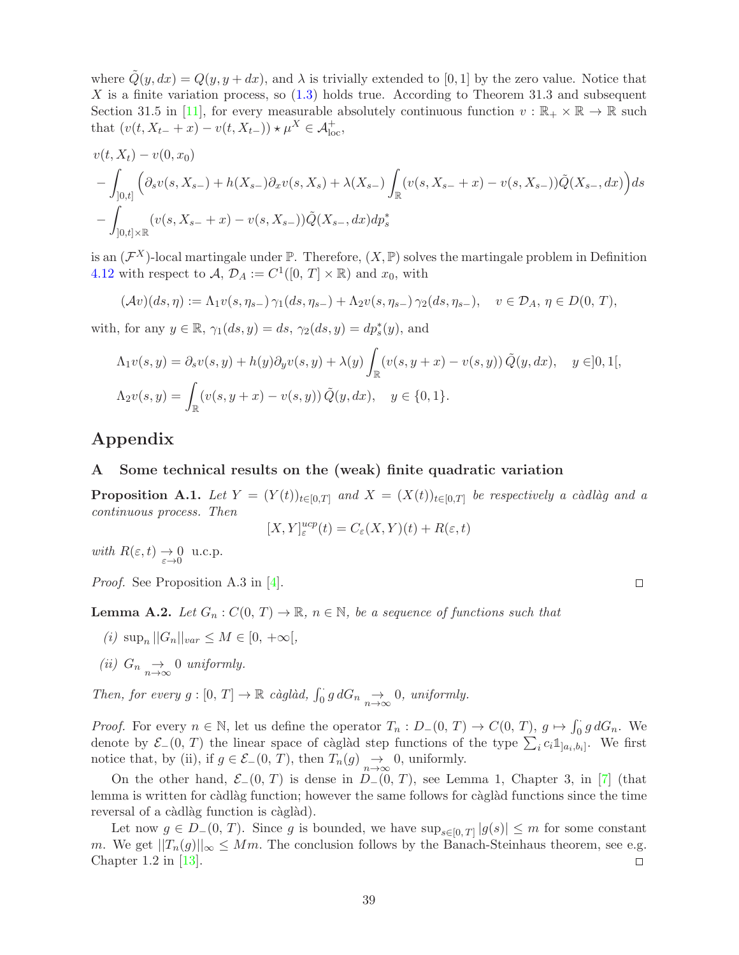where  $\tilde{Q}(y, dx) = Q(y, y + dx)$ , and  $\lambda$  is trivially extended to [0, 1] by the zero value. Notice that X is a finite variation process, so  $(1.3)$  holds true. According to Theorem 31.3 and subsequent Section 31.5 in [\[11\]](#page-49-18), for every measurable absolutely continuous function  $v : \mathbb{R}_+ \times \mathbb{R} \to \mathbb{R}$  such that  $(v(t, X_{t-} + x) - v(t, X_{t-})) \star \mu^X \in \mathcal{A}_{\text{loc}}^+,$ 

$$
v(t, X_t) - v(0, x_0)
$$
  
 
$$
- \int_{[0,t]} \left( \partial_s v(s, X_{s-}) + h(X_{s-}) \partial_x v(s, X_s) + \lambda(X_{s-}) \int_{\mathbb{R}} (v(s, X_{s-} + x) - v(s, X_{s-})) \tilde{Q}(X_{s-}, dx) \right) ds
$$
  
 
$$
- \int_{[0,t] \times \mathbb{R}} (v(s, X_{s-} + x) - v(s, X_{s-})) \tilde{Q}(X_{s-}, dx) dp_s^*
$$

is an  $(\mathcal{F}^X)$ -local martingale under  $\mathbb{P}$ . Therefore,  $(X, \mathbb{P})$  solves the martingale problem in Definition [4.12](#page-27-0) with respect to  $A, \mathcal{D}_A := C^1([0, T] \times \mathbb{R})$  and  $x_0$ , with

$$
(\mathcal{A}v)(ds,\eta) := \Lambda_1 v(s,\eta_{s-}) \gamma_1(ds,\eta_{s-}) + \Lambda_2 v(s,\eta_{s-}) \gamma_2(ds,\eta_{s-}), \quad v \in \mathcal{D}_A, \eta \in D(0,T),
$$

with, for any  $y \in \mathbb{R}$ ,  $\gamma_1(ds, y) = ds$ ,  $\gamma_2(ds, y) = dp_s^*(y)$ , and

$$
\Lambda_1 v(s, y) = \partial_s v(s, y) + h(y) \partial_y v(s, y) + \lambda(y) \int_{\mathbb{R}} (v(s, y + x) - v(s, y)) \tilde{Q}(y, dx), \quad y \in ]0, 1[,
$$
  

$$
\Lambda_2 v(s, y) = \int_{\mathbb{R}} (v(s, y + x) - v(s, y)) \tilde{Q}(y, dx), \quad y \in \{0, 1\}.
$$

# Appendix

#### A Some technical results on the (weak) finite quadratic variation

**Proposition A.1.** Let  $Y = (Y(t))_{t \in [0,T]}$  and  $X = (X(t))_{t \in [0,T]}$  be respectively a càdlàg and a continuous process. Then

$$
[X,Y]^{ucp}_{\varepsilon}(t) = C_{\varepsilon}(X,Y)(t) + R(\varepsilon,t)
$$

with  $R(\varepsilon, t) \to 0 \text{ u.c.p.}$ 

Proof. See Proposition A.3 in [\[4\]](#page-49-0).

 $\Box$ 

**Lemma A.2.** Let  $G_n : C(0, T) \to \mathbb{R}$ ,  $n \in \mathbb{N}$ , be a sequence of functions such that

- (*i*)  $\sup_n ||G_n||_{var} \leq M \in [0, +\infty[,$
- (ii)  $G_n \underset{n\to\infty}{\to} 0$  uniformly.

Then, for every  $g : [0, T] \to \mathbb{R}$  càglàd,  $\int_0^{\cdot} g dG_n \underset{n \to \infty}{\to} 0$ , uniformly.

*Proof.* For every  $n \in \mathbb{N}$ , let us define the operator  $T_n : D_-(0, T) \to C(0, T)$ ,  $g \mapsto \int_0^T g dG_n$ . We denote by  $\mathcal{E}_-(0, T)$  the linear space of càglàd step functions of the type  $\sum_i c_i \mathbb{1}_{]a_i, b_i]}$ . We first notice that, by (ii), if  $g \in \mathcal{E}_-(0, T)$ , then  $T_n(g) \underset{n \to \infty}{\to} 0$ , uniformly.

On the other hand,  $\mathcal{E}_-(0, T)$  is dense in  $D_-(0, T)$ , see Lemma 1, Chapter 3, in [\[7\]](#page-49-19) (that lemma is written for càdlàg function; however the same follows for càglàd functions since the time reversal of a càdlàg function is càglàd).

Let now  $g \in D_-(0, T)$ . Since g is bounded, we have  $\sup_{s \in [0, T]} |g(s)| \leq m$  for some constant m. We get  $||T_n(g)||_{\infty} \leq Mm$ . The conclusion follows by the Banach-Steinhaus theorem, see e.g.<br>Chapter 1.2 in [13]. Chapter 1.2 in [\[13\]](#page-49-17).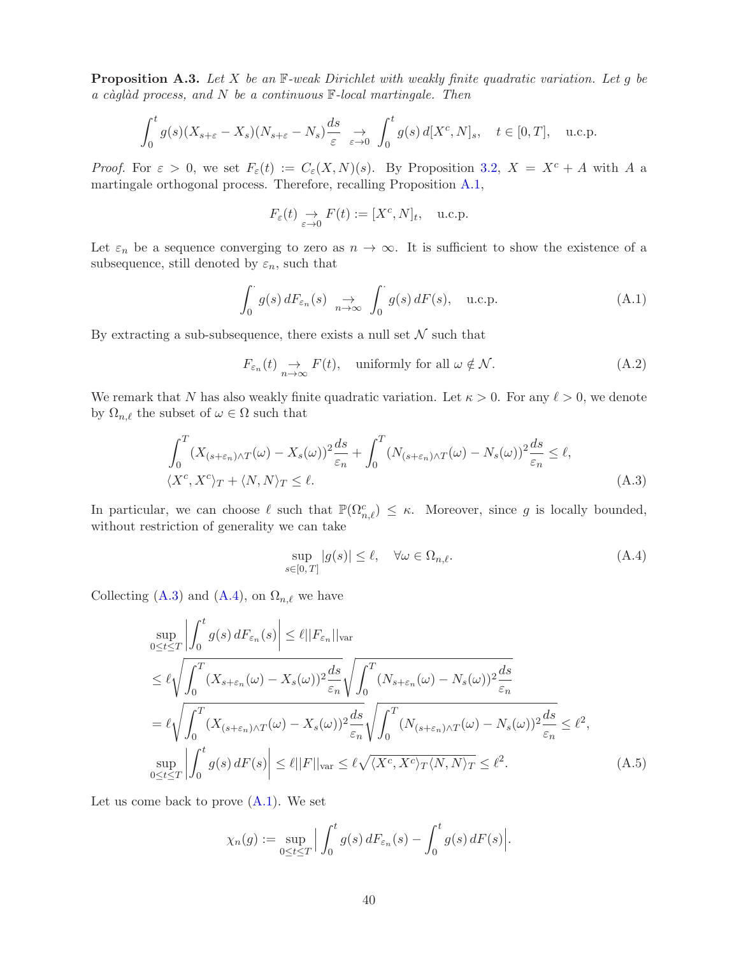**Proposition A.3.** Let X be an  $\mathbb{F}\text{-weak Dirichlet with weakly finite quadratic variation. Let  $g$  be$ a càglàd process, and N be a continuous  $\mathbb{F}\text{-}local$  martingale. Then

$$
\int_0^t g(s)(X_{s+\varepsilon}-X_s)(N_{s+\varepsilon}-N_s)\frac{ds}{\varepsilon} \underset{\varepsilon \to 0}{\to} \int_0^t g(s) d[X^c, N]_s, \quad t \in [0, T], \quad \text{u.c.p.}
$$

*Proof.* For  $\varepsilon > 0$ , we set  $F_{\varepsilon}(t) := C_{\varepsilon}(X, N)(s)$ . By Proposition [3.2,](#page-6-0)  $X = X^c + A$  with A a martingale orthogonal process. Therefore, recalling Proposition [A.1,](#page-48-2)

$$
F_{\varepsilon}(t) \underset{\varepsilon \to 0}{\to} F(t) := [X^c, N]_t, \quad \text{u.c.p.}
$$

Let  $\varepsilon_n$  be a sequence converging to zero as  $n \to \infty$ . It is sufficient to show the existence of a subsequence, still denoted by  $\varepsilon_n$ , such that

$$
\int_0^{\cdot} g(s) dF_{\varepsilon_n}(s) \underset{n \to \infty}{\to} \int_0^{\cdot} g(s) dF(s), \quad \text{u.c.p.} \tag{A.1}
$$

By extracting a sub-subsequence, there exists a null set  $\mathcal N$  such that

$$
F_{\varepsilon_n}(t) \underset{n \to \infty}{\to} F(t), \quad \text{uniformly for all } \omega \notin \mathcal{N}.
$$
 (A.2)

We remark that N has also weakly finite quadratic variation. Let  $\kappa > 0$ . For any  $\ell > 0$ , we denote by  $\Omega_{n,\ell}$  the subset of  $\omega \in \Omega$  such that

$$
\int_0^T (X_{(s+\varepsilon_n)\wedge T}(\omega) - X_s(\omega))^2 \frac{ds}{\varepsilon_n} + \int_0^T (N_{(s+\varepsilon_n)\wedge T}(\omega) - N_s(\omega))^2 \frac{ds}{\varepsilon_n} \le \ell,
$$
  

$$
\langle X^c, X^c \rangle_T + \langle N, N \rangle_T \le \ell.
$$
 (A.3)

In particular, we can choose  $\ell$  such that  $\mathbb{P}(\Omega_{n,\ell}^c) \leq \kappa$ . Moreover, since g is locally bounded, without restriction of generality we can take

$$
\sup_{s \in [0,T]} |g(s)| \le \ell, \quad \forall \omega \in \Omega_{n,\ell}.
$$
\n(A.4)

Collecting [\(A.3\)](#page-46-1) and [\(A.4\)](#page-46-2), on  $\Omega_{n,\ell}$  we have

$$
\sup_{0 \le t \le T} \left| \int_0^t g(s) dF_{\varepsilon_n}(s) \right| \le \ell ||F_{\varepsilon_n}||_{\text{var}}
$$
\n
$$
\le \ell \sqrt{\int_0^T (X_{s+\varepsilon_n}(\omega) - X_s(\omega))^2 \frac{ds}{\varepsilon_n} \sqrt{\int_0^T (N_{s+\varepsilon_n}(\omega) - N_s(\omega))^2 \frac{ds}{\varepsilon_n}}}
$$
\n
$$
= \ell \sqrt{\int_0^T (X_{(s+\varepsilon_n)\wedge T}(\omega) - X_s(\omega))^2 \frac{ds}{\varepsilon_n} \sqrt{\int_0^T (N_{(s+\varepsilon_n)\wedge T}(\omega) - N_s(\omega))^2 \frac{ds}{\varepsilon_n}}} \le \ell^2,
$$
\n
$$
\sup_{0 \le t \le T} \left| \int_0^t g(s) dF(s) \right| \le \ell ||F||_{\text{var}} \le \ell \sqrt{\langle X^c, X^c \rangle_T \langle N, N \rangle_T} \le \ell^2.
$$
\n(A.5)

Let us come back to prove  $(A.1)$ . We set

$$
\chi_n(g) := \sup_{0 \le t \le T} \Big| \int_0^t g(s) dF_{\varepsilon_n}(s) - \int_0^t g(s) dF(s) \Big|.
$$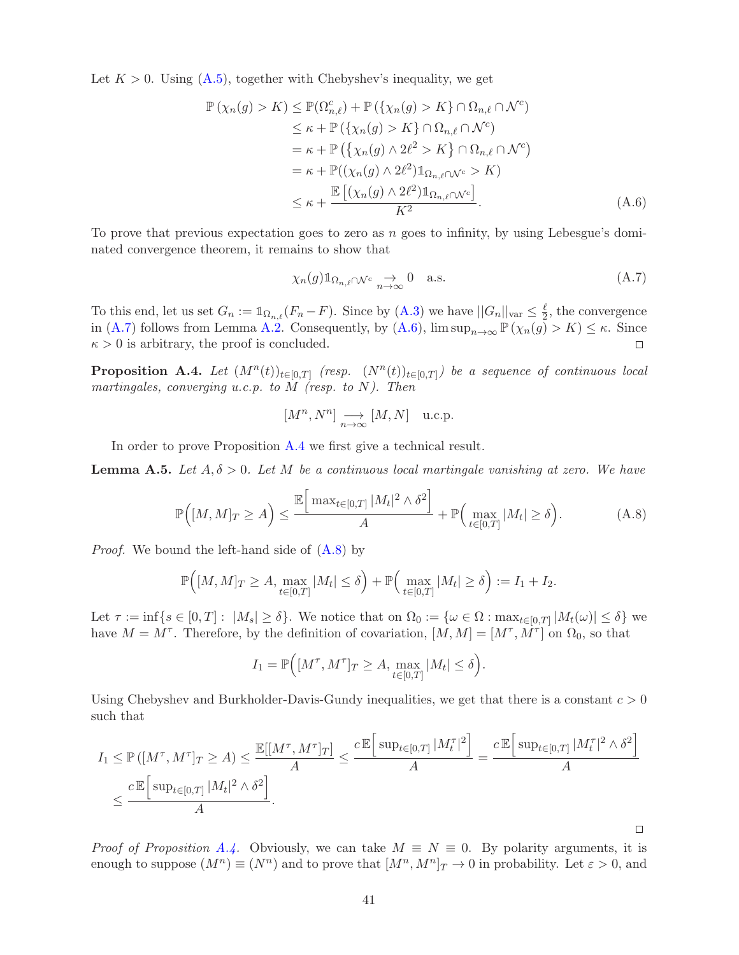Let  $K > 0$ . Using  $(A.5)$ , together with Chebyshev's inequality, we get

$$
\mathbb{P}(\chi_n(g) > K) \leq \mathbb{P}(\Omega_{n,\ell}^c) + \mathbb{P}(\{\chi_n(g) > K\} \cap \Omega_{n,\ell} \cap \mathcal{N}^c)
$$
  
\n
$$
\leq \kappa + \mathbb{P}(\{\chi_n(g) > K\} \cap \Omega_{n,\ell} \cap \mathcal{N}^c)
$$
  
\n
$$
= \kappa + \mathbb{P}\left(\{\chi_n(g) \land 2\ell^2 > K\} \cap \Omega_{n,\ell} \cap \mathcal{N}^c\right)
$$
  
\n
$$
= \kappa + \mathbb{P}((\chi_n(g) \land 2\ell^2) \mathbb{1}_{\Omega_{n,\ell} \cap \mathcal{N}^c} > K)
$$
  
\n
$$
\leq \kappa + \frac{\mathbb{E}\left[(\chi_n(g) \land 2\ell^2) \mathbb{1}_{\Omega_{n,\ell} \cap \mathcal{N}^c}\right]}{K^2}.
$$
\n(A.6)

To prove that previous expectation goes to zero as  $n$  goes to infinity, by using Lebesgue's dominated convergence theorem, it remains to show that

$$
\chi_n(g) \mathbb{1}_{\Omega_{n,\ell} \cap \mathcal{N}^c} \underset{n \to \infty}{\to} 0 \quad \text{a.s.} \tag{A.7}
$$

To this end, let us set  $G_n := \mathbb{1}_{\Omega_{n,\ell}}(F_n - F)$ . Since by  $(A.3)$  we have  $||G_n||_{var} \leq \frac{\ell}{2}$  $\frac{\ell}{2}$ , the convergence in [\(A.7\)](#page-43-0) follows from Lemma [A.2.](#page-48-3) Consequently, by [\(A.6\)](#page-43-1),  $\limsup_{n\to\infty} \mathbb{P}(\chi_n(g) > K) \leq \kappa$ . Since  $\kappa > 0$  is arbitrary, the proof is concluded.  $\kappa > 0$  is arbitrary, the proof is concluded.

**Proposition A.4.** Let  $(M^n(t))_{t\in[0,T]}$  (resp.  $(N^n(t))_{t\in[0,T]})$  be a sequence of continuous local martingales, converging u.c.p. to  $\overline{M}$  (resp. to  $N$ ). Then

$$
[M^n, N^n] \underset{n \to \infty}{\longrightarrow} [M, N] \quad \text{u.c.p.}
$$

In order to prove Proposition [A.4](#page-45-0) we first give a technical result.

**Lemma A.5.** Let  $A, \delta > 0$ . Let M be a continuous local martingale vanishing at zero. We have

$$
\mathbb{P}\Big([M,M]_T \ge A\Big) \le \frac{\mathbb{E}\Big[\max_{t \in [0,T]} |M_t|^2 \wedge \delta^2\Big]}{A} + \mathbb{P}\Big(\max_{t \in [0,T]} |M_t| \ge \delta\Big). \tag{A.8}
$$

Proof. We bound the left-hand side of [\(A.8\)](#page-43-2) by

$$
\mathbb{P}\Big([M,M]_T\geq A,\max_{t\in[0,T]}|M_t|\leq \delta\Big)+\mathbb{P}\Big(\max_{t\in[0,T]}|M_t|\geq \delta\Big):=I_1+I_2.
$$

Let  $\tau := \inf\{s \in [0,T]: |M_s| \ge \delta\}$ . We notice that on  $\Omega_0 := \{\omega \in \Omega : \max_{t \in [0,T]} |M_t(\omega)| \le \delta\}$  we have  $M = M^{\tau}$ . Therefore, by the definition of covariation,  $[M, M] = [M^{\tau}, M^{\tau}]$  on  $\Omega_0$ , so that

$$
I_1 = \mathbb{P}\Big([M^\tau, M^\tau]_T \ge A, \max_{t \in [0,T]} |M_t| \le \delta\Big).
$$

Using Chebyshev and Burkholder-Davis-Gundy inequalities, we get that there is a constant  $c > 0$ such that

$$
I_1 \leq \mathbb{P}\left(\left[M^{\tau}, M^{\tau}\right]_T \geq A\right) \leq \frac{\mathbb{E}\left[\left[M^{\tau}, M^{\tau}\right]_T\right]}{A} \leq \frac{c \mathbb{E}\left[\sup_{t \in [0,T]} |M_t^{\tau}|^2\right]}{A} = \frac{c \mathbb{E}\left[\sup_{t \in [0,T]} |M_t^{\tau}|^2 \wedge \delta^2\right]}{A}
$$

$$
\leq \frac{c \mathbb{E}\left[\sup_{t \in [0,T]} |M_t|^2 \wedge \delta^2\right]}{A}.
$$

*Proof of Proposition [A.4.](#page-45-0)* Obviously, we can take  $M \equiv N \equiv 0$ . By polarity arguments, it is enough to suppose  $(M^n) \equiv (N^n)$  and to prove that  $[M^n, M^n]_T \to 0$  in probability. Let  $\varepsilon > 0$ , and

 $\Box$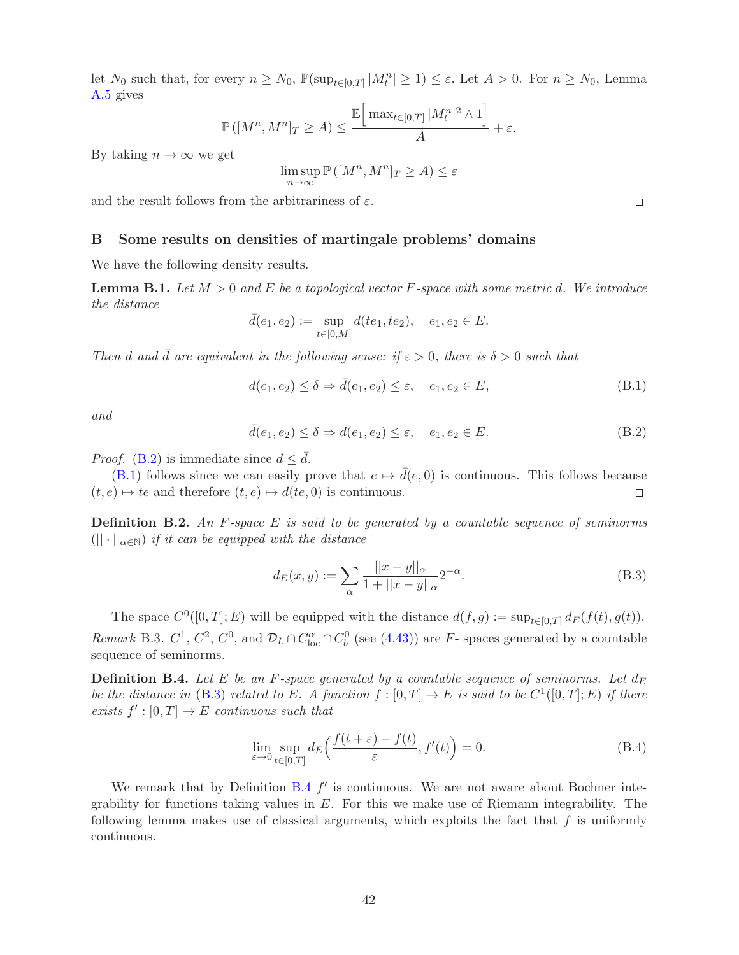let  $N_0$  such that, for every  $n \ge N_0$ ,  $\mathbb{P}(\sup_{t \in [0,T]} |M_t^n| \ge 1) \le \varepsilon$ . Let  $A > 0$ . For  $n \ge N_0$ , Lemma [A.5](#page-46-0) gives

$$
\mathbb{P}\left(\left[M^n, M^n\right]_T \ge A\right) \le \frac{\mathbb{E}\left[\max_{t \in [0,T]} |M_t^n|^2 \wedge 1\right]}{A} + \varepsilon.
$$

By taking  $n \to \infty$  we get

$$
\limsup_{n \to \infty} \mathbb{P}\left( [M^n, M^n]_T \ge A \right) \le \varepsilon
$$

and the result follows from the arbitrariness of  $\varepsilon$ .

#### B Some results on densities of martingale problems' domains

We have the following density results.

**Lemma B.1.** Let  $M > 0$  and E be a topological vector F-space with some metric d. We introduce the distance

$$
\bar{d}(e_1, e_2) := \sup_{t \in [0,M]} d(te_1, te_2), \quad e_1, e_2 \in E.
$$

Then d and  $\bar{d}$  are equivalent in the following sense: if  $\varepsilon > 0$ , there is  $\delta > 0$  such that

$$
d(e_1, e_2) \le \delta \Rightarrow \bar{d}(e_1, e_2) \le \varepsilon, \quad e_1, e_2 \in E,
$$
\n(B.1)

and

$$
\bar{d}(e_1, e_2) \le \delta \Rightarrow d(e_1, e_2) \le \varepsilon, \quad e_1, e_2 \in E. \tag{B.2}
$$

*Proof.* [\(B.2\)](#page-48-5) is immediate since  $d < \overline{d}$ .

[\(B.1\)](#page-47-3) follows since we can easily prove that  $e \mapsto \bar{d}(e, 0)$  is continuous. This follows because  $e \mapsto te$  and therefore  $(t, e) \mapsto d(te, 0)$  is continuous.  $(t, e) \mapsto te$  and therefore  $(t, e) \mapsto d(te, 0)$  is continuous.

**Definition B.2.** An F-space E is said to be generated by a countable sequence of seminorms  $(|| \cdot ||_{\alpha \in \mathbb{N}})$  if it can be equipped with the distance

$$
d_E(x,y) := \sum_{\alpha} \frac{||x-y||_{\alpha}}{1+||x-y||_{\alpha}} 2^{-\alpha}.
$$
 (B.3)

The space  $C^0([0,T];E)$  will be equipped with the distance  $d(f,g) := \sup_{t \in [0,T]} d_E(f(t),g(t))$ . Remark B.3.  $C^1$ ,  $C^2$ ,  $C^0$ , and  $\mathcal{D}_L \cap C^{\alpha}_{loc} \cap C^0_b$  (see [\(4.43\)](#page-32-2)) are F- spaces generated by a countable sequence of seminorms.

**Definition B.4.** Let E be an F-space generated by a countable sequence of seminorms. Let  $d_E$ be the distance in [\(B.3\)](#page-46-1) related to E. A function  $f : [0, T] \to E$  is said to be  $C^1([0, T]; E)$  if there exists  $f' : [0, T] \to E$  continuous such that

$$
\lim_{\varepsilon \to 0} \sup_{t \in [0,T]} d_E \left( \frac{f(t+\varepsilon) - f(t)}{\varepsilon}, f'(t) \right) = 0.
$$
\n(B.4)

We remark that by Definition [B.4](#page-46-2)  $f'$  is continuous. We are not aware about Bochner integrability for functions taking values in  $E$ . For this we make use of Riemann integrability. The following lemma makes use of classical arguments, which exploits the fact that  $f$  is uniformly continuous.

 $\Box$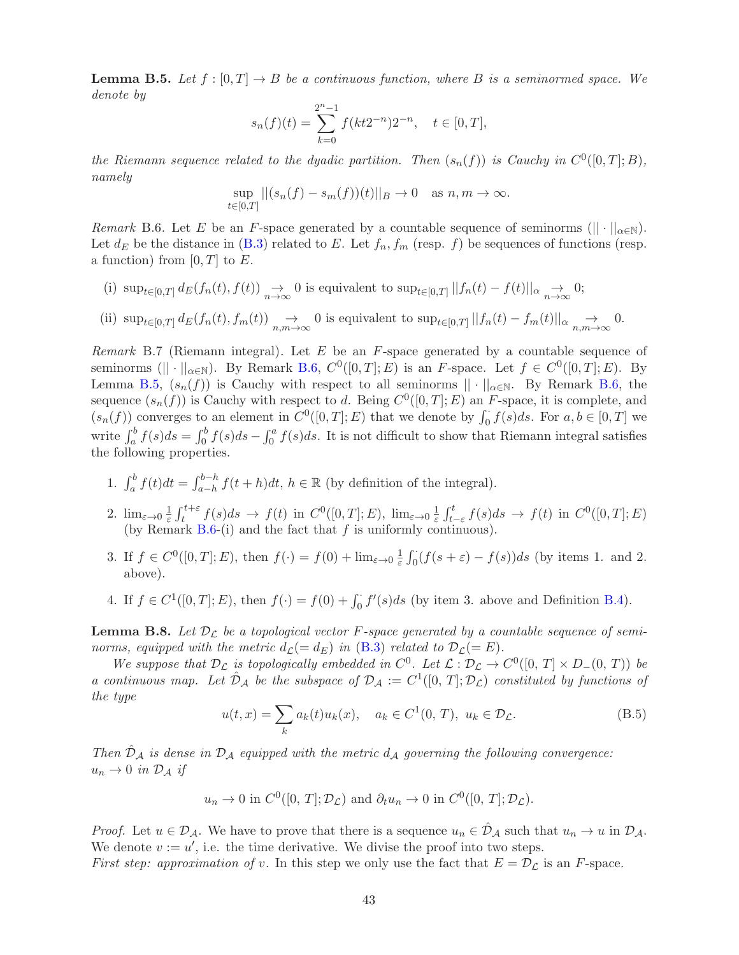**Lemma B.5.** Let  $f : [0, T] \to B$  be a continuous function, where B is a seminormed space. We denote by

$$
s_n(f)(t) = \sum_{k=0}^{2^n - 1} f(kt2^{-n})2^{-n}, \quad t \in [0, T],
$$

the Riemann sequence related to the dyadic partition. Then  $(s_n(f))$  is Cauchy in  $C^0([0,T];B)$ , namely

$$
\sup_{t \in [0,T]} ||(s_n(f) - s_m(f))(t)||_B \to 0 \text{ as } n, m \to \infty.
$$

Remark B.6. Let E be an F-space generated by a countable sequence of seminorms ( $|| \cdot ||_{\alpha \in \mathbb{N}}$ ). Let  $d_E$  be the distance in [\(B.3\)](#page-46-1) related to E. Let  $f_n, f_m$  (resp. f) be sequences of functions (resp. a function) from  $[0, T]$  to E.

(i)  $\sup_{t\in[0,T]}d_E(f_n(t),f(t))\to 0$  is equivalent to  $\sup_{t\in[0,T]}||f_n(t)-f(t)||_{\alpha}\to 0;$ (ii)  $\sup_{t\in[0,T]}d_E(f_n(t), f_m(t)) \underset{n,m\to\infty}{\to} 0$  is equivalent to  $\sup_{t\in[0,T]}||f_n(t) - f_m(t)||_{\alpha} \underset{n,m\to\infty}{\to} 0$ .

Remark B.7 (Riemann integral). Let  $E$  be an  $F$ -space generated by a countable sequence of seminorms ( $|| \cdot ||_{\alpha \in \mathbb{N}}$ ). By Remark [B.6,](#page-47-2)  $C^0([0,T];E)$  is an F-space. Let  $f \in C^0([0,T];E)$ . By Lemma [B.5,](#page-46-0)  $(s_n(f))$  is Cauchy with respect to all seminorms  $|| \cdot ||_{\alpha \in \mathbb{N}}$ . By Remark [B.6,](#page-47-2) the sequence  $(s_n(f))$  is Cauchy with respect to d. Being  $C^0([0,T];E)$  an F-space, it is complete, and  $(s_n(f))$  converges to an element in  $C^0([0,T];E)$  that we denote by  $\int_0^1 f(s)ds$ . For  $a, b \in [0,T]$  we write  $\int_a^b f(s)ds = \int_0^b f(s)ds - \int_0^a f(s)ds$ . It is not difficult to show that Riemann integral satisfies the following properties.

- 1.  $\int_a^b f(t)dt = \int_{a-h}^{b-h} f(t+h)dt$ ,  $h \in \mathbb{R}$  (by definition of the integral).
- 2.  $\lim_{\varepsilon \to 0} \frac{1}{\varepsilon}$  $\frac{1}{\varepsilon} \int_t^{t+\varepsilon} f(s) ds \to f(t)$  in  $C^0([0,T]; E)$ ,  $\lim_{\varepsilon \to 0} \frac{1}{\varepsilon}$  $\frac{1}{\varepsilon} \int_{t-\varepsilon}^{t} f(s) ds \to f(t) \text{ in } C^{0}([0,T]; E)$ (by Remark  $B.6-(i)$  $B.6-(i)$  and the fact that f is uniformly continuous).
- 3. If  $f \in C^0([0,T];E)$ , then  $f(\cdot) = f(0) + \lim_{\varepsilon \to 0} \frac{1}{\varepsilon}$  $\frac{1}{\varepsilon} \int_0^{\cdot} (f(s+\varepsilon) - f(s))ds$  (by items 1. and 2. above).
- 4. If  $f \in C^1([0,T]; E)$ , then  $f(\cdot) = f(0) + \int_0^{\cdot} f'(s)ds$  (by item 3. above and Definition [B.4\)](#page-45-0).

<span id="page-42-0"></span>**Lemma B.8.** Let  $\mathcal{D}_L$  be a topological vector F-space generated by a countable sequence of seminorms, equipped with the metric  $d_{\mathcal{L}}(= d_E)$  in [\(B.3\)](#page-46-1) related to  $\mathcal{D}_{\mathcal{L}}(= E)$ .

We suppose that  $\mathcal{D}_{\mathcal{L}}$  is topologically embedded in  $C^0$ . Let  $\mathcal{L} : \mathcal{D}_{\mathcal{L}} \to C^0([0, T] \times D_-(0, T))$  be a continuous map. Let  $\hat{\mathcal{D}}_{\mathcal{A}}$  be the subspace of  $\mathcal{D}_{\mathcal{A}} := C^1([0, T]; \mathcal{D}_{\mathcal{L}})$  constituted by functions of the type

$$
u(t,x) = \sum_{k} a_k(t)u_k(x), \quad a_k \in C^1(0,T), \ u_k \in \mathcal{D}_{\mathcal{L}}.
$$
 (B.5)

Then  $D_A$  is dense in  $D_A$  equipped with the metric  $d_A$  governing the following convergence:  $u_n \to 0$  in  $\mathcal{D}_\mathcal{A}$  if

$$
u_n \to 0
$$
 in  $C^0([0, T]; \mathcal{D}_L)$  and  $\partial_t u_n \to 0$  in  $C^0([0, T]; \mathcal{D}_L)$ .

*Proof.* Let  $u \in \mathcal{D}_{\mathcal{A}}$ . We have to prove that there is a sequence  $u_n \in \mathcal{D}_{\mathcal{A}}$  such that  $u_n \to u$  in  $\mathcal{D}_{\mathcal{A}}$ . We denote  $v := u'$ , i.e. the time derivative. We divise the proof into two steps.

First step: approximation of v. In this step we only use the fact that  $E = \mathcal{D}_{\mathcal{L}}$  is an F-space.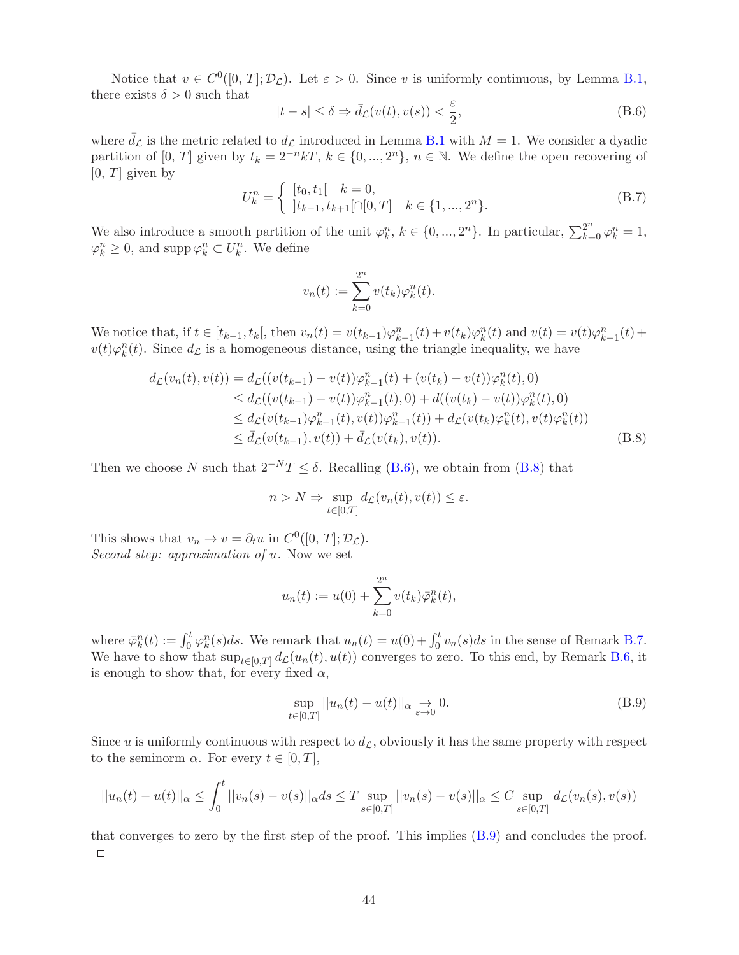Notice that  $v \in C^0([0, T]; \mathcal{D}_\mathcal{L})$ . Let  $\varepsilon > 0$ . Since v is uniformly continuous, by Lemma [B.1,](#page-48-2) there exists  $\delta > 0$  such that

<span id="page-43-1"></span>
$$
|t - s| \le \delta \Rightarrow \bar{d}_{\mathcal{L}}(v(t), v(s)) < \frac{\varepsilon}{2},\tag{B.6}
$$

where  $\bar{d}_{\mathcal{L}}$  is the metric related to  $d_{\mathcal{L}}$  introduced in Lemma [B.1](#page-48-2) with  $M = 1$ . We consider a dyadic partition of [0, T] given by  $t_k = 2^{-n}kT$ ,  $k \in \{0, ..., 2^n\}$ ,  $n \in \mathbb{N}$ . We define the open recovering of  $[0, T]$  given by

<span id="page-43-0"></span>
$$
U_k^n = \begin{cases} [t_0, t_1[ & k = 0, \\ [t_{k-1}, t_{k+1}[\cap[0, T] & k \in \{1, ..., 2^n\} . \end{cases}
$$
 (B.7)

We also introduce a smooth partition of the unit  $\varphi_k^n$ ,  $k \in \{0, ..., 2^n\}$ . In particular,  $\sum_{k=0}^{2^n} \varphi_k^n = 1$ ,  $\varphi_k^n \geq 0$ , and supp  $\varphi_k^n \subset U_k^n$ . We define

<span id="page-43-2"></span>
$$
v_n(t) := \sum_{k=0}^{2^n} v(t_k) \varphi_k^n(t).
$$

We notice that, if  $t \in [t_{k-1}, t_k]$ , then  $v_n(t) = v(t_{k-1})\varphi_{k-1}^n(t) + v(t_k)\varphi_k^n(t)$  and  $v(t) = v(t)\varphi_{k-1}^n(t) + v(t_k)\varphi_k^n(t)$  $v(t)\varphi_k^n(t)$ . Since  $d_{\mathcal{L}}$  is a homogeneous distance, using the triangle inequality, we have

$$
d_{\mathcal{L}}(v_{n}(t), v(t)) = d_{\mathcal{L}}((v(t_{k-1}) - v(t))\varphi_{k-1}^{n}(t) + (v(t_{k}) - v(t))\varphi_{k}^{n}(t), 0)
$$
  
\n
$$
\leq d_{\mathcal{L}}((v(t_{k-1}) - v(t))\varphi_{k-1}^{n}(t), 0) + d((v(t_{k}) - v(t))\varphi_{k}^{n}(t), 0)
$$
  
\n
$$
\leq d_{\mathcal{L}}(v(t_{k-1})\varphi_{k-1}^{n}(t), v(t))\varphi_{k-1}^{n}(t)) + d_{\mathcal{L}}(v(t_{k})\varphi_{k}^{n}(t), v(t)\varphi_{k}^{n}(t))
$$
  
\n
$$
\leq \bar{d}_{\mathcal{L}}(v(t_{k-1}), v(t)) + \bar{d}_{\mathcal{L}}(v(t_{k}), v(t)).
$$
\n(B.8)

Then we choose N such that  $2^{-N}T \leq \delta$ . Recalling [\(B.6\)](#page-43-1), we obtain from [\(B.8\)](#page-43-2) that

$$
n > N \Rightarrow \sup_{t \in [0,T]} d_{\mathcal{L}}(v_n(t), v(t)) \le \varepsilon.
$$

This shows that  $v_n \to v = \partial_t u$  in  $C^0([0, T]; \mathcal{D}_\mathcal{L})$ . Second step: approximation of u. Now we set

$$
u_n(t) := u(0) + \sum_{k=0}^{2^n} v(t_k) \bar{\varphi}_k^n(t),
$$

where  $\bar{\varphi}_k^n(t) := \int_0^t \varphi_k^n(s)ds$ . We remark that  $u_n(t) = u(0) + \int_0^t v_n(s)ds$  in the sense of Remark [B.7.](#page-47-0) We have to show that  $\sup_{t\in[0,T]} d_{\mathcal{L}}(u_n(t), u(t))$  converges to zero. To this end, by Remark [B.6,](#page-47-2) it is enough to show that, for every fixed  $\alpha$ ,

<span id="page-43-3"></span>
$$
\sup_{t \in [0,T]} ||u_n(t) - u(t)||_{\alpha} \to 0.
$$
\n(B.9)

Since u is uniformly continuous with respect to  $d_{\mathcal{L}}$ , obviously it has the same property with respect to the seminorm  $\alpha$ . For every  $t \in [0, T]$ ,

$$
||u_n(t) - u(t)||_{\alpha} \le \int_0^t ||v_n(s) - v(s)||_{\alpha} ds \le T \sup_{s \in [0,T]} ||v_n(s) - v(s)||_{\alpha} \le C \sup_{s \in [0,T]} d_{\mathcal{L}}(v_n(s), v(s))
$$

that converges to zero by the first step of the proof. This implies [\(B.9\)](#page-43-3) and concludes the proof.  $\Box$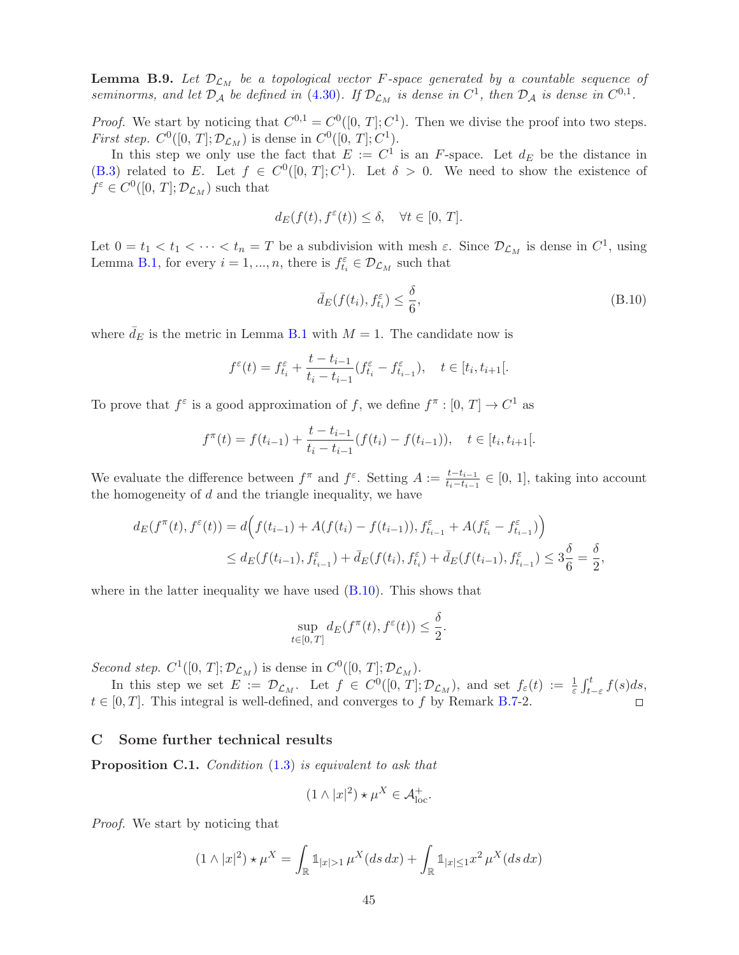<span id="page-44-0"></span>**Lemma B.9.** Let  $\mathcal{D}_{\mathcal{L}_M}$  be a topological vector F-space generated by a countable sequence of seminorms, and let  $\mathcal{D}_\mathcal{A}$  be defined in [\(4.30\)](#page-29-3). If  $\mathcal{D}_{\mathcal{L}_M}$  is dense in  $C^1$ , then  $\mathcal{D}_\mathcal{A}$  is dense in  $C^{0,1}$ .

*Proof.* We start by noticing that  $C^{0,1} = C^0([0, T]; C^1)$ . Then we divise the proof into two steps. *First step.*  $C^0([0, T]; \mathcal{D}_{\mathcal{L}_M})$  is dense in  $C^0([0, T]; C^1)$ .

In this step we only use the fact that  $E := C^1$  is an F-space. Let  $d_E$  be the distance in [\(B.3\)](#page-46-1) related to E. Let  $f \in C^0([0, T]; C^1)$ . Let  $\delta > 0$ . We need to show the existence of  $f^{\varepsilon} \in C^{0}([0, T]; \mathcal{D}_{\mathcal{L}_M})$  such that

$$
d_E(f(t), f^{\varepsilon}(t)) \le \delta, \quad \forall t \in [0, T].
$$

Let  $0 = t_1 < t_1 < \cdots < t_n = T$  be a subdivision with mesh  $\varepsilon$ . Since  $\mathcal{D}_{\mathcal{L}_M}$  is dense in  $C^1$ , using Lemma [B.1,](#page-48-2) for every  $i = 1, ..., n$ , there is  $f_{t_i}^{\varepsilon} \in \mathcal{D}_{\mathcal{L}_M}$  such that

<span id="page-44-1"></span>
$$
\bar{d}_E(f(t_i), f_{t_i}^{\varepsilon}) \le \frac{\delta}{6},\tag{B.10}
$$

where  $\bar{d}_E$  is the metric in Lemma [B.1](#page-48-2) with  $M = 1$ . The candidate now is

$$
f^{\varepsilon}(t) = f_{t_i}^{\varepsilon} + \frac{t - t_{i-1}}{t_i - t_{i-1}} (f_{t_i}^{\varepsilon} - f_{t_{i-1}}^{\varepsilon}), \quad t \in [t_i, t_{i+1}].
$$

To prove that  $f^{\varepsilon}$  is a good approximation of f, we define  $f^{\pi} : [0, T] \to C^{1}$  as

$$
f^{\pi}(t) = f(t_{i-1}) + \frac{t - t_{i-1}}{t_i - t_{i-1}} (f(t_i) - f(t_{i-1})), \quad t \in [t_i, t_{i+1}].
$$

We evaluate the difference between  $f^{\pi}$  and  $f^{\varepsilon}$ . Setting  $A := \frac{t-t_{i-1}}{t-t_{i-1}}$  $\frac{t-t_{i-1}}{t_i-t_{i-1}} \in [0, 1]$ , taking into account the homogeneity of  $d$  and the triangle inequality, we have

$$
d_E(f^{\pi}(t), f^{\varepsilon}(t)) = d\Big(f(t_{i-1}) + A(f(t_i) - f(t_{i-1})), f^{\varepsilon}_{t_{i-1}} + A(f^{\varepsilon}_{t_i} - f^{\varepsilon}_{t_{i-1}})\Big)
$$
  

$$
\leq d_E(f(t_{i-1}), f^{\varepsilon}_{t_{i-1}}) + \bar{d}_E(f(t_i), f^{\varepsilon}_{t_i}) + \bar{d}_E(f(t_{i-1}), f^{\varepsilon}_{t_{i-1}}) \leq 3\frac{\delta}{6} = \frac{\delta}{2},
$$

where in the latter inequality we have used  $(B.10)$ . This shows that

$$
\sup_{t\in[0,T]}d_E(f^\pi(t),f^\varepsilon(t))\leq \frac{\delta}{2}.
$$

Second step.  $C^1([0, T]; \mathcal{D}_{\mathcal{L}_M})$  is dense in  $C^0([0, T]; \mathcal{D}_{\mathcal{L}_M})$ .

In this step we set  $E := \mathcal{D}_{\mathcal{L}_M}$ . Let  $f \in C^0([0, T]; \mathcal{D}_{\mathcal{L}_M})$ , and set  $f_{\varepsilon}(t) := \frac{1}{\varepsilon} \int_{t-\varepsilon}^t f(s) ds$ ,  $t \in [0, T]$ . This integral is well-defined, and converges to f by Remark [B.7-](#page-47-0)2.

#### C Some further technical results

**Proposition C.1.** Condition [\(1.3\)](#page-2-0) is equivalent to ask that

$$
(1 \wedge |x|^2) \star \mu^X \in \mathcal{A}_{\text{loc}}^+.
$$

Proof. We start by noticing that

$$
(1 \wedge |x|^2) \star \mu^X = \int_{\mathbb{R}} \mathbb{1}_{|x|>1} \mu^X(ds \, dx) + \int_{\mathbb{R}} \mathbb{1}_{|x|\leq 1} x^2 \mu^X(ds \, dx)
$$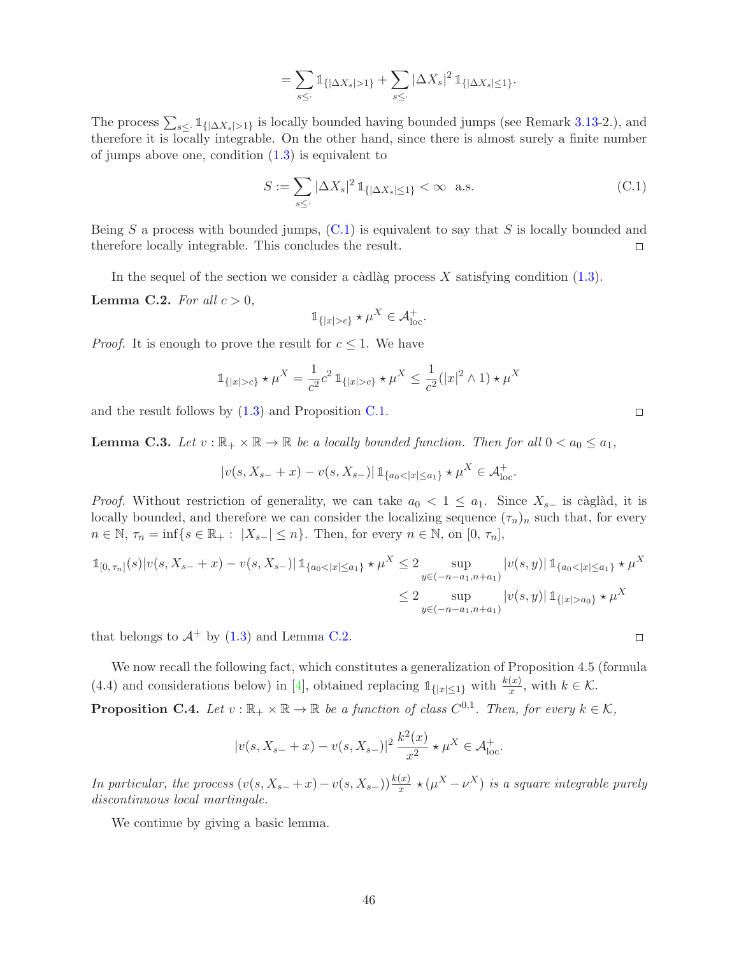$$
= \sum_{s\leq \cdot} \mathbb{1}_{\{|\Delta X_s|>1\}} + \sum_{s\leq \cdot} |\Delta X_s|^2 \, \mathbb{1}_{\{|\Delta X_s|\leq 1\}}.
$$

The process  $\sum_{s\leq 1} 1_{\{|\Delta X_s|>1\}}$  is locally bounded having bounded jumps (see Remark 3.13-2.), and therefore it is locally integrable. On the other hand, since there is almost surely a finite number of jumps above one, condition  $(1.3)$  is equivalent to

$$
S := \sum_{s \leq \cdot} |\Delta X_s|^2 \, \mathbb{1}_{\{|\Delta X_s| \leq 1\}} < \infty \quad \text{a.s.} \tag{C.1}
$$

Being S a process with bounded jumps,  $(C.1)$  is equivalent to say that S is locally bounded and therefore locally integrable. This concludes the result.  $\Box$ 

In the sequel of the section we consider a càdlàg process  $X$  satisfying condition [\(1.3\)](#page-2-0).

**Lemma C.2.** For all  $c > 0$ ,

$$
\mathbb{1}_{\{|x|>c\}} \star \mu^X \in \mathcal{A}^+_{\text{loc}}.
$$

*Proof.* It is enough to prove the result for  $c \leq 1$ . We have

$$
\mathbb{1}_{\{|x|>c\}} \star \mu^{X} = \frac{1}{c^2} c^2 \, \mathbb{1}_{\{|x|>c\}} \star \mu^{X} \le \frac{1}{c^2} (|x|^2 \wedge 1) \star \mu^{X}
$$

and the result follows by  $(1.3)$  and Proposition [C.1.](#page-48-2)

<span id="page-45-1"></span>**Lemma C.3.** Let  $v : \mathbb{R}_+ \times \mathbb{R} \to \mathbb{R}$  be a locally bounded function. Then for all  $0 < a_0 \le a_1$ ,

$$
|v(s, X_{s-} + x) - v(s, X_{s-})| \mathbb{1}_{\{a_0 < |x| \le a_1\}} \star \mu^X \in \mathcal{A}_{\text{loc}}^+.
$$

*Proof.* Without restriction of generality, we can take  $a_0 < 1 \le a_1$ . Since  $X_{s-}$  is càglàd, it is locally bounded, and therefore we can consider the localizing sequence  $(\tau_n)_n$  such that, for every  $n \in \mathbb{N}, \tau_n = \inf\{s \in \mathbb{R}_+ : |X_{s-}| \leq n\}.$  Then, for every  $n \in \mathbb{N},$  on  $[0, \tau_n],$ 

$$
\mathbb{1}_{[0,\tau_n]}(s)|v(s,X_{s-}+x)-v(s,X_{s-})|\mathbb{1}_{\{a_0<|x|\le a_1\}}\star\mu^X\le 2\sup_{y\in(-n-a_1,n+a_1)}|v(s,y)|\mathbb{1}_{\{a_0<|x|\le a_1\}}\star\mu^X
$$
  

$$
\le 2\sup_{y\in(-n-a_1,n+a_1)}|v(s,y)|\mathbb{1}_{\{|x|>a_0\}}\star\mu^X
$$

that belongs to  $\mathcal{A}^+$  by [\(1.3\)](#page-2-0) and Lemma [C.2.](#page-48-3)

We now recall the following fact, which constitutes a generalization of Proposition 4.5 (formula (4.4) and considerations below) in [\[4\]](#page-49-0), obtained replacing  $\mathbb{1}_{\{|x| \leq 1\}}$  with  $k \in \mathcal{K}$ .

<span id="page-45-0"></span>**Proposition C.4.** Let  $v : \mathbb{R}_+ \times \mathbb{R} \to \mathbb{R}$  be a function of class  $C^{0,1}$ . Then, for every  $k \in \mathcal{K}$ ,

$$
|v(s, X_{s-} + x) - v(s, X_{s-})|^2 \frac{k^2(x)}{x^2} \star \mu^X \in \mathcal{A}_{\text{loc}}^+.
$$

In particular, the process  $(v(s, X_{s-} + x) - v(s, X_{s-})) \frac{k(x)}{x} \star (\mu^{X} - \nu^{X})$  is a square integrable purely discontinuous local martingale.

We continue by giving a basic lemma.

 $\Box$ 

 $\Box$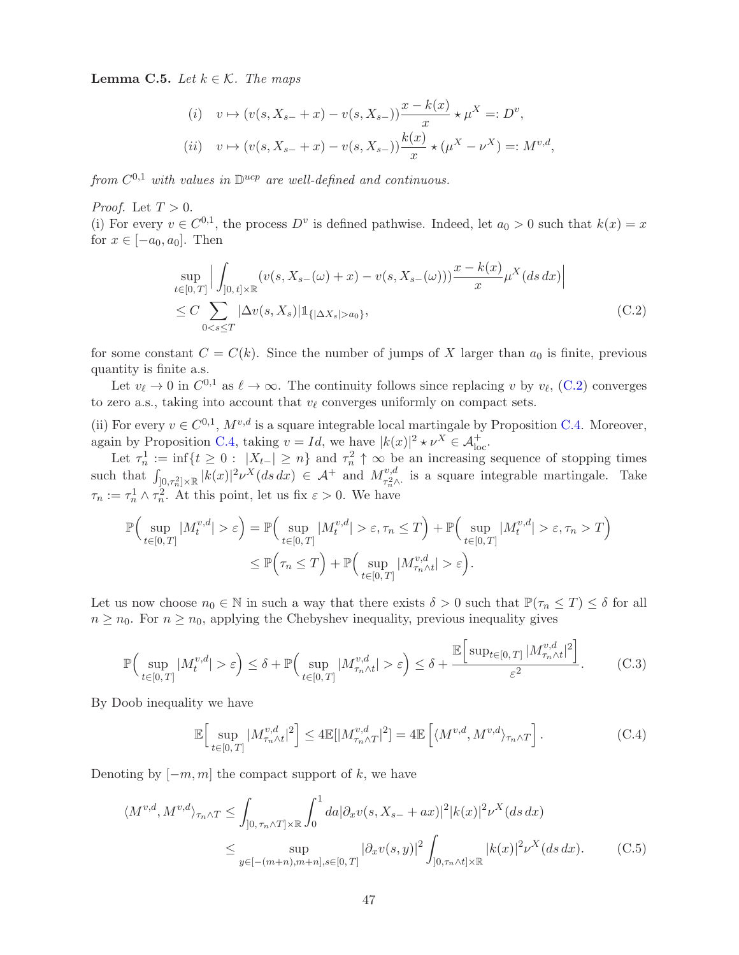<span id="page-46-0"></span>**Lemma C.5.** Let  $k \in \mathcal{K}$ . The maps

$$
(i) \quad v \mapsto (v(s, X_{s-} + x) - v(s, X_{s-})) \frac{x - k(x)}{x} \star \mu^{X} =: D^{v},
$$
  

$$
(ii) \quad v \mapsto (v(s, X_{s-} + x) - v(s, X_{s-})) \frac{k(x)}{x} \star (\mu^{X} - \nu^{X}) =: M^{v,d},
$$

from  $C^{0,1}$  with values in  $\mathbb{D}^{ucp}$  are well-defined and continuous.

*Proof.* Let  $T > 0$ .

(i) For every  $v \in C^{0,1}$ , the process  $D^v$  is defined pathwise. Indeed, let  $a_0 > 0$  such that  $k(x) = x$ for  $x \in [-a_0, a_0]$ . Then

$$
\sup_{t \in [0,T]} \Big| \int_{]0,t] \times \mathbb{R}} (v(s, X_{s-}(\omega) + x) - v(s, X_{s-}(\omega))) \frac{x - k(x)}{x} \mu^X(ds \, dx) \Big|
$$
  
\n
$$
\leq C \sum_{0 < s \leq T} |\Delta v(s, X_s)| \mathbb{1}_{\{|\Delta X_s| > a_0\}}, \tag{C.2}
$$

for some constant  $C = C(k)$ . Since the number of jumps of X larger than  $a_0$  is finite, previous quantity is finite a.s.

Let  $v_{\ell} \to 0$  in  $C^{0,1}$  as  $\ell \to \infty$ . The continuity follows since replacing v by  $v_{\ell}$ , [\(C.2\)](#page-48-5) converges to zero a.s., taking into account that  $v_{\ell}$  converges uniformly on compact sets.

(ii) For every  $v \in C^{0,1}$ ,  $M^{v,d}$  is a square integrable local martingale by Proposition [C.4.](#page-45-0) Moreover, again by Proposition [C.4,](#page-45-0) taking  $v = Id$ , we have  $|k(x)|^2 \star \nu^X \in \mathcal{A}_{\text{loc}}^+$ .

Let  $\tau_n^1 := \inf\{t \geq 0 : |X_{t-}| \geq n\}$  and  $\tau_n^2 \uparrow \infty$  be an increasing sequence of stopping times such that  $\int_{]0,\tau_n^2]\times\mathbb{R}} |k(x)|^2 \nu^X(ds\,dx) \in \mathcal{A}^+$  and  $M_{\tau_n^2}^{v,d}$ <sup>v,a</sup> is a square integrable martingale. Take  $\tau_n := \tau_n^1 \wedge \tau_n^2$ . At this point, let us fix  $\varepsilon > 0$ . We have

$$
\mathbb{P}\Big(\sup_{t\in[0,T]}|M_t^{v,d}|>\varepsilon\Big) = \mathbb{P}\Big(\sup_{t\in[0,T]}|M_t^{v,d}|>\varepsilon,\tau_n\leq T\Big) + \mathbb{P}\Big(\sup_{t\in[0,T]}|M_t^{v,d}|>\varepsilon,\tau_n>T\Big) \leq \mathbb{P}\Big(\tau_n\leq T\Big) + \mathbb{P}\Big(\sup_{t\in[0,T]}|M_{\tau_n\wedge t}^{v,d}|>\varepsilon\Big).
$$

Let us now choose  $n_0 \in \mathbb{N}$  in such a way that there exists  $\delta > 0$  such that  $\mathbb{P}(\tau_n \leq T) \leq \delta$  for all  $n \geq n_0$ . For  $n \geq n_0$ , applying the Chebyshev inequality, previous inequality gives

$$
\mathbb{P}\Big(\sup_{t\in[0,T]}|M_t^{v,d}|>\varepsilon\Big) \leq \delta + \mathbb{P}\Big(\sup_{t\in[0,T]}|M_{\tau_n\wedge t}^{v,d}|>\varepsilon\Big) \leq \delta + \frac{\mathbb{E}\Big[\sup_{t\in[0,T]}|M_{\tau_n\wedge t}^{v,d}|^2\Big]}{\varepsilon^2}.\tag{C.3}
$$

By Doob inequality we have

<span id="page-46-3"></span><span id="page-46-2"></span><span id="page-46-1"></span>
$$
\mathbb{E}\Big[\sup_{t\in[0,T]}|M_{\tau_n\wedge t}^{v,d}|^2\Big]\leq 4\mathbb{E}[|M_{\tau_n\wedge T}^{v,d}|^2]=4\mathbb{E}\left[\langle M^{v,d},M^{v,d}\rangle_{\tau_n\wedge T}\right].\tag{C.4}
$$

Denoting by  $[-m, m]$  the compact support of k, we have

$$
\langle M^{v,d}, M^{v,d} \rangle_{\tau_n \wedge T} \leq \int_{]0, \tau_n \wedge T] \times \mathbb{R}} \int_0^1 da |\partial_x v(s, X_{s-} + ax)|^2 |k(x)|^2 \nu^X(ds dx)
$$
  

$$
\leq \sup_{y \in [-(m+n), m+n], s \in [0, T]} |\partial_x v(s, y)|^2 \int_{]0, \tau_n \wedge t] \times \mathbb{R}} |k(x)|^2 \nu^X(ds dx).
$$
 (C.5)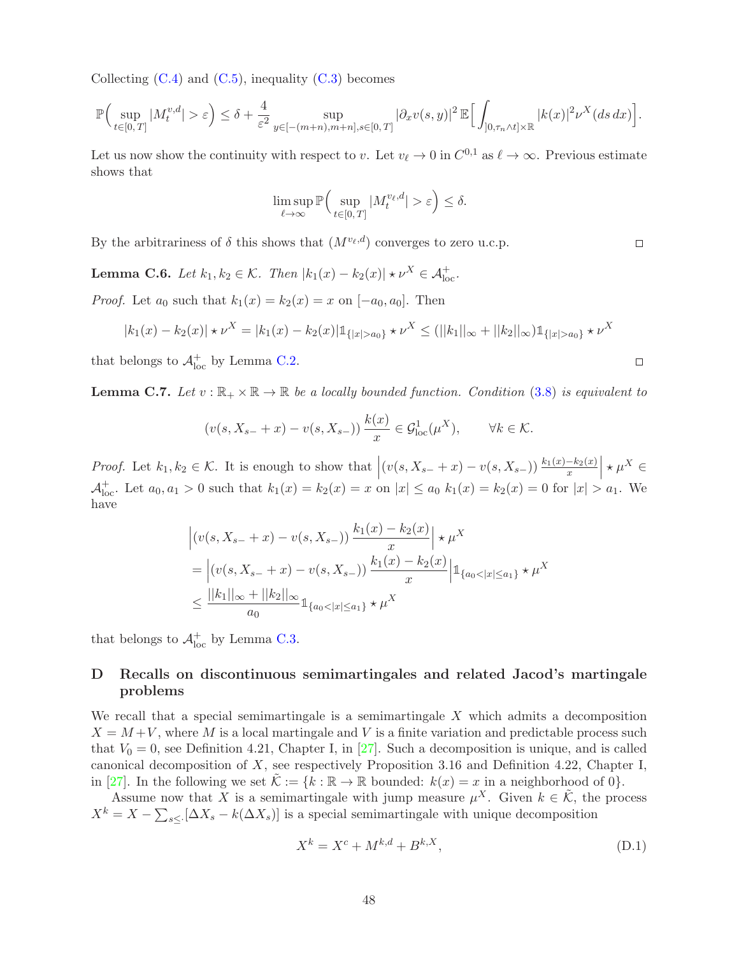Collecting  $(C.4)$  and  $(C.5)$ , inequality  $(C.3)$  becomes

$$
\mathbb{P}\Big(\sup_{t\in[0,T]}|M_t^{v,d}|>\varepsilon\Big)\leq \delta+\frac{4}{\varepsilon^2}\sup_{y\in[-(m+n),m+n],s\in[0,T]}|\partial_x v(s,y)|^2\,\mathbb{E}\Big[\int_{]0,\tau_n\wedge t]\times\mathbb{R}}|k(x)|^2\nu^X(ds\,dx)\Big].
$$

Let us now show the continuity with respect to v. Let  $v_{\ell} \to 0$  in  $C^{0,1}$  as  $\ell \to \infty$ . Previous estimate shows that

$$
\limsup_{\ell \to \infty} \mathbb{P}\Big(\sup_{t \in [0,T]} |M_t^{v_\ell,d}| > \varepsilon\Big) \le \delta.
$$

By the arbitrariness of  $\delta$  this shows that  $(M^{v_{\ell},d})$  converges to zero u.c.p.

<span id="page-47-2"></span>**Lemma C.6.** Let  $k_1, k_2 \in \mathcal{K}$ . Then  $|k_1(x) - k_2(x)| \star \nu^X \in \mathcal{A}_{loc}^+$ .

*Proof.* Let  $a_0$  such that  $k_1(x) = k_2(x) = x$  on  $[-a_0, a_0]$ . Then

$$
|k_1(x) - k_2(x)| \star \nu^X = |k_1(x) - k_2(x)| \mathbb{1}_{\{|x| > a_0\}} \star \nu^X \le (||k_1||_{\infty} + ||k_2||_{\infty}) \mathbb{1}_{\{|x| > a_0\}} \star \nu^X
$$

that belongs to  $\mathcal{A}^+_{\text{loc}}$  by Lemma [C.2.](#page-48-3)

<span id="page-47-0"></span>**Lemma C.7.** Let  $v : \mathbb{R}_+ \times \mathbb{R} \to \mathbb{R}$  be a locally bounded function. Condition [\(3.8\)](#page-8-2) is equivalent to

$$
(v(s, X_{s-} + x) - v(s, X_{s-})) \frac{k(x)}{x} \in \mathcal{G}_{\text{loc}}^1(\mu^X), \qquad \forall k \in \mathcal{K}.
$$

Proof. Let  $k_1, k_2 \in \mathcal{K}$ . It is enough to show that  $\left| (v(s, X_{s-} + x) - v(s, X_{s-})) \frac{k_1(x) - k_2(x)}{x} \right| \star \mu^X \in \mathbb{R}$  $\mathcal{A}^+_{\text{loc}}$ . Let  $a_0, a_1 > 0$  such that  $k_1(x) = k_2(x) = x$  on  $|x| \le a_0$ ,  $k_1(x) = k_2(x) = 0$  for  $|x| > a_1$ . We have

$$
\begin{aligned} & \left| \left( v(s, X_{s-} + x) - v(s, X_{s-}) \right) \frac{k_1(x) - k_2(x)}{x} \right| \star \mu^X \\ &= \left| \left( v(s, X_{s-} + x) - v(s, X_{s-}) \right) \frac{k_1(x) - k_2(x)}{x} \right| \mathbb{1}_{\{a_0 < |x| \le a_1\}} \star \mu^X \\ &\le \frac{||k_1||_{\infty} + ||k_2||_{\infty}}{a_0} \mathbb{1}_{\{a_0 < |x| \le a_1\}} \star \mu^X \end{aligned}
$$

that belongs to  $\mathcal{A}^+_{\text{loc}}$  by Lemma [C.3.](#page-45-1)

### <span id="page-47-1"></span>D Recalls on discontinuous semimartingales and related Jacod's martingale problems

We recall that a special semimartingale is a semimartingale  $X$  which admits a decomposition  $X = M + V$ , where M is a local martingale and V is a finite variation and predictable process such that  $V_0 = 0$ , see Definition 4.21, Chapter I, in [\[27\]](#page-50-7). Such a decomposition is unique, and is called canonical decomposition of  $X$ , see respectively Proposition 3.16 and Definition 4.22, Chapter I, in [\[27\]](#page-50-7). In the following we set  $\mathcal{K} := \{k : \mathbb{R} \to \mathbb{R} \text{ bounded}: k(x) = x \text{ in a neighborhood of } 0\}.$ 

Assume now that X is a semimartingale with jump measure  $\mu^X$ . Given  $k \in \tilde{\mathcal{K}}$ , the process  $X^k = X - \sum_{s \leq} [\Delta X_s - k(\Delta X_s)]$  is a special semimartingale with unique decomposition

<span id="page-47-3"></span>
$$
X^{k} = X^{c} + M^{k,d} + B^{k,X},
$$
\n(D.1)

 $\hfill \square$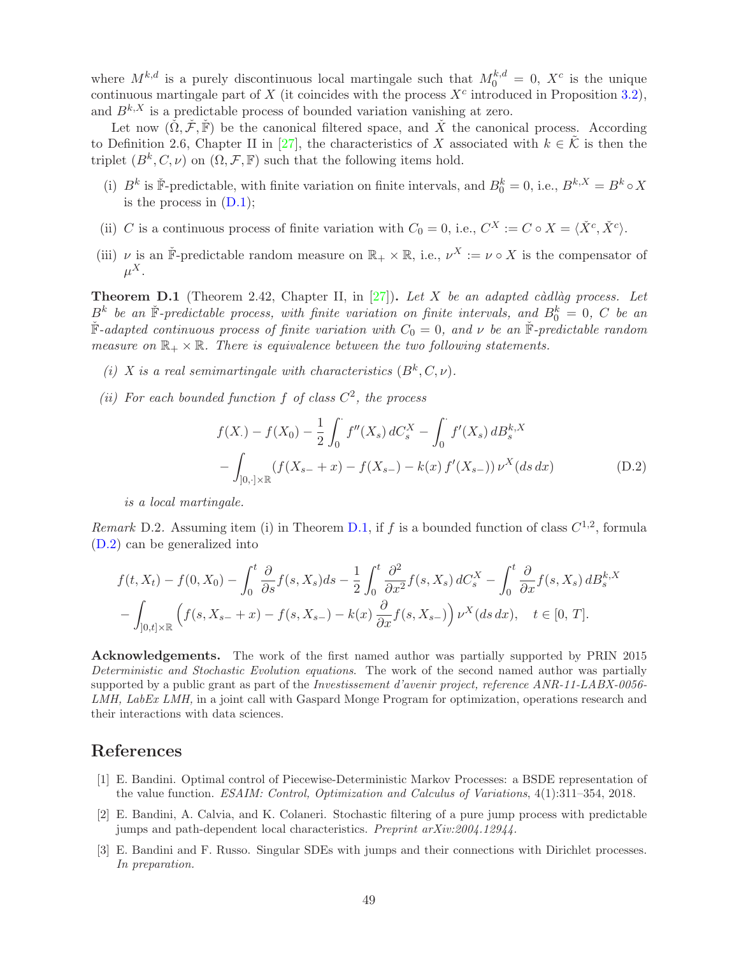where  $M^{k,d}$  is a purely discontinuous local martingale such that  $M_0^{k,d} = 0$ ,  $X^c$  is the unique continuous martingale part of X (it coincides with the process  $X<sup>c</sup>$  introduced in Proposition [3.2\)](#page-6-0), and  $B^{k,X}$  is a predictable process of bounded variation vanishing at zero.

Let now  $(\check{\Omega}, \check{\mathcal{F}}, \check{\mathbb{F}})$  be the canonical filtered space, and  $\check{X}$  the canonical process. According to Definition 2.6, Chapter II in [\[27\]](#page-50-7), the characteristics of X associated with  $k \in \tilde{\mathcal{K}}$  is then the triplet  $(B^k, C, \nu)$  on  $(\Omega, \mathcal{F}, \mathbb{F})$  such that the following items hold.

- (i)  $B^k$  is  $\check{F}$ -predictable, with finite variation on finite intervals, and  $B_0^k = 0$ , i.e.,  $B^{k,X} = B^k \circ X$ is the process in  $(D.1)$ ;
- (ii) C is a continuous process of finite variation with  $C_0 = 0$ , i.e.,  $C^X := C \circ X = \langle \check{X}^c, \check{X}^c \rangle$ .
- (iii)  $\nu$  is an  $\check{F}$ -predictable random measure on  $\mathbb{R}_+ \times \mathbb{R}$ , i.e.,  $\nu^X := \nu \circ X$  is the compensator of  $\mu^X.$

<span id="page-48-2"></span>**Theorem D.1** (Theorem 2.42, Chapter II, in  $[27]$ ). Let X be an adapted càdlàg process. Let  $B^k$  be an  $\check{F}$ -predictable process, with finite variation on finite intervals, and  $B_0^k = 0$ , C be an  $\check{F}$ -adapted continuous process of finite variation with  $C_0 = 0$ , and  $\nu$  be an  $\check{F}$ -predictable random measure on  $\mathbb{R}_+ \times \mathbb{R}$ . There is equivalence between the two following statements.

- (i) X is a real semimartingale with characteristics  $(B^k, C, \nu)$ .
- (ii) For each bounded function f of class  $C^2$ , the process

<span id="page-48-5"></span>
$$
f(X_{\cdot}) - f(X_0) - \frac{1}{2} \int_0^{\cdot} f''(X_s) dC_s^X - \int_0^{\cdot} f'(X_s) dB_s^{k,X}
$$

$$
- \int_{]0, \cdot] \times \mathbb{R}} (f(X_{s-} + x) - f(X_{s-}) - k(x) f'(X_{s-})) \nu^X(ds dx)
$$
(D.2)

is a local martingale.

<span id="page-48-3"></span>Remark D.2. Assuming item (i) in Theorem [D.1,](#page-48-2) if f is a bounded function of class  $C^{1,2}$ , formula [\(D.2\)](#page-48-5) can be generalized into

$$
f(t, X_t) - f(0, X_0) - \int_0^t \frac{\partial}{\partial s} f(s, X_s) ds - \frac{1}{2} \int_0^t \frac{\partial^2}{\partial x^2} f(s, X_s) dC_s^X - \int_0^t \frac{\partial}{\partial x} f(s, X_s) dB_s^{k,X}
$$

$$
- \int_{]0, t] \times \mathbb{R}} \left( f(s, X_{s-} + x) - f(s, X_{s-}) - k(x) \frac{\partial}{\partial x} f(s, X_{s-}) \right) \nu^X(ds dx), \quad t \in [0, T].
$$

Acknowledgements. The work of the first named author was partially supported by PRIN 2015 Deterministic and Stochastic Evolution equations. The work of the second named author was partially supported by a public grant as part of the *Investissement d'avenir project, reference ANR-11-LABX-0056-*LMH, LabEx LMH, in a joint call with Gaspard Monge Program for optimization, operations research and their interactions with data sciences.

## <span id="page-48-4"></span>References

- [1] E. Bandini. Optimal control of Piecewise-Deterministic Markov Processes: a BSDE representation of the value function. ESAIM: Control, Optimization and Calculus of Variations, 4(1):311–354, 2018.
- <span id="page-48-1"></span>[2] E. Bandini, A. Calvia, and K. Colaneri. Stochastic filtering of a pure jump process with predictable jumps and path-dependent local characteristics. Preprint arXiv:2004.12944.
- <span id="page-48-0"></span>[3] E. Bandini and F. Russo. Singular SDEs with jumps and their connections with Dirichlet processes. In preparation.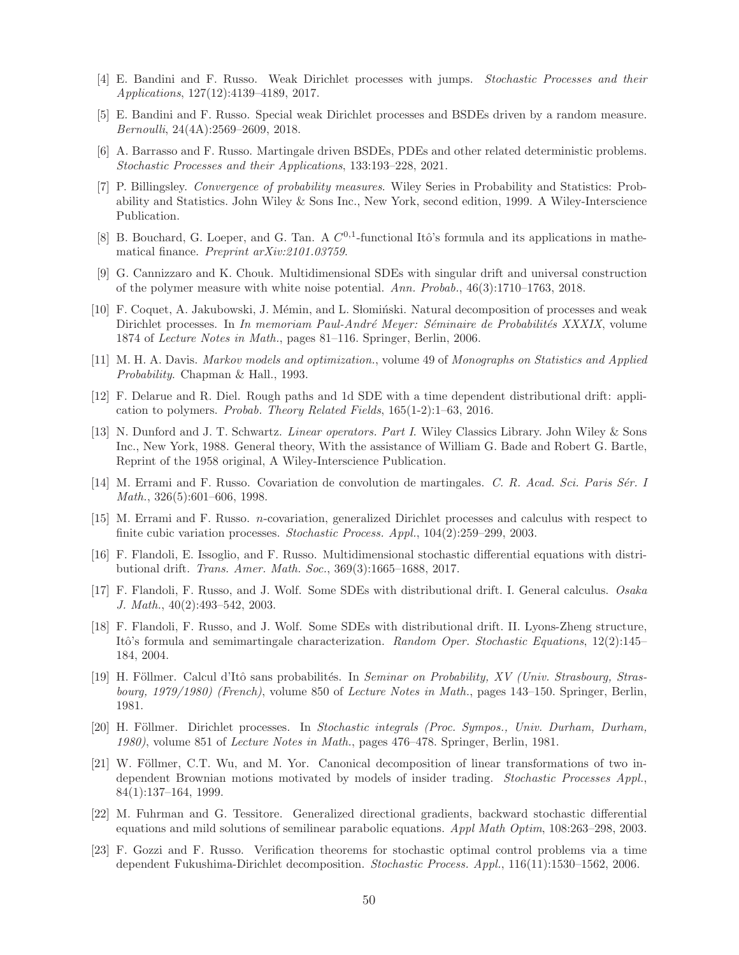- <span id="page-49-6"></span><span id="page-49-0"></span>[4] E. Bandini and F. Russo. Weak Dirichlet processes with jumps. Stochastic Processes and their Applications, 127(12):4139–4189, 2017.
- <span id="page-49-14"></span>[5] E. Bandini and F. Russo. Special weak Dirichlet processes and BSDEs driven by a random measure. Bernoulli, 24(4A):2569–2609, 2018.
- <span id="page-49-19"></span>[6] A. Barrasso and F. Russo. Martingale driven BSDEs, PDEs and other related deterministic problems. Stochastic Processes and their Applications, 133:193–228, 2021.
- [7] P. Billingsley. Convergence of probability measures. Wiley Series in Probability and Statistics: Probability and Statistics. John Wiley & Sons Inc., New York, second edition, 1999. A Wiley-Interscience Publication.
- <span id="page-49-8"></span>[8] B. Bouchard, G. Loeper, and G. Tan. A  $C^{0,1}$ -functional Itô's formula and its applications in mathematical finance. Preprint arXiv:2101.03759.
- <span id="page-49-13"></span>[9] G. Cannizzaro and K. Chouk. Multidimensional SDEs with singular drift and universal construction of the polymer measure with white noise potential. Ann. Probab., 46(3):1710–1763, 2018.
- <span id="page-49-2"></span>[10] F. Coquet, A. Jakubowski, J. Mémin, and L. S lominski. Natural decomposition of processes and weak Dirichlet processes. In In memoriam Paul-André Meyer: Séminaire de Probabilités XXXIX, volume 1874 of Lecture Notes in Math., pages 81–116. Springer, Berlin, 2006.
- <span id="page-49-18"></span>[11] M. H. A. Davis. Markov models and optimization., volume 49 of Monographs on Statistics and Applied Probability. Chapman & Hall., 1993.
- <span id="page-49-12"></span>[12] F. Delarue and R. Diel. Rough paths and 1d SDE with a time dependent distributional drift: application to polymers. Probab. Theory Related Fields, 165(1-2):1–63, 2016.
- <span id="page-49-17"></span>[13] N. Dunford and J. T. Schwartz. Linear operators. Part I. Wiley Classics Library. John Wiley & Sons Inc., New York, 1988. General theory, With the assistance of William G. Bade and Robert G. Bartle, Reprint of the 1958 original, A Wiley-Interscience Publication.
- <span id="page-49-1"></span>[14] M. Errami and F. Russo. Covariation de convolution de martingales. C. R. Acad. Sci. Paris Sér. I Math., 326(5):601–606, 1998.
- <span id="page-49-15"></span>[15] M. Errami and F. Russo. n-covariation, generalized Dirichlet processes and calculus with respect to finite cubic variation processes. Stochastic Process. Appl., 104(2):259–299, 2003.
- <span id="page-49-11"></span>[16] F. Flandoli, E. Issoglio, and F. Russo. Multidimensional stochastic differential equations with distributional drift. Trans. Amer. Math. Soc., 369(3):1665–1688, 2017.
- <span id="page-49-9"></span>[17] F. Flandoli, F. Russo, and J. Wolf. Some SDEs with distributional drift. I. General calculus. Osaka J. Math., 40(2):493–542, 2003.
- <span id="page-49-10"></span>[18] F. Flandoli, F. Russo, and J. Wolf. Some SDEs with distributional drift. II. Lyons-Zheng structure, Itô's formula and semimartingale characterization. Random Oper. Stochastic Equations, 12(2):145– 184, 2004.
- <span id="page-49-3"></span>[19] H. Föllmer. Calcul d'Itô sans probabilités. In Seminar on Probability, XV (Univ. Strasbourg, Strasbourg, 1979/1980) (French), volume 850 of Lecture Notes in Math., pages 143–150. Springer, Berlin, 1981.
- <span id="page-49-4"></span>[20] H. Föllmer. Dirichlet processes. In Stochastic integrals (Proc. Sympos., Univ. Durham, Durham, 1980), volume 851 of Lecture Notes in Math., pages 476–478. Springer, Berlin, 1981.
- <span id="page-49-16"></span>[21] W. Föllmer, C.T. Wu, and M. Yor. Canonical decomposition of linear transformations of two independent Brownian motions motivated by models of insider trading. *Stochastic Processes Appl.*, 84(1):137–164, 1999.
- <span id="page-49-7"></span>[22] M. Fuhrman and G. Tessitore. Generalized directional gradients, backward stochastic differential equations and mild solutions of semilinear parabolic equations. Appl Math Optim, 108:263–298, 2003.
- <span id="page-49-5"></span>[23] F. Gozzi and F. Russo. Verification theorems for stochastic optimal control problems via a time dependent Fukushima-Dirichlet decomposition. Stochastic Process. Appl., 116(11):1530–1562, 2006.